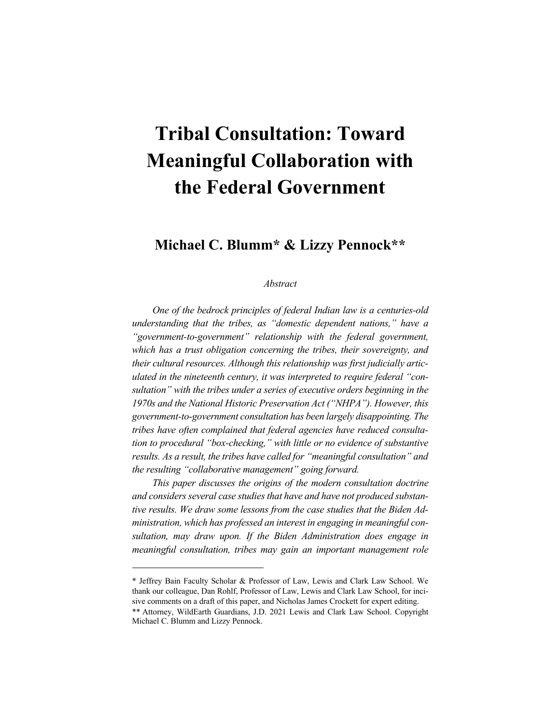# **Tribal Consultation: Toward Meaningful Collaboration with the Federal Government**

**Michael C. Blumm\* & Lizzy Pennock\*\***

## *Abstract*

*One of the bedrock principles of federal Indian law is a centuries-old understanding that the tribes, as "domestic dependent nations," have a "government-to-government" relationship with the federal government, which has a trust obligation concerning the tribes, their sovereignty, and their cultural resources. Although this relationship was first judicially articulated in the nineteenth century, it was interpreted to require federal "consultation" with the tribes under a series of executive orders beginning in the 1970s and the National Historic Preservation Act ("NHPA"). However, this government-to-government consultation has been largely disappointing. The tribes have often complained that federal agencies have reduced consultation to procedural "box-checking," with little or no evidence of substantive results. As a result, the tribes have called for "meaningful consultation" and the resulting "collaborative management" going forward.*

*This paper discusses the origins of the modern consultation doctrine and considers several case studies that have and have not produced substantive results. We draw some lessons from the case studies that the Biden Administration, which has professed an interest in engaging in meaningful consultation, may draw upon. If the Biden Administration does engage in meaningful consultation, tribes may gain an important management role* 

\* Jeffrey Bain Faculty Scholar & Professor of Law, Lewis and Clark Law School. We thank our colleague, Dan Rohlf, Professor of Law, Lewis and Clark Law School, for incisive comments on a draft of this paper, and Nicholas James Crockett for expert editing. \*\* Attorney, WildEarth Guardians, J.D. 2021 Lewis and Clark Law School. Copyright Michael C. Blumm and Lizzy Pennock.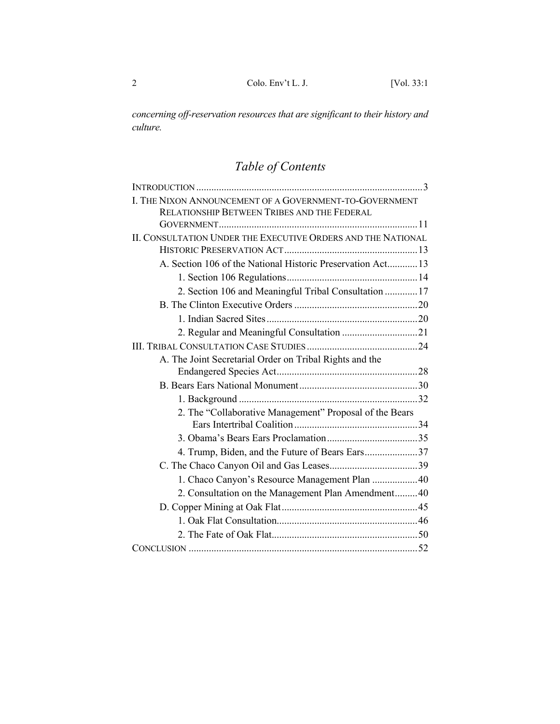*concerning off-reservation resources that are significant to their history and culture.*

## *Table of Contents*

| I. THE NIXON ANNOUNCEMENT OF A GOVERNMENT-TO-GOVERNMENT      |  |
|--------------------------------------------------------------|--|
| RELATIONSHIP BETWEEN TRIBES AND THE FEDERAL                  |  |
|                                                              |  |
| II. CONSULTATION UNDER THE EXECUTIVE ORDERS AND THE NATIONAL |  |
|                                                              |  |
| A. Section 106 of the National Historic Preservation Act 13  |  |
|                                                              |  |
| 2. Section 106 and Meaningful Tribal Consultation  17        |  |
|                                                              |  |
|                                                              |  |
| 2. Regular and Meaningful Consultation 21                    |  |
|                                                              |  |
| A. The Joint Secretarial Order on Tribal Rights and the      |  |
|                                                              |  |
|                                                              |  |
|                                                              |  |
| 2. The "Collaborative Management" Proposal of the Bears      |  |
|                                                              |  |
|                                                              |  |
| 4. Trump, Biden, and the Future of Bears Ears37              |  |
|                                                              |  |
| 1. Chaco Canyon's Resource Management Plan  40               |  |
| 2. Consultation on the Management Plan Amendment40           |  |
|                                                              |  |
|                                                              |  |
|                                                              |  |
|                                                              |  |
|                                                              |  |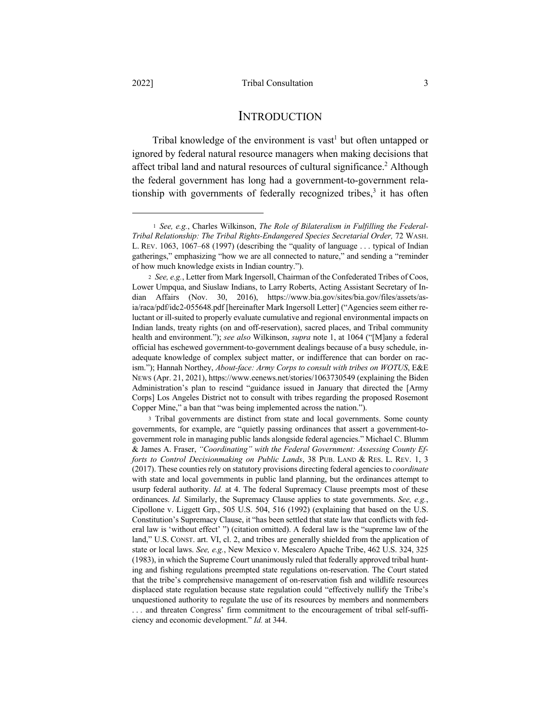**INTRODUCTION** 

Tribal knowledge of the environment is vast<sup>1</sup> but often untapped or ignored by federal natural resource managers when making decisions that affect tribal land and natural resources of cultural significance.<sup>2</sup> Although the federal government has long had a government-to-government relationship with governments of federally recognized tribes,<sup>3</sup> it has often

<sup>3</sup> Tribal governments are distinct from state and local governments. Some county governments, for example, are "quietly passing ordinances that assert a government-togovernment role in managing public lands alongside federal agencies." Michael C. Blumm & James A. Fraser, *"Coordinating" with the Federal Government: Assessing County Efforts to Control Decisionmaking on Public Lands*, 38 PUB. LAND & RES. L. REV. 1, 3 (2017). These counties rely on statutory provisions directing federal agencies to *coordinate* with state and local governments in public land planning, but the ordinances attempt to usurp federal authority. *Id.* at 4. The federal Supremacy Clause preempts most of these ordinances. *Id.* Similarly, the Supremacy Clause applies to state governments. *See, e.g.*, Cipollone v. Liggett Grp., 505 U.S. 504, 516 (1992) (explaining that based on the U.S. Constitution's Supremacy Clause, it "has been settled that state law that conflicts with federal law is 'without effect' ") (citation omitted). A federal law is the "supreme law of the land," U.S. CONST. art. VI, cl. 2, and tribes are generally shielded from the application of state or local laws. *See, e.g.*, New Mexico v. Mescalero Apache Tribe, 462 U.S. 324, 325 (1983), in which the Supreme Court unanimously ruled that federally approved tribal hunting and fishing regulations preempted state regulations on-reservation. The Court stated that the tribe's comprehensive management of on-reservation fish and wildlife resources displaced state regulation because state regulation could "effectively nullify the Tribe's unquestioned authority to regulate the use of its resources by members and nonmembers . . . and threaten Congress' firm commitment to the encouragement of tribal self-sufficiency and economic development." *Id.* at 344.

<sup>1</sup> *See, e.g.*, Charles Wilkinson, *The Role of Bilateralism in Fulfilling the Federal-Tribal Relationship: The Tribal Rights-Endangered Species Secretarial Order,* 72 WASH. L. REV. 1063, 1067–68 (1997) (describing the "quality of language . . . typical of Indian gatherings," emphasizing "how we are all connected to nature," and sending a "reminder of how much knowledge exists in Indian country.").

<sup>2</sup> *See, e.g.*, Letter from Mark Ingersoll, Chairman of the Confederated Tribes of Coos, Lower Umpqua, and Siuslaw Indians, to Larry Roberts, Acting Assistant Secretary of Indian Affairs (Nov. 30, 2016), https://www.bia.gov/sites/bia.gov/files/assets/asia/raca/pdf/idc2-055648.pdf [hereinafter Mark Ingersoll Letter] ("Agencies seem either reluctant or ill-suited to properly evaluate cumulative and regional environmental impacts on Indian lands, treaty rights (on and off-reservation), sacred places, and Tribal community health and environment."); *see also* Wilkinson, *supra* note 1, at 1064 ("[M]any a federal official has eschewed government-to-government dealings because of a busy schedule, inadequate knowledge of complex subject matter, or indifference that can border on racism."); Hannah Northey, *About-face: Army Corps to consult with tribes on WOTUS*, E&E NEWS (Apr. 21, 2021), https://www.eenews.net/stories/1063730549 (explaining the Biden Administration's plan to rescind "guidance issued in January that directed the [Army Corps] Los Angeles District not to consult with tribes regarding the proposed Rosemont Copper Mine," a ban that "was being implemented across the nation.").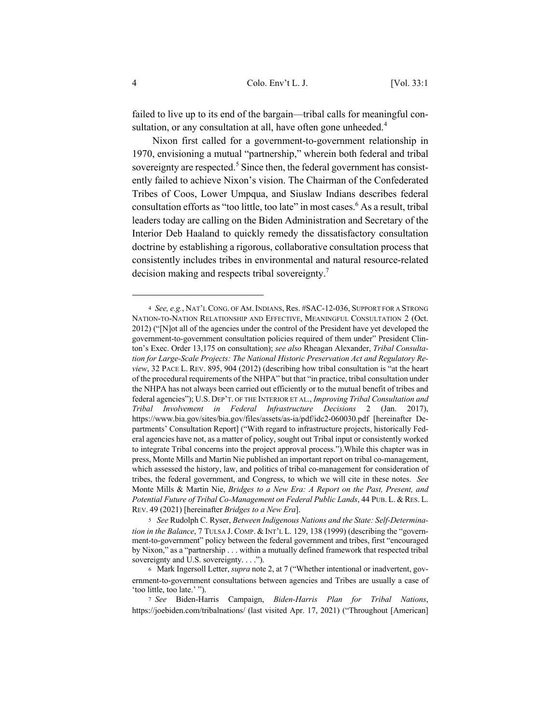failed to live up to its end of the bargain—tribal calls for meaningful consultation, or any consultation at all, have often gone unheeded.<sup>4</sup>

Nixon first called for a government-to-government relationship in 1970, envisioning a mutual "partnership," wherein both federal and tribal sovereignty are respected. $5$  Since then, the federal government has consistently failed to achieve Nixon's vision. The Chairman of the Confederated Tribes of Coos, Lower Umpqua, and Siuslaw Indians describes federal consultation efforts as "too little, too late" in most cases.<sup>6</sup> As a result, tribal leaders today are calling on the Biden Administration and Secretary of the Interior Deb Haaland to quickly remedy the dissatisfactory consultation doctrine by establishing a rigorous, collaborative consultation process that consistently includes tribes in environmental and natural resource-related decision making and respects tribal sovereignty.<sup>7</sup>

<sup>4</sup> *See, e.g.*, NAT'L CONG. OF AM.INDIANS, Res. #SAC-12-036, SUPPORT FOR A STRONG NATION-TO-NATION RELATIONSHIP AND EFFECTIVE, MEANINGFUL CONSULTATION 2 (Oct. 2012) ("[N]ot all of the agencies under the control of the President have yet developed the government-to-government consultation policies required of them under" President Clinton's Exec. Order 13,175 on consultation); *see also* Rheagan Alexander, *Tribal Consultation for Large-Scale Projects: The National Historic Preservation Act and Regulatory Review*, 32 PACE L. REV. 895, 904 (2012) (describing how tribal consultation is "at the heart of the procedural requirements of the NHPA" but that "in practice, tribal consultation under the NHPA has not always been carried out efficiently or to the mutual benefit of tribes and federal agencies"); U.S. DEP'T. OF THE INTERIOR ET AL., *Improving Tribal Consultation and Tribal Involvement in Federal Infrastructure Decisions* 2 (Jan. 2017), https://www.bia.gov/sites/bia.gov/files/assets/as-ia/pdf/idc2-060030.pdf [hereinafter Departments' Consultation Report] ("With regard to infrastructure projects, historically Federal agencies have not, as a matter of policy, sought out Tribal input or consistently worked to integrate Tribal concerns into the project approval process.").While this chapter was in press, Monte Mills and Martin Nie published an important report on tribal co-management, which assessed the history, law, and politics of tribal co-management for consideration of tribes, the federal government, and Congress, to which we will cite in these notes. *See*  Monte Mills & Martin Nie, *Bridges to a New Era: A Report on the Past, Present, and Potential Future of Tribal Co-Management on Federal Public Lands*, 44 PUB. L. & RES. L. REV. 49 (2021) [hereinafter *Bridges to a New Era*].

<sup>5</sup> *See* Rudolph C. Ryser, *Between Indigenous Nations and the State: Self-Determination in the Balance*, 7 TULSA J. COMP. & INT'L L. 129, 138 (1999) (describing the "government-to-government" policy between the federal government and tribes, first "encouraged by Nixon," as a "partnership . . . within a mutually defined framework that respected tribal sovereignty and U.S. sovereignty. . . .").

<sup>6</sup> Mark Ingersoll Letter, *supra* note 2, at 7 ("Whether intentional or inadvertent, government-to-government consultations between agencies and Tribes are usually a case of 'too little, too late.' ").

<sup>7</sup> *See* Biden-Harris Campaign, *Biden-Harris Plan for Tribal Nations*, https://joebiden.com/tribalnations/ (last visited Apr. 17, 2021) ("Throughout [American]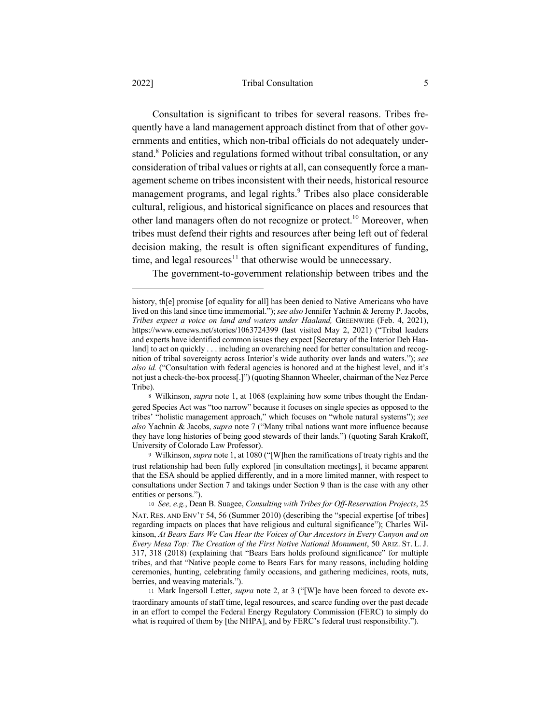#### 2022] Tribal Consultation 5

Consultation is significant to tribes for several reasons. Tribes frequently have a land management approach distinct from that of other governments and entities, which non-tribal officials do not adequately understand.<sup>8</sup> Policies and regulations formed without tribal consultation, or any consideration of tribal values or rights at all, can consequently force a management scheme on tribes inconsistent with their needs, historical resource management programs, and legal rights.<sup>9</sup> Tribes also place considerable cultural, religious, and historical significance on places and resources that other land managers often do not recognize or protect.<sup>10</sup> Moreover, when tribes must defend their rights and resources after being left out of federal decision making, the result is often significant expenditures of funding, time, and legal resources<sup>11</sup> that otherwise would be unnecessary.

The government-to-government relationship between tribes and the

history, th[e] promise [of equality for all] has been denied to Native Americans who have lived on this land since time immemorial."); *see also* Jennifer Yachnin & Jeremy P. Jacobs, *Tribes expect a voice on land and waters under Haaland,* GREENWIRE (Feb. 4, 2021), https://www.eenews.net/stories/1063724399 (last visited May 2, 2021) ("Tribal leaders and experts have identified common issues they expect [Secretary of the Interior Deb Haaland] to act on quickly . . . including an overarching need for better consultation and recognition of tribal sovereignty across Interior's wide authority over lands and waters."); *see also id.* ("Consultation with federal agencies is honored and at the highest level, and it's not just a check-the-box process[.]") (quoting Shannon Wheeler, chairman of the Nez Perce Tribe).

<sup>8</sup> Wilkinson, *supra* note 1, at 1068 (explaining how some tribes thought the Endangered Species Act was "too narrow" because it focuses on single species as opposed to the tribes' "holistic management approach," which focuses on "whole natural systems"); *see also* Yachnin & Jacobs, *supra* note 7 ("Many tribal nations want more influence because they have long histories of being good stewards of their lands.") (quoting Sarah Krakoff, University of Colorado Law Professor).

<sup>9</sup> Wilkinson, *supra* note 1, at 1080 ("[W]hen the ramifications of treaty rights and the trust relationship had been fully explored [in consultation meetings], it became apparent that the ESA should be applied differently, and in a more limited manner, with respect to consultations under Section 7 and takings under Section 9 than is the case with any other entities or persons.").

<sup>10</sup> *See, e.g.*, Dean B. Suagee, *Consulting with Tribes for Off-Reservation Projects*, 25 NAT. RES. AND ENV'T 54, 56 (Summer 2010) (describing the "special expertise [of tribes] regarding impacts on places that have religious and cultural significance"); Charles Wilkinson, *At Bears Ears We Can Hear the Voices of Our Ancestors in Every Canyon and on Every Mesa Top: The Creation of the First Native National Monument*, 50 ARIZ. ST. L. J. 317, 318 (2018) (explaining that "Bears Ears holds profound significance" for multiple tribes, and that "Native people come to Bears Ears for many reasons, including holding ceremonies, hunting, celebrating family occasions, and gathering medicines, roots, nuts, berries, and weaving materials.").

<sup>11</sup> Mark Ingersoll Letter, *supra* note 2, at 3 ("[W]e have been forced to devote extraordinary amounts of staff time, legal resources, and scarce funding over the past decade in an effort to compel the Federal Energy Regulatory Commission (FERC) to simply do what is required of them by [the NHPA], and by FERC's federal trust responsibility.").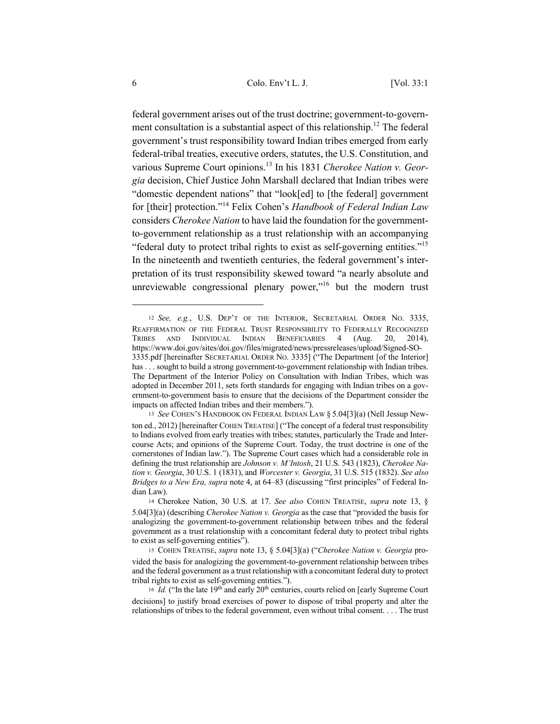federal government arises out of the trust doctrine; government-to-government consultation is a substantial aspect of this relationship.<sup>12</sup> The federal government's trust responsibility toward Indian tribes emerged from early federal-tribal treaties, executive orders, statutes, the U.S. Constitution, and various Supreme Court opinions.<sup>13</sup> In his 1831 *Cherokee Nation v. Georgia* decision, Chief Justice John Marshall declared that Indian tribes were "domestic dependent nations" that "look[ed] to [the federal] government for [their] protection."<sup>14</sup> Felix Cohen's *Handbook of Federal Indian Law* considers *Cherokee Nation* to have laid the foundation for the governmentto-government relationship as a trust relationship with an accompanying "federal duty to protect tribal rights to exist as self-governing entities."15 In the nineteenth and twentieth centuries, the federal government's interpretation of its trust responsibility skewed toward "a nearly absolute and unreviewable congressional plenary power, $"16$  but the modern trust

<sup>12</sup> *See, e.g.*, U.S. DEP'T OF THE INTERIOR, SECRETARIAL ORDER NO. 3335, REAFFIRMATION OF THE FEDERAL TRUST RESPONSIBILITY TO FEDERALLY RECOGNIZED TRIBES AND INDIVIDUAL INDIAN BENEFICIARIES 4 (Aug. 20, 2014), https://www.doi.gov/sites/doi.gov/files/migrated/news/pressreleases/upload/Signed-SO-3335.pdf [hereinafter SECRETARIAL ORDER NO. 3335] ("The Department [of the Interior] has . . . sought to build a strong government-to-government relationship with Indian tribes. The Department of the Interior Policy on Consultation with Indian Tribes, which was adopted in December 2011, sets forth standards for engaging with Indian tribes on a government-to-government basis to ensure that the decisions of the Department consider the impacts on affected Indian tribes and their members.").

<sup>13</sup> *See* COHEN'S HANDBOOK ON FEDERAL INDIAN LAW § 5.04[3](a) (Nell Jessup Newton ed., 2012) [hereinafter COHEN TREATISE] ("The concept of a federal trust responsibility to Indians evolved from early treaties with tribes; statutes, particularly the Trade and Intercourse Acts; and opinions of the Supreme Court. Today, the trust doctrine is one of the cornerstones of Indian law."). The Supreme Court cases which had a considerable role in defining the trust relationship are *Johnson v. M'Intosh*, 21 U.S. 543 (1823), *Cherokee Nation v. Georgia*, 30 U.S. 1 (1831), and *Worcester v. Georgia*, 31 U.S. 515 (1832). *See also Bridges to a New Era, supra* note 4, at 64–83 (discussing "first principles" of Federal Indian Law).

<sup>14</sup> Cherokee Nation, 30 U.S. at 17. *See also* COHEN TREATISE, *supra* note 13, § 5.04[3](a) (describing *Cherokee Nation v. Georgia* as the case that "provided the basis for analogizing the government-to-government relationship between tribes and the federal government as a trust relationship with a concomitant federal duty to protect tribal rights to exist as self-governing entities").

<sup>15</sup> COHEN TREATISE, *supra* note 13, § 5.04[3](a) ("*Cherokee Nation v. Georgia* provided the basis for analogizing the government-to-government relationship between tribes and the federal government as a trust relationship with a concomitant federal duty to protect tribal rights to exist as self-governing entities.").

<sup>&</sup>lt;sup>16</sup> *Id.* ("In the late  $19<sup>th</sup>$  and early  $20<sup>th</sup>$  centuries, courts relied on [early Supreme Court decisions] to justify broad exercises of power to dispose of tribal property and alter the relationships of tribes to the federal government, even without tribal consent. . . . The trust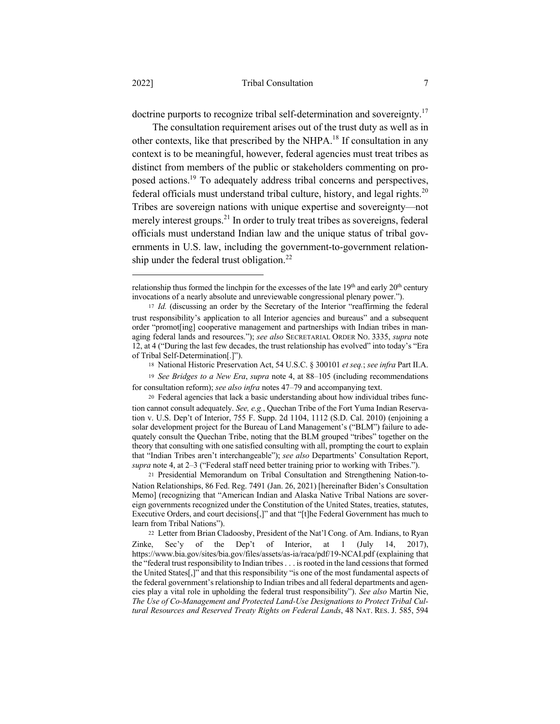doctrine purports to recognize tribal self-determination and sovereignty.<sup>17</sup>

The consultation requirement arises out of the trust duty as well as in other contexts, like that prescribed by the NHPA.<sup>18</sup> If consultation in any context is to be meaningful, however, federal agencies must treat tribes as distinct from members of the public or stakeholders commenting on proposed actions.19 To adequately address tribal concerns and perspectives, federal officials must understand tribal culture, history, and legal rights. $20$ Tribes are sovereign nations with unique expertise and sovereignty—not merely interest groups.<sup>21</sup> In order to truly treat tribes as sovereigns, federal officials must understand Indian law and the unique status of tribal governments in U.S. law, including the government-to-government relationship under the federal trust obligation.<sup>22</sup>

relationship thus formed the linchpin for the excesses of the late  $19<sup>th</sup>$  and early  $20<sup>th</sup>$  century invocations of a nearly absolute and unreviewable congressional plenary power.").

<sup>17</sup> *Id.* (discussing an order by the Secretary of the Interior "reaffirming the federal trust responsibility's application to all Interior agencies and bureaus" and a subsequent order "promot[ing] cooperative management and partnerships with Indian tribes in managing federal lands and resources."); *see also* SECRETARIAL ORDER NO. 3335, *supra* note 12, at 4 ("During the last few decades, the trust relationship has evolved" into today's "Era of Tribal Self-Determination[.]").

<sup>18</sup> National Historic Preservation Act, 54 U.S.C. § 300101 *et seq.*; *see infra* Part II.A.

<sup>19</sup> *See Bridges to a New Era*, *supra* note 4, at 88–105 (including recommendations for consultation reform); *see also infra* notes 47–79 and accompanying text.

<sup>20</sup> Federal agencies that lack a basic understanding about how individual tribes function cannot consult adequately. *See, e.g.*, Quechan Tribe of the Fort Yuma Indian Reservation v. U.S. Dep't of Interior, 755 F. Supp. 2d 1104, 1112 (S.D. Cal. 2010) (enjoining a solar development project for the Bureau of Land Management's ("BLM") failure to adequately consult the Quechan Tribe, noting that the BLM grouped "tribes" together on the theory that consulting with one satisfied consulting with all, prompting the court to explain that "Indian Tribes aren't interchangeable"); *see also* Departments' Consultation Report, *supra* note 4, at 2–3 ("Federal staff need better training prior to working with Tribes.").

<sup>21</sup> Presidential Memorandum on Tribal Consultation and Strengthening Nation-to-Nation Relationships, 86 Fed. Reg. 7491 (Jan. 26, 2021) [hereinafter Biden's Consultation Memo] (recognizing that "American Indian and Alaska Native Tribal Nations are sovereign governments recognized under the Constitution of the United States, treaties, statutes, Executive Orders, and court decisions[,]" and that "[t]he Federal Government has much to learn from Tribal Nations").

<sup>22</sup> Letter from Brian Cladoosby, President of the Nat'l Cong. of Am. Indians, to Ryan Zinke, Sec'y of the Dep't of Interior, at  $1$  (July 14, 2017), https://www.bia.gov/sites/bia.gov/files/assets/as-ia/raca/pdf/19-NCAI.pdf (explaining that the "federal trust responsibility to Indian tribes . . . is rooted in the land cessions that formed the United States[,]" and that this responsibility "is one of the most fundamental aspects of the federal government's relationship to Indian tribes and all federal departments and agencies play a vital role in upholding the federal trust responsibility"). *See also* Martin Nie, *The Use of Co-Management and Protected Land-Use Designations to Protect Tribal Cultural Resources and Reserved Treaty Rights on Federal Lands*, 48 NAT. RES. J. 585, 594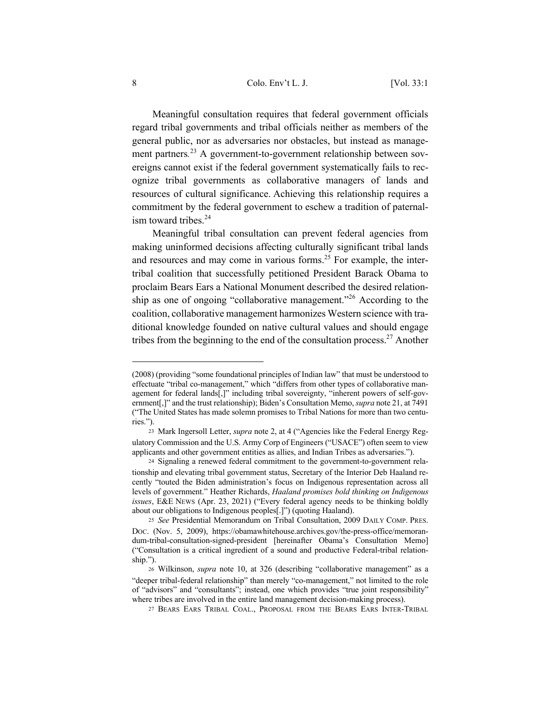## 8 Colo. Env't L. J. [Vol. 33:1

Meaningful consultation requires that federal government officials regard tribal governments and tribal officials neither as members of the general public, nor as adversaries nor obstacles, but instead as management partners*.* <sup>23</sup> A government-to-government relationship between sovereigns cannot exist if the federal government systematically fails to recognize tribal governments as collaborative managers of lands and resources of cultural significance. Achieving this relationship requires a commitment by the federal government to eschew a tradition of paternalism toward tribes. $24$ 

Meaningful tribal consultation can prevent federal agencies from making uninformed decisions affecting culturally significant tribal lands and resources and may come in various forms.<sup>25</sup> For example, the intertribal coalition that successfully petitioned President Barack Obama to proclaim Bears Ears a National Monument described the desired relationship as one of ongoing "collaborative management."<sup>26</sup> According to the coalition, collaborative management harmonizes Western science with traditional knowledge founded on native cultural values and should engage tribes from the beginning to the end of the consultation process.<sup>27</sup> Another

<sup>(2008) (</sup>providing "some foundational principles of Indian law" that must be understood to effectuate "tribal co-management," which "differs from other types of collaborative management for federal lands[,]" including tribal sovereignty, "inherent powers of self-government[,]" and the trust relationship); Biden's Consultation Memo, *supra* note 21, at 7491 ("The United States has made solemn promises to Tribal Nations for more than two centuries.").

<sup>23</sup> Mark Ingersoll Letter, *supra* note 2, at 4 ("Agencies like the Federal Energy Regulatory Commission and the U.S. Army Corp of Engineers ("USACE") often seem to view applicants and other government entities as allies, and Indian Tribes as adversaries.").

<sup>24</sup> Signaling a renewed federal commitment to the government-to-government relationship and elevating tribal government status, Secretary of the Interior Deb Haaland recently "touted the Biden administration's focus on Indigenous representation across all levels of government." Heather Richards, *Haaland promises bold thinking on Indigenous issues*, E&E NEWS (Apr. 23, 2021) ("Every federal agency needs to be thinking boldly about our obligations to Indigenous peoples[.]") (quoting Haaland).

<sup>25</sup> *See* Presidential Memorandum on Tribal Consultation, 2009 DAILY COMP. PRES. DOC. (Nov. 5, 2009), https://obamawhitehouse.archives.gov/the-press-office/memorandum-tribal-consultation-signed-president [hereinafter Obama's Consultation Memo] ("Consultation is a critical ingredient of a sound and productive Federal-tribal relationship.").

<sup>26</sup> Wilkinson, *supra* note 10, at 326 (describing "collaborative management" as a "deeper tribal-federal relationship" than merely "co-management," not limited to the role of "advisors" and "consultants"; instead, one which provides "true joint responsibility" where tribes are involved in the entire land management decision-making process).

<sup>27</sup> BEARS EARS TRIBAL COAL., PROPOSAL FROM THE BEARS EARS INTER-TRIBAL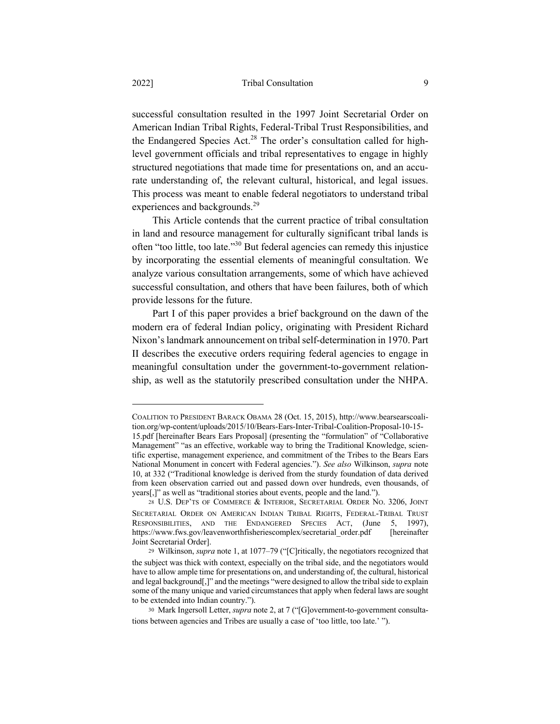successful consultation resulted in the 1997 Joint Secretarial Order on American Indian Tribal Rights, Federal-Tribal Trust Responsibilities, and the Endangered Species Act.<sup>28</sup> The order's consultation called for highlevel government officials and tribal representatives to engage in highly structured negotiations that made time for presentations on, and an accurate understanding of, the relevant cultural, historical, and legal issues. This process was meant to enable federal negotiators to understand tribal experiences and backgrounds.<sup>29</sup>

This Article contends that the current practice of tribal consultation in land and resource management for culturally significant tribal lands is often "too little, too late."30 But federal agencies can remedy this injustice by incorporating the essential elements of meaningful consultation. We analyze various consultation arrangements, some of which have achieved successful consultation, and others that have been failures, both of which provide lessons for the future.

Part I of this paper provides a brief background on the dawn of the modern era of federal Indian policy, originating with President Richard Nixon's landmark announcement on tribal self-determination in 1970. Part II describes the executive orders requiring federal agencies to engage in meaningful consultation under the government-to-government relationship, as well as the statutorily prescribed consultation under the NHPA.

COALITION TO PRESIDENT BARACK OBAMA 28 (Oct. 15, 2015), http://www.bearsearscoalition.org/wp-content/uploads/2015/10/Bears-Ears-Inter-Tribal-Coalition-Proposal-10-15- 15.pdf [hereinafter Bears Ears Proposal] (presenting the "formulation" of "Collaborative Management" "as an effective, workable way to bring the Traditional Knowledge, scientific expertise, management experience, and commitment of the Tribes to the Bears Ears National Monument in concert with Federal agencies."). *See also* Wilkinson, *supra* note 10, at 332 ("Traditional knowledge is derived from the sturdy foundation of data derived from keen observation carried out and passed down over hundreds, even thousands, of years[,]" as well as "traditional stories about events, people and the land.").

<sup>28</sup> U.S. DEP'TS OF COMMERCE & INTERIOR, SECRETARIAL ORDER NO. 3206, JOINT SECRETARIAL ORDER ON AMERICAN INDIAN TRIBAL RIGHTS, FEDERAL-TRIBAL TRUST RESPONSIBILITIES, AND THE ENDANGERED SPECIES ACT, (June 5, 1997), https://www.fws.gov/leavenworthfisheriescomplex/secretarial\_order.pdf [hereinafter Joint Secretarial Order].

<sup>29</sup> Wilkinson, *supra* note 1, at 1077–79 ("[C]ritically, the negotiators recognized that the subject was thick with context, especially on the tribal side, and the negotiators would have to allow ample time for presentations on, and understanding of, the cultural, historical and legal background[,]" and the meetings "were designed to allow the tribal side to explain some of the many unique and varied circumstances that apply when federal laws are sought to be extended into Indian country.").

<sup>30</sup> Mark Ingersoll Letter, *supra* note 2, at 7 ("[G]overnment-to-government consultations between agencies and Tribes are usually a case of 'too little, too late.' ").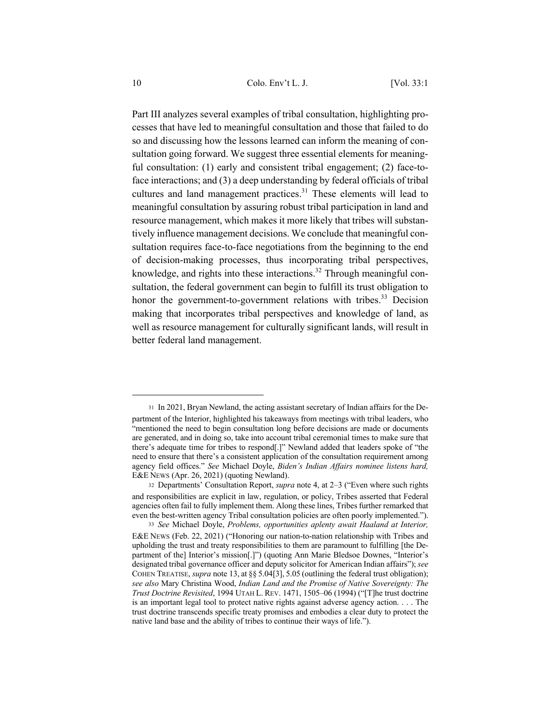Part III analyzes several examples of tribal consultation, highlighting processes that have led to meaningful consultation and those that failed to do so and discussing how the lessons learned can inform the meaning of consultation going forward. We suggest three essential elements for meaningful consultation: (1) early and consistent tribal engagement; (2) face-toface interactions; and (3) a deep understanding by federal officials of tribal cultures and land management practices.<sup>31</sup> These elements will lead to meaningful consultation by assuring robust tribal participation in land and resource management, which makes it more likely that tribes will substantively influence management decisions. We conclude that meaningful consultation requires face-to-face negotiations from the beginning to the end of decision-making processes, thus incorporating tribal perspectives, knowledge, and rights into these interactions.<sup>32</sup> Through meaningful consultation, the federal government can begin to fulfill its trust obligation to honor the government-to-government relations with tribes.<sup>33</sup> Decision making that incorporates tribal perspectives and knowledge of land, as well as resource management for culturally significant lands, will result in better federal land management.

<sup>31</sup> In 2021, Bryan Newland, the acting assistant secretary of Indian affairs for the Department of the Interior, highlighted his takeaways from meetings with tribal leaders, who "mentioned the need to begin consultation long before decisions are made or documents are generated, and in doing so, take into account tribal ceremonial times to make sure that there's adequate time for tribes to respond[.]" Newland added that leaders spoke of "the need to ensure that there's a consistent application of the consultation requirement among agency field offices." *See* Michael Doyle, *Biden's Indian Affairs nominee listens hard,* E&E NEWS (Apr. 26, 2021) (quoting Newland).

<sup>32</sup> Departments' Consultation Report, *supra* note 4, at 2–3 ("Even where such rights and responsibilities are explicit in law, regulation, or policy, Tribes asserted that Federal agencies often fail to fully implement them. Along these lines, Tribes further remarked that even the best-written agency Tribal consultation policies are often poorly implemented."). <sup>33</sup> *See* Michael Doyle, *Problems, opportunities aplenty await Haaland at Interior,*

E&E NEWS (Feb. 22, 2021) ("Honoring our nation-to-nation relationship with Tribes and upholding the trust and treaty responsibilities to them are paramount to fulfilling [the Department of the] Interior's mission[.]") (quoting Ann Marie Bledsoe Downes, "Interior's designated tribal governance officer and deputy solicitor for American Indian affairs"); *see* COHEN TREATISE, *supra* note 13, at §§ 5.04[3], 5.05 (outlining the federal trust obligation); *see also* Mary Christina Wood, *Indian Land and the Promise of Native Sovereignty: The Trust Doctrine Revisited*, 1994 UTAH L. REV. 1471, 1505–06 (1994) ("[T]he trust doctrine is an important legal tool to protect native rights against adverse agency action. . . . The trust doctrine transcends specific treaty promises and embodies a clear duty to protect the native land base and the ability of tribes to continue their ways of life.").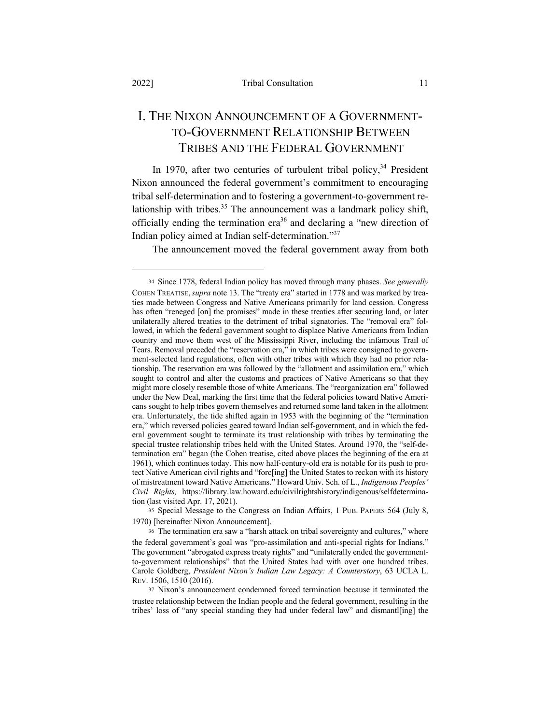## I. THE NIXON ANNOUNCEMENT OF A GOVERNMENT-TO-GOVERNMENT RELATIONSHIP BETWEEN TRIBES AND THE FEDERAL GOVERNMENT

In 1970, after two centuries of turbulent tribal policy,  $34$  President Nixon announced the federal government's commitment to encouraging tribal self-determination and to fostering a government-to-government relationship with tribes.<sup>35</sup> The announcement was a landmark policy shift, officially ending the termination era<sup>36</sup> and declaring a "new direction of Indian policy aimed at Indian self-determination."37

The announcement moved the federal government away from both

<sup>34</sup> Since 1778, federal Indian policy has moved through many phases. *See generally*  COHEN TREATISE,*supra* note 13. The "treaty era" started in 1778 and was marked by treaties made between Congress and Native Americans primarily for land cession. Congress has often "reneged [on] the promises" made in these treaties after securing land, or later unilaterally altered treaties to the detriment of tribal signatories. The "removal era" followed, in which the federal government sought to displace Native Americans from Indian country and move them west of the Mississippi River, including the infamous Trail of Tears. Removal preceded the "reservation era," in which tribes were consigned to government-selected land regulations, often with other tribes with which they had no prior relationship. The reservation era was followed by the "allotment and assimilation era," which sought to control and alter the customs and practices of Native Americans so that they might more closely resemble those of white Americans. The "reorganization era" followed under the New Deal, marking the first time that the federal policies toward Native Americans sought to help tribes govern themselves and returned some land taken in the allotment era. Unfortunately, the tide shifted again in 1953 with the beginning of the "termination era," which reversed policies geared toward Indian self-government, and in which the federal government sought to terminate its trust relationship with tribes by terminating the special trustee relationship tribes held with the United States. Around 1970, the "self-determination era" began (the Cohen treatise, cited above places the beginning of the era at 1961), which continues today. This now half-century-old era is notable for its push to protect Native American civil rights and "forc[ing] the United States to reckon with its history of mistreatment toward Native Americans." Howard Univ. Sch. of L., *Indigenous Peoples' Civil Rights,* https://library.law.howard.edu/civilrightshistory/indigenous/selfdetermination (last visited Apr. 17, 2021).

<sup>35</sup> Special Message to the Congress on Indian Affairs, 1 PUB. PAPERS 564 (July 8, 1970) [hereinafter Nixon Announcement].

<sup>36</sup> The termination era saw a "harsh attack on tribal sovereignty and cultures," where the federal government's goal was "pro-assimilation and anti-special rights for Indians." The government "abrogated express treaty rights" and "unilaterally ended the governmentto-government relationships" that the United States had with over one hundred tribes. Carole Goldberg, *President Nixon's Indian Law Legacy: A Counterstory*, 63 UCLA L. REV. 1506, 1510 (2016).

<sup>37</sup> Nixon's announcement condemned forced termination because it terminated the trustee relationship between the Indian people and the federal government, resulting in the tribes' loss of "any special standing they had under federal law" and dismantl[ing] the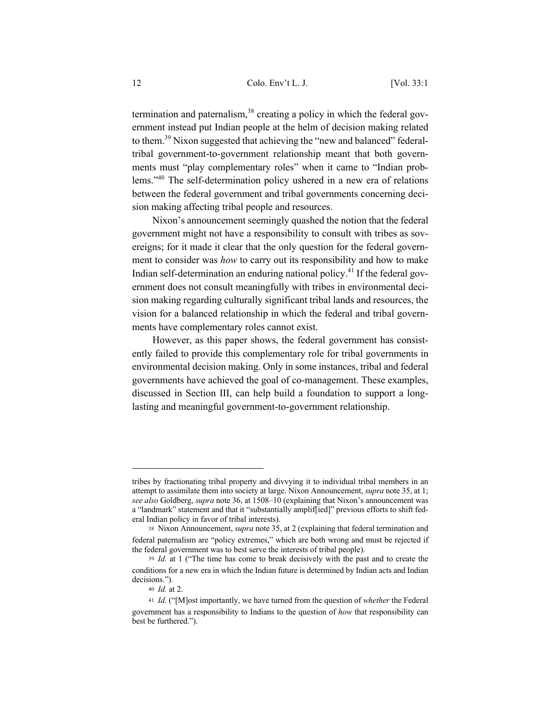termination and paternalism,  $38$  creating a policy in which the federal government instead put Indian people at the helm of decision making related to them.39 Nixon suggested that achieving the "new and balanced" federaltribal government-to-government relationship meant that both governments must "play complementary roles" when it came to "Indian problems."40 The self-determination policy ushered in a new era of relations between the federal government and tribal governments concerning decision making affecting tribal people and resources.

Nixon's announcement seemingly quashed the notion that the federal government might not have a responsibility to consult with tribes as sovereigns; for it made it clear that the only question for the federal government to consider was *how* to carry out its responsibility and how to make Indian self-determination an enduring national policy.<sup>41</sup> If the federal government does not consult meaningfully with tribes in environmental decision making regarding culturally significant tribal lands and resources, the vision for a balanced relationship in which the federal and tribal governments have complementary roles cannot exist.

However, as this paper shows, the federal government has consistently failed to provide this complementary role for tribal governments in environmental decision making. Only in some instances, tribal and federal governments have achieved the goal of co-management. These examples, discussed in Section III, can help build a foundation to support a longlasting and meaningful government-to-government relationship.

tribes by fractionating tribal property and divvying it to individual tribal members in an attempt to assimilate them into society at large. Nixon Announcement, *supra* note 35, at 1; *see also* Goldberg, *supra* note 36, at 1508–10 (explaining that Nixon's announcement was a "landmark" statement and that it "substantially amplif[ied]" previous efforts to shift federal Indian policy in favor of tribal interests).

<sup>38</sup> Nixon Announcement, *supra* note 35, at 2 (explaining that federal termination and federal paternalism are "policy extremes," which are both wrong and must be rejected if the federal government was to best serve the interests of tribal people).

<sup>39</sup> *Id.* at 1 ("The time has come to break decisively with the past and to create the conditions for a new era in which the Indian future is determined by Indian acts and Indian decisions.").

<sup>40</sup> *Id.* at 2.

<sup>41</sup> *Id.* ("[M]ost importantly, we have turned from the question of *whether* the Federal government has a responsibility to Indians to the question of *how* that responsibility can best be furthered.").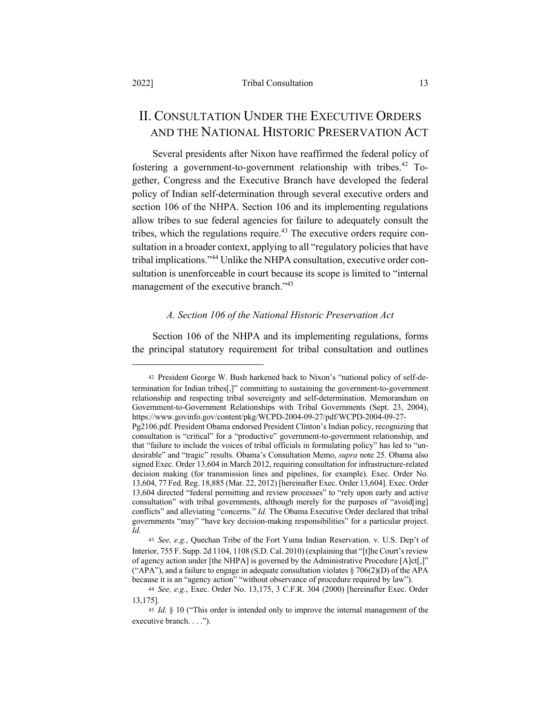## II. CONSULTATION UNDER THE EXECUTIVE ORDERS AND THE NATIONAL HISTORIC PRESERVATION ACT

Several presidents after Nixon have reaffirmed the federal policy of fostering a government-to-government relationship with tribes.<sup>42</sup> Together, Congress and the Executive Branch have developed the federal policy of Indian self-determination through several executive orders and section 106 of the NHPA. Section 106 and its implementing regulations allow tribes to sue federal agencies for failure to adequately consult the tribes, which the regulations require.<sup>43</sup> The executive orders require consultation in a broader context, applying to all "regulatory policies that have tribal implications."<sup>44</sup> Unlike the NHPA consultation, executive order consultation is unenforceable in court because its scope is limited to "internal management of the executive branch."<sup>45</sup>

### *A. Section 106 of the National Historic Preservation Act*

Section 106 of the NHPA and its implementing regulations, forms the principal statutory requirement for tribal consultation and outlines

<sup>42</sup> President George W. Bush harkened back to Nixon's "national policy of self-determination for Indian tribes[,]" committing to sustaining the government-to-government relationship and respecting tribal sovereignty and self-determination. Memorandum on Government-to-Government Relationships with Tribal Governments (Sept. 23, 2004), https://www.govinfo.gov/content/pkg/WCPD-2004-09-27/pdf/WCPD-2004-09-27-

Pg2106.pdf. President Obama endorsed President Clinton's Indian policy, recognizing that consultation is "critical" for a "productive" government-to-government relationship, and that "failure to include the voices of tribal officials in formulating policy" has led to "undesirable" and "tragic" results. Obama's Consultation Memo, *supra* note 25. Obama also signed Exec. Order 13,604 in March 2012, requiring consultation for infrastructure-related decision making (for transmission lines and pipelines, for example). Exec. Order No. 13,604, 77 Fed. Reg. 18,885 (Mar. 22, 2012) [hereinafter Exec. Order 13,604]. Exec. Order 13,604 directed "federal permitting and review processes" to "rely upon early and active consultation" with tribal governments, although merely for the purposes of "avoid[ing] conflicts" and alleviating "concerns." *Id.* The Obama Executive Order declared that tribal governments "may" "have key decision-making responsibilities" for a particular project. *Id.*

<sup>43</sup> *See, e.g.*, Quechan Tribe of the Fort Yuma Indian Reservation. v. U.S. Dep't of Interior, 755 F. Supp. 2d 1104, 1108 (S.D. Cal. 2010) (explaining that "[t]he Court's review of agency action under [the NHPA] is governed by the Administrative Procedure [A]ct[,]" ("APA"), and a failure to engage in adequate consultation violates  $\S 706(2)(D)$  of the APA because it is an "agency action" "without observance of procedure required by law").

<sup>44</sup> *See, e.g.*, Exec. Order No. 13,175, 3 C.F.R. 304 (2000) [hereinafter Exec. Order 13,175].

<sup>45</sup> *Id.* § 10 ("This order is intended only to improve the internal management of the executive branch. . . .").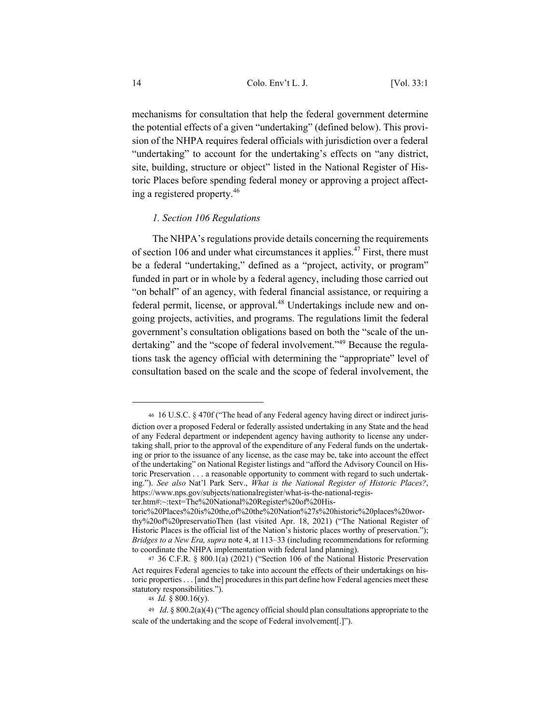mechanisms for consultation that help the federal government determine the potential effects of a given "undertaking" (defined below). This provision of the NHPA requires federal officials with jurisdiction over a federal "undertaking" to account for the undertaking's effects on "any district, site, building, structure or object" listed in the National Register of Historic Places before spending federal money or approving a project affecting a registered property.<sup>46</sup>

## *1. Section 106 Regulations*

The NHPA's regulations provide details concerning the requirements of section 106 and under what circumstances it applies.<sup>47</sup> First, there must be a federal "undertaking," defined as a "project, activity, or program" funded in part or in whole by a federal agency, including those carried out "on behalf" of an agency, with federal financial assistance, or requiring a federal permit, license, or approval.<sup>48</sup> Undertakings include new and ongoing projects, activities, and programs. The regulations limit the federal government's consultation obligations based on both the "scale of the undertaking" and the "scope of federal involvement."<sup>49</sup> Because the regulations task the agency official with determining the "appropriate" level of consultation based on the scale and the scope of federal involvement, the

<sup>46</sup> 16 U.S.C. § 470f ("The head of any Federal agency having direct or indirect jurisdiction over a proposed Federal or federally assisted undertaking in any State and the head of any Federal department or independent agency having authority to license any undertaking shall, prior to the approval of the expenditure of any Federal funds on the undertaking or prior to the issuance of any license, as the case may be, take into account the effect of the undertaking" on National Register listings and "afford the Advisory Council on Historic Preservation . . . a reasonable opportunity to comment with regard to such undertaking."). *See also* Nat'l Park Serv., *What is the National Register of Historic Places?*, https://www.nps.gov/subjects/nationalregister/what-is-the-national-register.htm#:~:text=The%20National%20Register%20of%20His-

toric%20Places%20is%20the,of%20the%20Nation%27s%20historic%20places%20worthy%20of%20preservatioThen (last visited Apr. 18, 2021) ("The National Register of Historic Places is the official list of the Nation's historic places worthy of preservation."); *Bridges to a New Era, supra* note 4, at 113–33 (including recommendations for reforming to coordinate the NHPA implementation with federal land planning).

<sup>47</sup> 36 C.F.R. § 800.1(a) (2021) ("Section 106 of the National Historic Preservation Act requires Federal agencies to take into account the effects of their undertakings on historic properties . . . [and the] procedures in this part define how Federal agencies meet these statutory responsibilities.").

<sup>48</sup> *Id.* § 800.16(y).

<sup>49</sup> *Id*. § 800.2(a)(4) ("The agency official should plan consultations appropriate to the scale of the undertaking and the scope of Federal involvement[.]").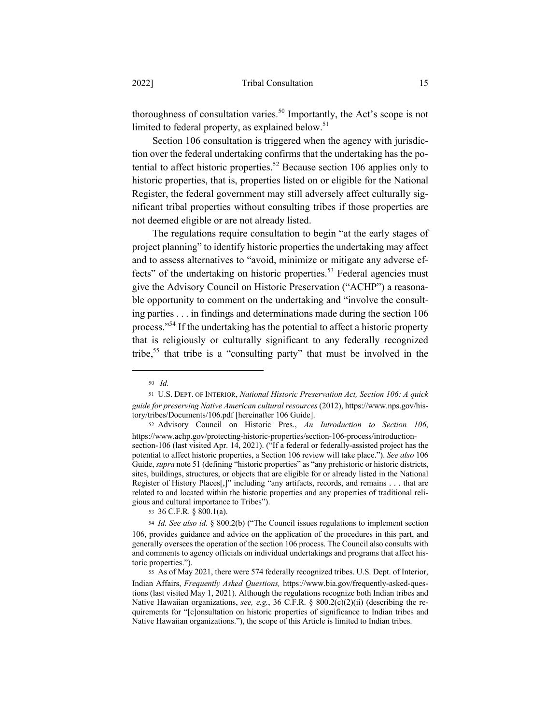thoroughness of consultation varies.<sup>50</sup> Importantly, the Act's scope is not limited to federal property, as explained below. $51$ 

Section 106 consultation is triggered when the agency with jurisdiction over the federal undertaking confirms that the undertaking has the potential to affect historic properties.<sup>52</sup> Because section 106 applies only to historic properties, that is, properties listed on or eligible for the National Register, the federal government may still adversely affect culturally significant tribal properties without consulting tribes if those properties are not deemed eligible or are not already listed.

The regulations require consultation to begin "at the early stages of project planning" to identify historic properties the undertaking may affect and to assess alternatives to "avoid, minimize or mitigate any adverse effects" of the undertaking on historic properties.<sup>53</sup> Federal agencies must give the Advisory Council on Historic Preservation ("ACHP") a reasonable opportunity to comment on the undertaking and "involve the consulting parties . . . in findings and determinations made during the section 106 process."<sup>54</sup> If the undertaking has the potential to affect a historic property that is religiously or culturally significant to any federally recognized tribe,<sup>55</sup> that tribe is a "consulting party" that must be involved in the

<sup>50</sup> *Id.*

<sup>51</sup> U.S. DEPT. OF INTERIOR, *National Historic Preservation Act, Section 106: A quick guide for preserving Native American cultural resources* (2012), https://www.nps.gov/history/tribes/Documents/106.pdf [hereinafter 106 Guide].

<sup>52</sup> Advisory Council on Historic Pres., *An Introduction to Section 106*, https://www.achp.gov/protecting-historic-properties/section-106-process/introductionsection-106 (last visited Apr. 14, 2021). ("If a federal or federally-assisted project has the potential to affect historic properties, a Section 106 review will take place."). *See also* 106 Guide, *supra* note 51 (defining "historic properties" as "any prehistoric or historic districts, sites, buildings, structures, or objects that are eligible for or already listed in the National Register of History Places[,]" including "any artifacts, records, and remains . . . that are related to and located within the historic properties and any properties of traditional religious and cultural importance to Tribes").

<sup>53</sup> 36 C.F.R. § 800.1(a).

<sup>54</sup> *Id. See also id.* § 800.2(b) ("The Council issues regulations to implement section 106, provides guidance and advice on the application of the procedures in this part, and generally oversees the operation of the section 106 process. The Council also consults with and comments to agency officials on individual undertakings and programs that affect historic properties.").

<sup>55</sup> As of May 2021, there were 574 federally recognized tribes. U.S. Dept. of Interior, Indian Affairs, *Frequently Asked Questions,* https://www.bia.gov/frequently-asked-questions (last visited May 1, 2021). Although the regulations recognize both Indian tribes and Native Hawaiian organizations, *see, e.g.*, 36 C.F.R. § 800.2(c)(2)(ii) (describing the requirements for "[c]onsultation on historic properties of significance to Indian tribes and Native Hawaiian organizations."), the scope of this Article is limited to Indian tribes.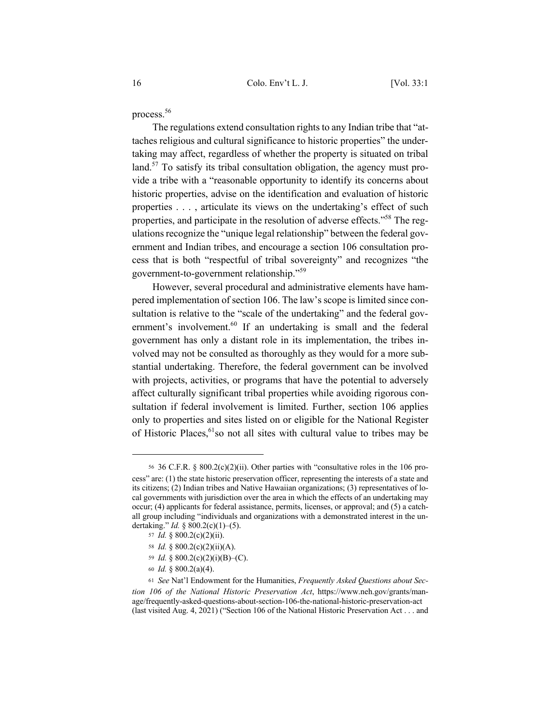process.56

The regulations extend consultation rights to any Indian tribe that "attaches religious and cultural significance to historic properties" the undertaking may affect, regardless of whether the property is situated on tribal land.<sup>57</sup> To satisfy its tribal consultation obligation, the agency must provide a tribe with a "reasonable opportunity to identify its concerns about historic properties, advise on the identification and evaluation of historic properties . . . , articulate its views on the undertaking's effect of such properties, and participate in the resolution of adverse effects."<sup>58</sup> The regulations recognize the "unique legal relationship" between the federal government and Indian tribes, and encourage a section 106 consultation process that is both "respectful of tribal sovereignty" and recognizes "the government-to-government relationship."<sup>59</sup>

However, several procedural and administrative elements have hampered implementation of section 106. The law's scope is limited since consultation is relative to the "scale of the undertaking" and the federal government's involvement.<sup>60</sup> If an undertaking is small and the federal government has only a distant role in its implementation, the tribes involved may not be consulted as thoroughly as they would for a more substantial undertaking. Therefore, the federal government can be involved with projects, activities, or programs that have the potential to adversely affect culturally significant tribal properties while avoiding rigorous consultation if federal involvement is limited. Further, section 106 applies only to properties and sites listed on or eligible for the National Register of Historic Places,<sup>61</sup>so not all sites with cultural value to tribes may be

- <sup>58</sup> *Id.* § 800.2(c)(2)(ii)(A).
- <sup>59</sup> *Id.* § 800.2(c)(2)(i)(B)–(C).
- <sup>60</sup> *Id.* § 800.2(a)(4).

<sup>56</sup> 36 C.F.R. § 800.2(c)(2)(ii). Other parties with "consultative roles in the 106 process" are: (1) the state historic preservation officer, representing the interests of a state and its citizens; (2) Indian tribes and Native Hawaiian organizations; (3) representatives of local governments with jurisdiction over the area in which the effects of an undertaking may occur; (4) applicants for federal assistance, permits, licenses, or approval; and (5) a catchall group including "individuals and organizations with a demonstrated interest in the undertaking." *Id.* § 800.2(c)(1)–(5).

<sup>57</sup> *Id.* § 800.2(c)(2)(ii).

<sup>61</sup> *See* Nat'l Endowment for the Humanities, *Frequently Asked Questions about Section 106 of the National Historic Preservation Act*, https://www.neh.gov/grants/manage/frequently-asked-questions-about-section-106-the-national-historic-preservation-act (last visited Aug. 4, 2021) ("Section 106 of the National Historic Preservation Act . . . and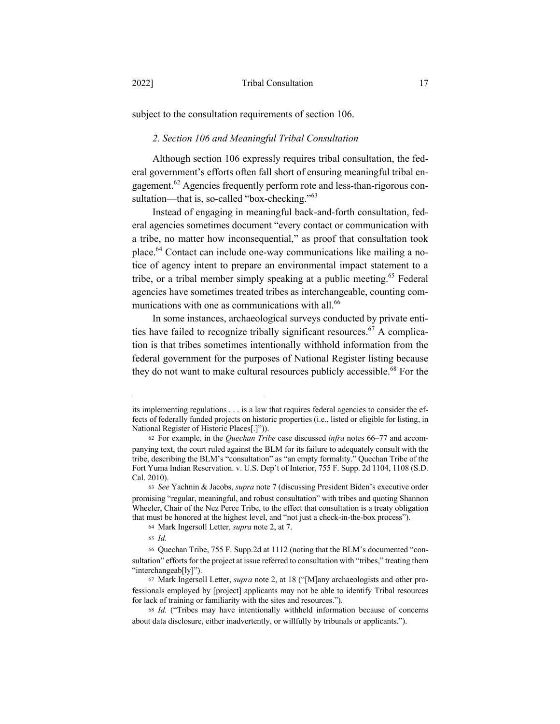subject to the consultation requirements of section 106.

## *2. Section 106 and Meaningful Tribal Consultation*

Although section 106 expressly requires tribal consultation, the federal government's efforts often fall short of ensuring meaningful tribal engagement.<sup>62</sup> Agencies frequently perform rote and less-than-rigorous consultation—that is, so-called "box-checking."<sup>63</sup>

Instead of engaging in meaningful back-and-forth consultation, federal agencies sometimes document "every contact or communication with a tribe, no matter how inconsequential," as proof that consultation took place.64 Contact can include one-way communications like mailing a notice of agency intent to prepare an environmental impact statement to a tribe, or a tribal member simply speaking at a public meeting.<sup>65</sup> Federal agencies have sometimes treated tribes as interchangeable, counting communications with one as communications with all.<sup>66</sup>

In some instances, archaeological surveys conducted by private entities have failed to recognize tribally significant resources.<sup>67</sup> A complication is that tribes sometimes intentionally withhold information from the federal government for the purposes of National Register listing because they do not want to make cultural resources publicly accessible.<sup>68</sup> For the

its implementing regulations . . . is a law that requires federal agencies to consider the effects of federally funded projects on historic properties (i.e., listed or eligible for listing, in National Register of Historic Places[.]")).

<sup>62</sup> For example, in the *Quechan Tribe* case discussed *infra* notes 66–77 and accompanying text, the court ruled against the BLM for its failure to adequately consult with the tribe, describing the BLM's "consultation" as "an empty formality." Quechan Tribe of the Fort Yuma Indian Reservation. v. U.S. Dep't of Interior, 755 F. Supp. 2d 1104, 1108 (S.D. Cal. 2010).

<sup>63</sup> *See* Yachnin & Jacobs, *supra* note 7 (discussing President Biden's executive order promising "regular, meaningful, and robust consultation" with tribes and quoting Shannon Wheeler, Chair of the Nez Perce Tribe, to the effect that consultation is a treaty obligation that must be honored at the highest level, and "not just a check-in-the-box process").

<sup>64</sup> Mark Ingersoll Letter, *supra* note 2, at 7.

<sup>65</sup> *Id.*

<sup>66</sup> Quechan Tribe, 755 F. Supp.2d at 1112 (noting that the BLM's documented "consultation" efforts for the project at issue referred to consultation with "tribes," treating them "interchangeab[ly]").

<sup>67</sup> Mark Ingersoll Letter, *supra* note 2, at 18 ("[M]any archaeologists and other professionals employed by [project] applicants may not be able to identify Tribal resources for lack of training or familiarity with the sites and resources.").

<sup>68</sup> *Id.* ("Tribes may have intentionally withheld information because of concerns about data disclosure, either inadvertently, or willfully by tribunals or applicants.").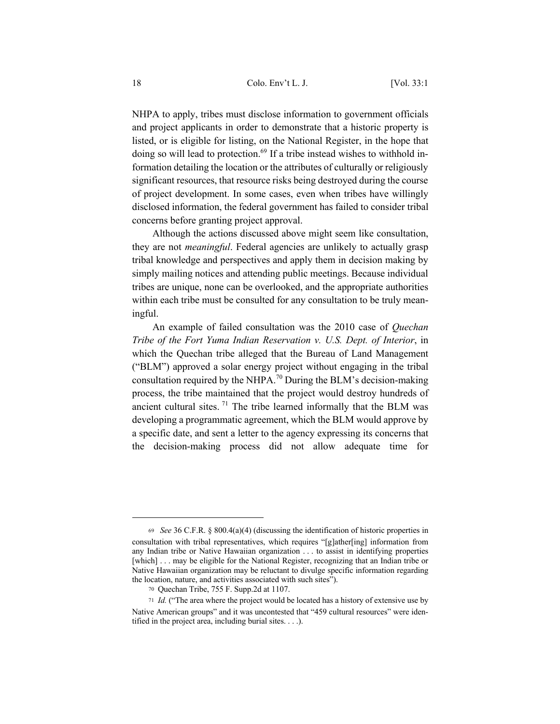NHPA to apply, tribes must disclose information to government officials and project applicants in order to demonstrate that a historic property is listed, or is eligible for listing, on the National Register, in the hope that doing so will lead to protection.<sup>69</sup> If a tribe instead wishes to withhold information detailing the location or the attributes of culturally or religiously significant resources, that resource risks being destroyed during the course of project development. In some cases, even when tribes have willingly disclosed information, the federal government has failed to consider tribal concerns before granting project approval.

Although the actions discussed above might seem like consultation, they are not *meaningful*. Federal agencies are unlikely to actually grasp tribal knowledge and perspectives and apply them in decision making by simply mailing notices and attending public meetings. Because individual tribes are unique, none can be overlooked, and the appropriate authorities within each tribe must be consulted for any consultation to be truly meaningful.

An example of failed consultation was the 2010 case of *Quechan Tribe of the Fort Yuma Indian Reservation v. U.S. Dept. of Interior*, in which the Quechan tribe alleged that the Bureau of Land Management ("BLM") approved a solar energy project without engaging in the tribal consultation required by the NHPA.<sup>70</sup> During the BLM's decision-making process, the tribe maintained that the project would destroy hundreds of ancient cultural sites.  $71$  The tribe learned informally that the BLM was developing a programmatic agreement, which the BLM would approve by a specific date, and sent a letter to the agency expressing its concerns that the decision-making process did not allow adequate time for

<sup>69</sup> *See* 36 C.F.R. § 800.4(a)(4) (discussing the identification of historic properties in consultation with tribal representatives, which requires "[g]ather[ing] information from any Indian tribe or Native Hawaiian organization . . . to assist in identifying properties [which] . . . may be eligible for the National Register, recognizing that an Indian tribe or Native Hawaiian organization may be reluctant to divulge specific information regarding the location, nature, and activities associated with such sites").

<sup>70</sup> Quechan Tribe, 755 F. Supp.2d at 1107.

<sup>71</sup> *Id.* ("The area where the project would be located has a history of extensive use by Native American groups" and it was uncontested that "459 cultural resources" were identified in the project area, including burial sites. . . .).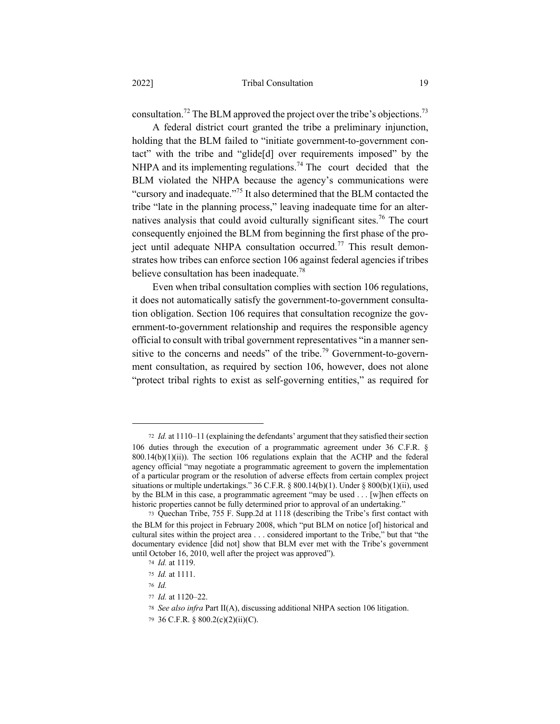consultation.<sup>72</sup> The BLM approved the project over the tribe's objections.<sup>73</sup>

A federal district court granted the tribe a preliminary injunction, holding that the BLM failed to "initiate government-to-government contact" with the tribe and "glide[d] over requirements imposed" by the NHPA and its implementing regulations.<sup>74</sup> The court decided that the BLM violated the NHPA because the agency's communications were "cursory and inadequate."<sup>75</sup> It also determined that the BLM contacted the tribe "late in the planning process," leaving inadequate time for an alternatives analysis that could avoid culturally significant sites.76 The court consequently enjoined the BLM from beginning the first phase of the project until adequate NHPA consultation occurred.<sup>77</sup> This result demonstrates how tribes can enforce section 106 against federal agencies if tribes believe consultation has been inadequate.<sup>78</sup>

Even when tribal consultation complies with section 106 regulations, it does not automatically satisfy the government-to-government consultation obligation. Section 106 requires that consultation recognize the government-to-government relationship and requires the responsible agency official to consult with tribal government representatives "in a manner sensitive to the concerns and needs" of the tribe.<sup>79</sup> Government-to-government consultation, as required by section 106, however, does not alone "protect tribal rights to exist as self-governing entities," as required for

<sup>76</sup> *Id.*

<sup>72</sup> *Id.* at 1110–11 (explaining the defendants' argument that they satisfied their section 106 duties through the execution of a programmatic agreement under 36 C.F.R. §  $800.14(b)(1)(ii)$ . The section 106 regulations explain that the ACHP and the federal agency official "may negotiate a programmatic agreement to govern the implementation of a particular program or the resolution of adverse effects from certain complex project situations or multiple undertakings."  $36$  C.F.R. §  $800.14(b)(1)$ . Under §  $800(b)(1)(ii)$ , used by the BLM in this case, a programmatic agreement "may be used . . . [w]hen effects on historic properties cannot be fully determined prior to approval of an undertaking."

<sup>73</sup> Quechan Tribe, 755 F. Supp.2d at 1118 (describing the Tribe's first contact with the BLM for this project in February 2008, which "put BLM on notice [of] historical and cultural sites within the project area . . . considered important to the Tribe," but that "the documentary evidence [did not] show that BLM ever met with the Tribe's government until October 16, 2010, well after the project was approved").

<sup>74</sup> *Id.* at 1119.

<sup>75</sup> *Id.* at 1111.

<sup>77</sup> *Id.* at 1120–22.

<sup>78</sup> *See also infra* Part II(A), discussing additional NHPA section 106 litigation.

<sup>79</sup> 36 C.F.R. § 800.2(c)(2)(ii)(C).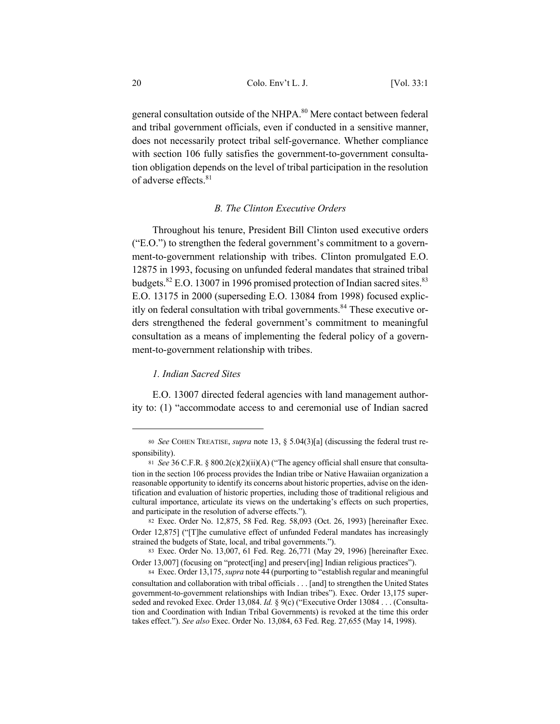general consultation outside of the NHPA.<sup>80</sup> Mere contact between federal and tribal government officials, even if conducted in a sensitive manner, does not necessarily protect tribal self-governance. Whether compliance with section 106 fully satisfies the government-to-government consultation obligation depends on the level of tribal participation in the resolution of adverse effects.<sup>81</sup>

## *B. The Clinton Executive Orders*

Throughout his tenure, President Bill Clinton used executive orders ("E.O.") to strengthen the federal government's commitment to a government-to-government relationship with tribes. Clinton promulgated E.O. 12875 in 1993, focusing on unfunded federal mandates that strained tribal budgets. ${}^{82}$  E.O. 13007 in 1996 promised protection of Indian sacred sites. ${}^{83}$ E.O. 13175 in 2000 (superseding E.O. 13084 from 1998) focused explicitly on federal consultation with tribal governments.<sup>84</sup> These executive orders strengthened the federal government's commitment to meaningful consultation as a means of implementing the federal policy of a government-to-government relationship with tribes.

## *1. Indian Sacred Sites*

E.O. 13007 directed federal agencies with land management authority to: (1) "accommodate access to and ceremonial use of Indian sacred

<sup>80</sup> *See* COHEN TREATISE, *supra* note 13, § 5.04(3)[a] (discussing the federal trust responsibility).

<sup>81</sup> *See* 36 C.F.R. § 800.2(c)(2)(ii)(A) ("The agency official shall ensure that consultation in the section 106 process provides the Indian tribe or Native Hawaiian organization a reasonable opportunity to identify its concerns about historic properties, advise on the identification and evaluation of historic properties, including those of traditional religious and cultural importance, articulate its views on the undertaking's effects on such properties, and participate in the resolution of adverse effects.").

<sup>82</sup> Exec. Order No. 12,875, 58 Fed. Reg. 58,093 (Oct. 26, 1993) [hereinafter Exec. Order 12,875] ("[T]he cumulative effect of unfunded Federal mandates has increasingly strained the budgets of State, local, and tribal governments.").

<sup>83</sup> Exec. Order No. 13,007, 61 Fed. Reg. 26,771 (May 29, 1996) [hereinafter Exec. Order 13,007] (focusing on "protect[ing] and preserv[ing] Indian religious practices").

<sup>84</sup> Exec. Order 13,175, *supra* note 44 (purporting to "establish regular and meaningful consultation and collaboration with tribal officials . . . [and] to strengthen the United States government-to-government relationships with Indian tribes"). Exec. Order 13,175 superseded and revoked Exec. Order 13,084. *Id.* § 9(c) ("Executive Order 13084 . . . (Consultation and Coordination with Indian Tribal Governments) is revoked at the time this order takes effect."). *See also* Exec. Order No. 13,084, 63 Fed. Reg. 27,655 (May 14, 1998).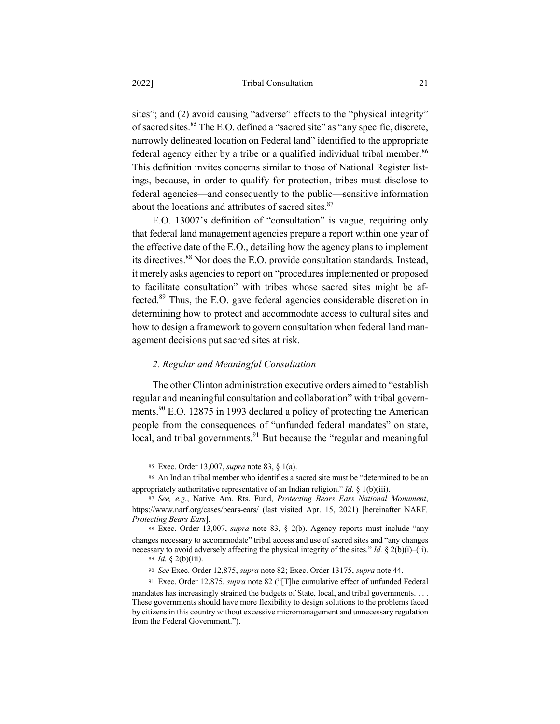sites"; and (2) avoid causing "adverse" effects to the "physical integrity" of sacred sites.<sup>85</sup> The E.O. defined a "sacred site" as "any specific, discrete, narrowly delineated location on Federal land" identified to the appropriate federal agency either by a tribe or a qualified individual tribal member.<sup>86</sup> This definition invites concerns similar to those of National Register listings, because, in order to qualify for protection, tribes must disclose to federal agencies—and consequently to the public—sensitive information about the locations and attributes of sacred sites.<sup>87</sup>

E.O. 13007's definition of "consultation" is vague, requiring only that federal land management agencies prepare a report within one year of the effective date of the E.O., detailing how the agency plans to implement its directives.<sup>88</sup> Nor does the E.O. provide consultation standards. Instead, it merely asks agencies to report on "procedures implemented or proposed to facilitate consultation" with tribes whose sacred sites might be affected.89 Thus, the E.O. gave federal agencies considerable discretion in determining how to protect and accommodate access to cultural sites and how to design a framework to govern consultation when federal land management decisions put sacred sites at risk.

#### *2. Regular and Meaningful Consultation*

The other Clinton administration executive orders aimed to "establish regular and meaningful consultation and collaboration" with tribal governments.<sup>90</sup> E.O. 12875 in 1993 declared a policy of protecting the American people from the consequences of "unfunded federal mandates" on state, local, and tribal governments. $91$  But because the "regular and meaningful

<sup>85</sup> Exec. Order 13,007, *supra* note 83, § 1(a).

<sup>86</sup> An Indian tribal member who identifies a sacred site must be "determined to be an appropriately authoritative representative of an Indian religion." *Id.* § 1(b)(iii).

<sup>87</sup> *See, e.g.*, Native Am. Rts. Fund, *Protecting Bears Ears National Monument*, https://www.narf.org/cases/bears-ears/ (last visited Apr. 15, 2021) [hereinafter NARF*, Protecting Bears Ears*].

<sup>88</sup> Exec. Order 13,007, *supra* note 83, § 2(b). Agency reports must include "any changes necessary to accommodate" tribal access and use of sacred sites and "any changes necessary to avoid adversely affecting the physical integrity of the sites." *Id.* § 2(b)(i)–(ii). <sup>89</sup> *Id.* § 2(b)(iii).

<sup>90</sup> *See* Exec. Order 12,875, *supra* note 82; Exec. Order 13175, *supra* note 44.

<sup>91</sup> Exec. Order 12,875, *supra* note 82 ("[T]he cumulative effect of unfunded Federal

mandates has increasingly strained the budgets of State, local, and tribal governments. . . . These governments should have more flexibility to design solutions to the problems faced by citizens in this country without excessive micromanagement and unnecessary regulation from the Federal Government.").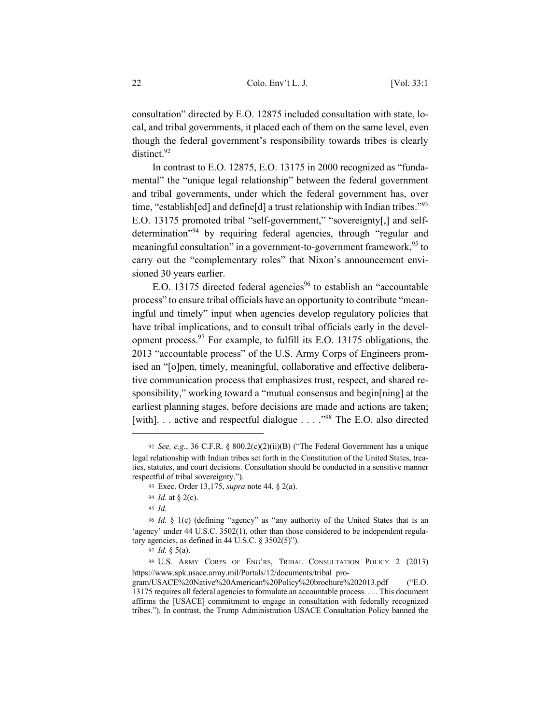consultation" directed by E.O. 12875 included consultation with state, local, and tribal governments, it placed each of them on the same level, even though the federal government's responsibility towards tribes is clearly distinct.<sup>92</sup>

In contrast to E.O. 12875, E.O. 13175 in 2000 recognized as "fundamental" the "unique legal relationship" between the federal government and tribal governments, under which the federal government has, over time, "establish[ed] and define[d] a trust relationship with Indian tribes."<sup>93</sup> E.O. 13175 promoted tribal "self-government," "sovereignty[,] and selfdetermination"94 by requiring federal agencies, through "regular and meaningful consultation" in a government-to-government framework,<sup>95</sup> to carry out the "complementary roles" that Nixon's announcement envisioned 30 years earlier.

E.O. 13175 directed federal agencies<sup>96</sup> to establish an "accountable" process" to ensure tribal officials have an opportunity to contribute "meaningful and timely" input when agencies develop regulatory policies that have tribal implications, and to consult tribal officials early in the development process.  $\frac{97}{7}$  For example, to fulfill its E.O. 13175 obligations, the 2013 "accountable process" of the U.S. Army Corps of Engineers promised an "[o]pen, timely, meaningful, collaborative and effective deliberative communication process that emphasizes trust, respect, and shared responsibility," working toward a "mutual consensus and begin[ning] at the earliest planning stages, before decisions are made and actions are taken; [with]. . . active and respectful dialogue . . . .<sup>.98</sup> The E.O. also directed

<sup>92</sup> *See, e.g.*, 36 C.F.R. § 800.2(c)(2)(ii)(B) ("The Federal Government has a unique legal relationship with Indian tribes set forth in the Constitution of the United States, treaties, statutes, and court decisions. Consultation should be conducted in a sensitive manner respectful of tribal sovereignty.").

<sup>93</sup> Exec. Order 13,175, *supra* note 44, § 2(a).

<sup>94</sup> *Id.* at § 2(c).

<sup>95</sup> *Id.*

<sup>96</sup> *Id.* § 1(c) (defining "agency" as "any authority of the United States that is an 'agency' under 44 U.S.C. 3502(1), other than those considered to be independent regulatory agencies, as defined in 44 U.S.C. § 3502(5)").

<sup>97</sup> *Id.* § 5(a).

<sup>98</sup> U.S. ARMY CORPS OF ENG'RS, TRIBAL CONSULTATION POLICY 2 (2013) https://www.spk.usace.army.mil/Portals/12/documents/tribal\_pro-

gram/USACE%20Native%20American%20Policy%20brochure%202013.pdf ("E.O. 13175 requires all federal agencies to formulate an accountable process. . . . This document affirms the [USACE] commitment to engage in consultation with federally recognized tribes."). In contrast, the Trump Administration USACE Consultation Policy banned the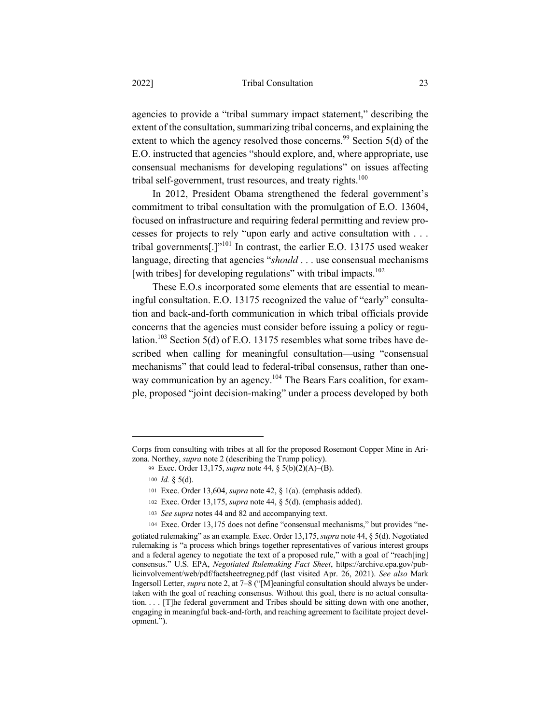### 2022] Tribal Consultation 23

agencies to provide a "tribal summary impact statement," describing the extent of the consultation, summarizing tribal concerns, and explaining the extent to which the agency resolved those concerns.<sup>99</sup> Section 5(d) of the E.O. instructed that agencies "should explore, and, where appropriate, use consensual mechanisms for developing regulations" on issues affecting tribal self-government, trust resources, and treaty rights. $100$ 

In 2012, President Obama strengthened the federal government's commitment to tribal consultation with the promulgation of E.O. 13604, focused on infrastructure and requiring federal permitting and review processes for projects to rely "upon early and active consultation with . . . tribal governments[.]"<sup>101</sup> In contrast, the earlier E.O. 13175 used weaker language, directing that agencies "*should* . . . use consensual mechanisms [with tribes] for developing regulations" with tribal impacts.<sup>102</sup>

These E.O.s incorporated some elements that are essential to meaningful consultation. E.O. 13175 recognized the value of "early" consultation and back-and-forth communication in which tribal officials provide concerns that the agencies must consider before issuing a policy or regulation.<sup>103</sup> Section 5(d) of E.O. 13175 resembles what some tribes have described when calling for meaningful consultation—using "consensual mechanisms" that could lead to federal-tribal consensus, rather than oneway communication by an agency.<sup>104</sup> The Bears Ears coalition, for example, proposed "joint decision-making" under a process developed by both

Corps from consulting with tribes at all for the proposed Rosemont Copper Mine in Arizona. Northey, *supra* note 2 (describing the Trump policy).

<sup>99</sup> Exec. Order 13,175, *supra* note 44, § 5(b)(2)(A)–(B).

<sup>100</sup> *Id.* § 5(d).

<sup>101</sup> Exec. Order 13,604, *supra* note 42, § 1(a). (emphasis added).

<sup>102</sup> Exec. Order 13,175, *supra* note 44, § 5(d). (emphasis added).

<sup>103</sup> *See supra* notes 44 and 82 and accompanying text.

<sup>104</sup> Exec. Order 13,175 does not define "consensual mechanisms," but provides "ne-

gotiated rulemaking" as an example*.* Exec. Order 13,175, *supra* note 44, § 5(d). Negotiated rulemaking is "a process which brings together representatives of various interest groups and a federal agency to negotiate the text of a proposed rule," with a goal of "reach[ing] consensus." U.S. EPA, *Negotiated Rulemaking Fact Sheet*, https://archive.epa.gov/publicinvolvement/web/pdf/factsheetregneg.pdf (last visited Apr. 26, 2021). *See also* Mark Ingersoll Letter, *supra* note 2, at 7–8 ("[M]eaningful consultation should always be undertaken with the goal of reaching consensus. Without this goal, there is no actual consultation. . . . [T]he federal government and Tribes should be sitting down with one another, engaging in meaningful back-and-forth, and reaching agreement to facilitate project development.").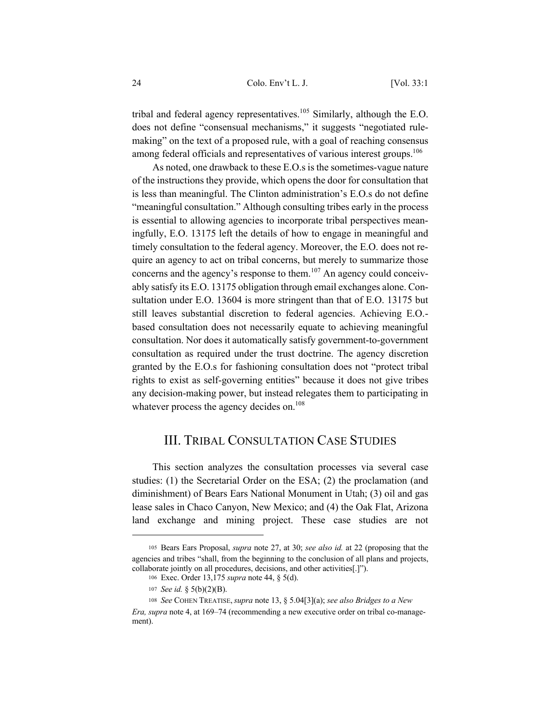24 Colo. Env't L. J. [Vol. 33:1

tribal and federal agency representatives.<sup>105</sup> Similarly, although the E.O. does not define "consensual mechanisms," it suggests "negotiated rulemaking" on the text of a proposed rule, with a goal of reaching consensus among federal officials and representatives of various interest groups.<sup>106</sup>

As noted, one drawback to these E.O.s is the sometimes-vague nature of the instructions they provide, which opens the door for consultation that is less than meaningful. The Clinton administration's E.O.s do not define "meaningful consultation." Although consulting tribes early in the process is essential to allowing agencies to incorporate tribal perspectives meaningfully, E.O. 13175 left the details of how to engage in meaningful and timely consultation to the federal agency. Moreover, the E.O. does not require an agency to act on tribal concerns, but merely to summarize those concerns and the agency's response to them. $107$  An agency could conceivably satisfy its E.O. 13175 obligation through email exchanges alone. Consultation under E.O. 13604 is more stringent than that of E.O. 13175 but still leaves substantial discretion to federal agencies. Achieving E.O. based consultation does not necessarily equate to achieving meaningful consultation. Nor does it automatically satisfy government-to-government consultation as required under the trust doctrine. The agency discretion granted by the E.O.s for fashioning consultation does not "protect tribal rights to exist as self-governing entities" because it does not give tribes any decision-making power, but instead relegates them to participating in whatever process the agency decides on.<sup>108</sup>

## III. TRIBAL CONSULTATION CASE STUDIES

This section analyzes the consultation processes via several case studies: (1) the Secretarial Order on the ESA; (2) the proclamation (and diminishment) of Bears Ears National Monument in Utah; (3) oil and gas lease sales in Chaco Canyon, New Mexico; and (4) the Oak Flat, Arizona land exchange and mining project. These case studies are not

<sup>105</sup> Bears Ears Proposal, *supra* note 27, at 30; *see also id.* at 22 (proposing that the agencies and tribes "shall, from the beginning to the conclusion of all plans and projects, collaborate jointly on all procedures, decisions, and other activities[.]").

<sup>106</sup> Exec. Order 13,175 *supra* note 44, § 5(d).

<sup>107</sup> *See id.* § 5(b)(2)(B).

<sup>108</sup> *See* COHEN TREATISE,*supra* note 13, § 5.04[3](a); *see also Bridges to a New* 

*Era, supra* note 4, at 169–74 (recommending a new executive order on tribal co-management).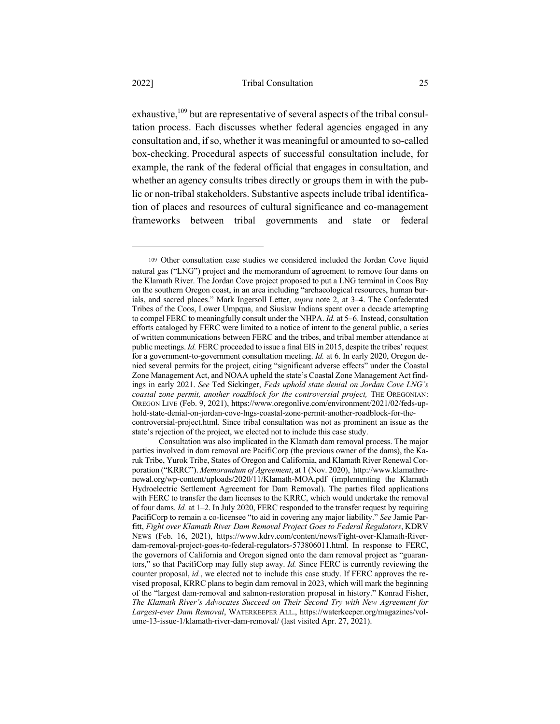exhaustive,  $109$  but are representative of several aspects of the tribal consultation process. Each discusses whether federal agencies engaged in any consultation and, if so, whether it was meaningful or amounted to so-called box-checking. Procedural aspects of successful consultation include, for example, the rank of the federal official that engages in consultation, and whether an agency consults tribes directly or groups them in with the public or non-tribal stakeholders. Substantive aspects include tribal identification of places and resources of cultural significance and co-management frameworks between tribal governments and state or federal

<sup>109</sup> Other consultation case studies we considered included the Jordan Cove liquid natural gas ("LNG") project and the memorandum of agreement to remove four dams on the Klamath River. The Jordan Cove project proposed to put a LNG terminal in Coos Bay on the southern Oregon coast, in an area including "archaeological resources, human burials, and sacred places." Mark Ingersoll Letter, *supra* note 2, at 3–4. The Confederated Tribes of the Coos, Lower Umpqua, and Siuslaw Indians spent over a decade attempting to compel FERC to meaningfully consult under the NHPA. *Id.* at 5–6. Instead, consultation efforts cataloged by FERC were limited to a notice of intent to the general public, a series of written communications between FERC and the tribes, and tribal member attendance at public meetings. *Id.* FERC proceeded to issue a final EIS in 2015, despite the tribes' request for a government-to-government consultation meeting. *Id.* at 6. In early 2020, Oregon denied several permits for the project, citing "significant adverse effects" under the Coastal Zone Management Act, and NOAA upheld the state's Coastal Zone Management Act findings in early 2021. *See* Ted Sickinger, *Feds uphold state denial on Jordan Cove LNG's coastal zone permit, another roadblock for the controversial project,* THE OREGONIAN: OREGON LIVE (Feb. 9, 2021), https://www.oregonlive.com/environment/2021/02/feds-uphold-state-denial-on-jordan-cove-lngs-coastal-zone-permit-another-roadblock-for-thecontroversial-project.html. Since tribal consultation was not as prominent an issue as the state's rejection of the project, we elected not to include this case study.

Consultation was also implicated in the Klamath dam removal process. The major parties involved in dam removal are PacifiCorp (the previous owner of the dams), the Karuk Tribe, Yurok Tribe, States of Oregon and California, and Klamath River Renewal Corporation ("KRRC"). *Memorandum of Agreement*, at 1 (Nov. 2020), http://www.klamathrenewal.org/wp-content/uploads/2020/11/Klamath-MOA.pdf (implementing the Klamath Hydroelectric Settlement Agreement for Dam Removal). The parties filed applications with FERC to transfer the dam licenses to the KRRC, which would undertake the removal of four dams. *Id.* at 1–2. In July 2020, FERC responded to the transfer request by requiring PacifiCorp to remain a co-licensee "to aid in covering any major liability." *See* Jamie Parfitt, *Fight over Klamath River Dam Removal Project Goes to Federal Regulators*, KDRV NEWS (Feb. 16, 2021), https://www.kdrv.com/content/news/Fight-over-Klamath-Riverdam-removal-project-goes-to-federal-regulators-573806011.html. In response to FERC, the governors of California and Oregon signed onto the dam removal project as "guarantors," so that PacifiCorp may fully step away. *Id.* Since FERC is currently reviewing the counter proposal, *id.*, we elected not to include this case study. If FERC approves the revised proposal, KRRC plans to begin dam removal in 2023, which will mark the beginning of the "largest dam-removal and salmon-restoration proposal in history." Konrad Fisher, *The Klamath River's Advocates Succeed on Their Second Try with New Agreement for Largest-ever Dam Removal*, WATERKEEPER ALL., https://waterkeeper.org/magazines/volume-13-issue-1/klamath-river-dam-removal/ (last visited Apr. 27, 2021).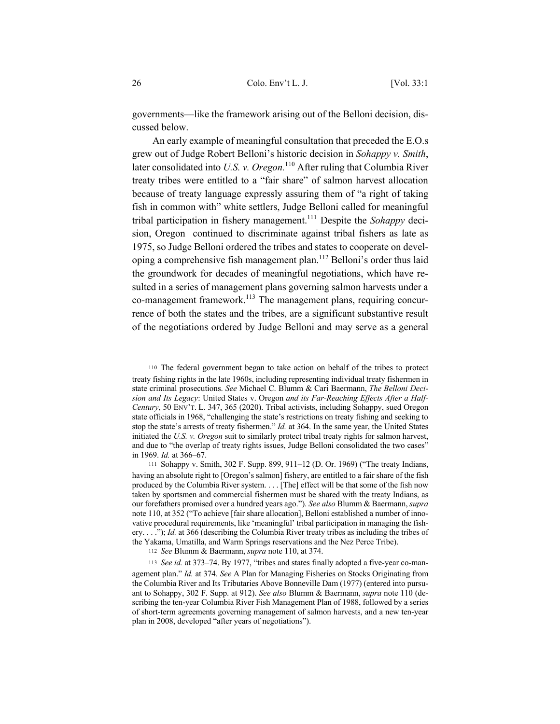governments—like the framework arising out of the Belloni decision, discussed below.

An early example of meaningful consultation that preceded the E.O.s grew out of Judge Robert Belloni's historic decision in *Sohappy v. Smith*, later consolidated into *U.S. v. Oregon.*<sup>110</sup> After ruling that Columbia River treaty tribes were entitled to a "fair share" of salmon harvest allocation because of treaty language expressly assuring them of "a right of taking fish in common with" white settlers, Judge Belloni called for meaningful tribal participation in fishery management.<sup>111</sup> Despite the *Sohappy* decision, Oregon continued to discriminate against tribal fishers as late as 1975, so Judge Belloni ordered the tribes and states to cooperate on developing a comprehensive fish management plan.<sup>112</sup> Belloni's order thus laid the groundwork for decades of meaningful negotiations, which have resulted in a series of management plans governing salmon harvests under a co-management framework.<sup>113</sup> The management plans, requiring concurrence of both the states and the tribes, are a significant substantive result of the negotiations ordered by Judge Belloni and may serve as a general

<sup>110</sup> The federal government began to take action on behalf of the tribes to protect treaty fishing rights in the late 1960s, including representing individual treaty fishermen in state criminal prosecutions. *See* Michael C. Blumm & Cari Baermann, *The Belloni Decision and Its Legacy*: United States v. Oregon *and its Far-Reaching Effects After a Half-Century*, 50 ENV'T. L. 347, 365 (2020). Tribal activists, including Sohappy, sued Oregon state officials in 1968, "challenging the state's restrictions on treaty fishing and seeking to stop the state's arrests of treaty fishermen." *Id.* at 364. In the same year, the United States initiated the *U.S. v. Oregon* suit to similarly protect tribal treaty rights for salmon harvest, and due to "the overlap of treaty rights issues, Judge Belloni consolidated the two cases" in 1969. *Id.* at 366–67.

<sup>111</sup> Sohappy v. Smith, 302 F. Supp. 899, 911–12 (D. Or. 1969) ("The treaty Indians, having an absolute right to [Oregon's salmon] fishery, are entitled to a fair share of the fish produced by the Columbia River system. . . . [The] effect will be that some of the fish now taken by sportsmen and commercial fishermen must be shared with the treaty Indians, as our forefathers promised over a hundred years ago."). *See also* Blumm & Baermann, *supra*  note 110, at 352 ("To achieve [fair share allocation], Belloni established a number of innovative procedural requirements, like 'meaningful' tribal participation in managing the fishery. . . ."); *Id.* at 366 (describing the Columbia River treaty tribes as including the tribes of the Yakama, Umatilla, and Warm Springs reservations and the Nez Perce Tribe).

<sup>112</sup> *See* Blumm & Baermann, *supra* note 110, at 374.

<sup>113</sup> *See id.* at 373–74. By 1977, "tribes and states finally adopted a five-year co-management plan." *Id.* at 374. *See* A Plan for Managing Fisheries on Stocks Originating from the Columbia River and Its Tributaries Above Bonneville Dam (1977) (entered into pursuant to Sohappy, 302 F. Supp. at 912). *See also* Blumm & Baermann, *supra* note 110 (describing the ten-year Columbia River Fish Management Plan of 1988, followed by a series of short-term agreements governing management of salmon harvests, and a new ten-year plan in 2008, developed "after years of negotiations").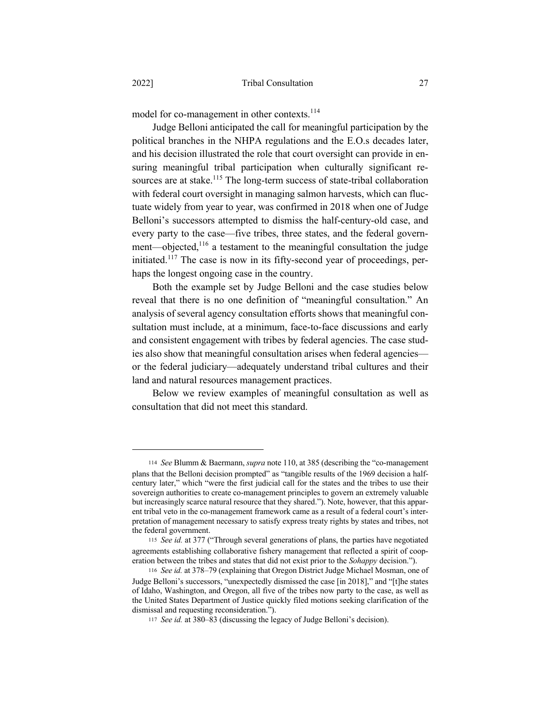model for co-management in other contexts.<sup>114</sup>

Judge Belloni anticipated the call for meaningful participation by the political branches in the NHPA regulations and the E.O.s decades later, and his decision illustrated the role that court oversight can provide in ensuring meaningful tribal participation when culturally significant resources are at stake.<sup>115</sup> The long-term success of state-tribal collaboration with federal court oversight in managing salmon harvests, which can fluctuate widely from year to year, was confirmed in 2018 when one of Judge Belloni's successors attempted to dismiss the half-century-old case, and every party to the case—five tribes, three states, and the federal government—objected,<sup>116</sup> a testament to the meaningful consultation the judge initiated.<sup>117</sup> The case is now in its fifty-second year of proceedings, perhaps the longest ongoing case in the country.

Both the example set by Judge Belloni and the case studies below reveal that there is no one definition of "meaningful consultation." An analysis of several agency consultation efforts shows that meaningful consultation must include, at a minimum, face-to-face discussions and early and consistent engagement with tribes by federal agencies. The case studies also show that meaningful consultation arises when federal agencies or the federal judiciary—adequately understand tribal cultures and their land and natural resources management practices.

Below we review examples of meaningful consultation as well as consultation that did not meet this standard.

<sup>114</sup> *See* Blumm & Baermann, *supra* note 110, at 385 (describing the "co-management plans that the Belloni decision prompted" as "tangible results of the 1969 decision a halfcentury later," which "were the first judicial call for the states and the tribes to use their sovereign authorities to create co-management principles to govern an extremely valuable but increasingly scarce natural resource that they shared."). Note, however, that this apparent tribal veto in the co-management framework came as a result of a federal court's interpretation of management necessary to satisfy express treaty rights by states and tribes, not the federal government.

<sup>115</sup> *See id.* at 377 ("Through several generations of plans, the parties have negotiated agreements establishing collaborative fishery management that reflected a spirit of cooperation between the tribes and states that did not exist prior to the *Sohappy* decision.").

<sup>116</sup> *See id.* at 378–79 (explaining that Oregon District Judge Michael Mosman, one of Judge Belloni's successors, "unexpectedly dismissed the case [in 2018]," and "[t]he states of Idaho, Washington, and Oregon, all five of the tribes now party to the case, as well as the United States Department of Justice quickly filed motions seeking clarification of the dismissal and requesting reconsideration.").

<sup>117</sup> *See id.* at 380–83 (discussing the legacy of Judge Belloni's decision).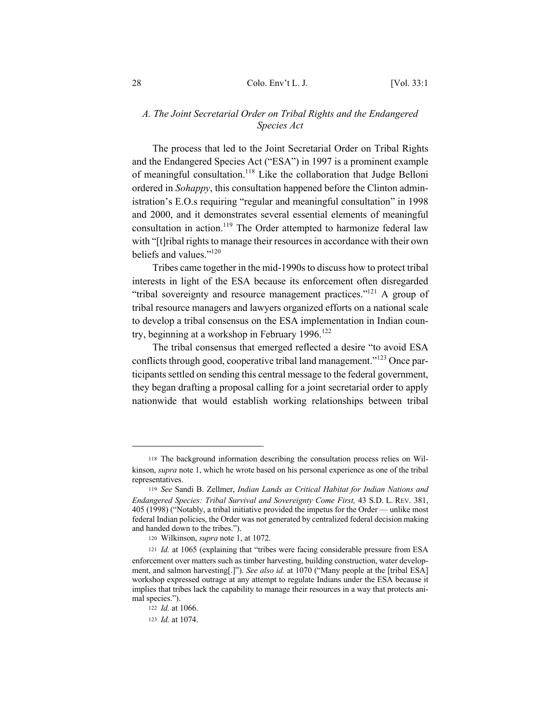## *A. The Joint Secretarial Order on Tribal Rights and the Endangered Species Act*

The process that led to the Joint Secretarial Order on Tribal Rights and the Endangered Species Act ("ESA") in 1997 is a prominent example of meaningful consultation.<sup>118</sup> Like the collaboration that Judge Belloni ordered in *Sohappy*, this consultation happened before the Clinton administration's E.O.s requiring "regular and meaningful consultation" in 1998 and 2000, and it demonstrates several essential elements of meaningful consultation in action.<sup>119</sup> The Order attempted to harmonize federal law with "[t]ribal rights to manage their resources in accordance with their own beliefs and values."120

Tribes came together in the mid-1990s to discuss how to protect tribal interests in light of the ESA because its enforcement often disregarded "tribal sovereignty and resource management practices."121 A group of tribal resource managers and lawyers organized efforts on a national scale to develop a tribal consensus on the ESA implementation in Indian country, beginning at a workshop in February  $1996$ <sup>122</sup>

The tribal consensus that emerged reflected a desire "to avoid ESA conflicts through good, cooperative tribal land management."<sup>123</sup> Once participants settled on sending this central message to the federal government, they began drafting a proposal calling for a joint secretarial order to apply nationwide that would establish working relationships between tribal

<sup>118</sup> The background information describing the consultation process relies on Wilkinson, *supra* note 1, which he wrote based on his personal experience as one of the tribal representatives.

<sup>119</sup> *See* Sandi B. Zellmer, *Indian Lands as Critical Habitat for Indian Nations and Endangered Species: Tribal Survival and Sovereignty Come First,* 43 S.D. L. REV. 381, 405 (1998) ("Notably, a tribal initiative provided the impetus for the Order — unlike most federal Indian policies, the Order was not generated by centralized federal decision making and handed down to the tribes.").

<sup>120</sup> Wilkinson, *supra* note 1, at 1072.

<sup>121</sup> *Id.* at 1065 (explaining that "tribes were facing considerable pressure from ESA enforcement over matters such as timber harvesting, building construction, water development, and salmon harvesting[.]"). *See also id.* at 1070 ("Many people at the [tribal ESA] workshop expressed outrage at any attempt to regulate Indians under the ESA because it implies that tribes lack the capability to manage their resources in a way that protects animal species.").

<sup>122</sup> *Id.* at 1066.

<sup>123</sup> *Id.* at 1074.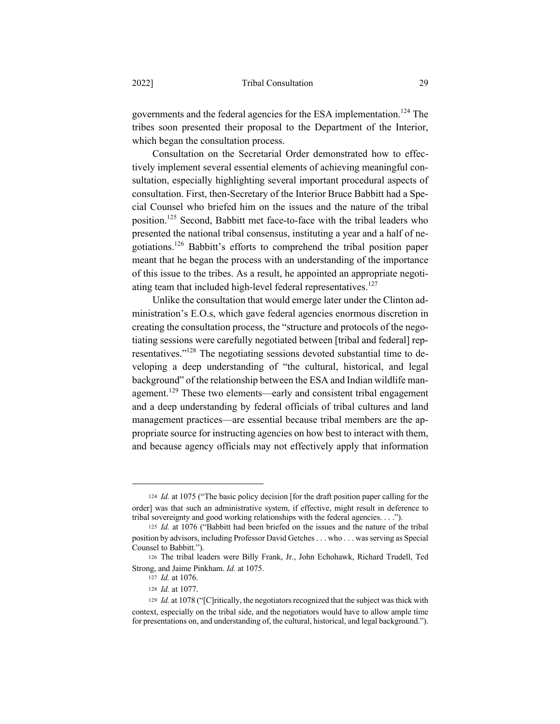governments and the federal agencies for the ESA implementation.<sup>124</sup> The tribes soon presented their proposal to the Department of the Interior, which began the consultation process.

Consultation on the Secretarial Order demonstrated how to effectively implement several essential elements of achieving meaningful consultation, especially highlighting several important procedural aspects of consultation. First, then-Secretary of the Interior Bruce Babbitt had a Special Counsel who briefed him on the issues and the nature of the tribal position.125 Second, Babbitt met face-to-face with the tribal leaders who presented the national tribal consensus, instituting a year and a half of negotiations.126 Babbitt's efforts to comprehend the tribal position paper meant that he began the process with an understanding of the importance of this issue to the tribes. As a result, he appointed an appropriate negotiating team that included high-level federal representatives.<sup>127</sup>

Unlike the consultation that would emerge later under the Clinton administration's E.O.s, which gave federal agencies enormous discretion in creating the consultation process, the "structure and protocols of the negotiating sessions were carefully negotiated between [tribal and federal] representatives."<sup>128</sup> The negotiating sessions devoted substantial time to developing a deep understanding of "the cultural, historical, and legal background" of the relationship between the ESA and Indian wildlife management.<sup>129</sup> These two elements—early and consistent tribal engagement and a deep understanding by federal officials of tribal cultures and land management practices—are essential because tribal members are the appropriate source for instructing agencies on how best to interact with them, and because agency officials may not effectively apply that information

<sup>124</sup> *Id.* at 1075 ("The basic policy decision [for the draft position paper calling for the order] was that such an administrative system, if effective, might result in deference to tribal sovereignty and good working relationships with the federal agencies. . . .").

<sup>125</sup> *Id.* at 1076 ("Babbitt had been briefed on the issues and the nature of the tribal position by advisors, including Professor David Getches . . . who . . . was serving as Special Counsel to Babbitt.").

<sup>126</sup> The tribal leaders were Billy Frank, Jr., John Echohawk, Richard Trudell, Ted Strong, and Jaime Pinkham. *Id.* at 1075.

<sup>127</sup> *Id.* at 1076.

<sup>128</sup> *Id.* at 1077.

<sup>129</sup> *Id.* at 1078 ("[C]ritically, the negotiators recognized that the subject was thick with context, especially on the tribal side, and the negotiators would have to allow ample time for presentations on, and understanding of, the cultural, historical, and legal background.").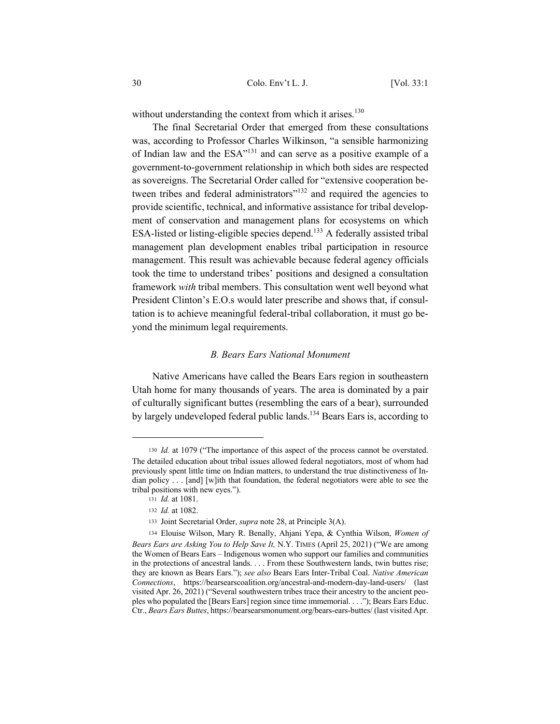without understanding the context from which it arises.<sup>130</sup>

The final Secretarial Order that emerged from these consultations was, according to Professor Charles Wilkinson, "a sensible harmonizing of Indian law and the ESA"<sup>131</sup> and can serve as a positive example of a government-to-government relationship in which both sides are respected as sovereigns. The Secretarial Order called for "extensive cooperation between tribes and federal administrators"<sup>132</sup> and required the agencies to provide scientific, technical, and informative assistance for tribal development of conservation and management plans for ecosystems on which ESA-listed or listing-eligible species depend.<sup>133</sup> A federally assisted tribal management plan development enables tribal participation in resource management. This result was achievable because federal agency officials took the time to understand tribes' positions and designed a consultation framework *with* tribal members. This consultation went well beyond what President Clinton's E.O.s would later prescribe and shows that, if consultation is to achieve meaningful federal-tribal collaboration, it must go beyond the minimum legal requirements.

### *B. Bears Ears National Monument*

Native Americans have called the Bears Ears region in southeastern Utah home for many thousands of years. The area is dominated by a pair of culturally significant buttes (resembling the ears of a bear), surrounded by largely undeveloped federal public lands.<sup>134</sup> Bears Ears is, according to

<sup>130</sup> *Id.* at 1079 ("The importance of this aspect of the process cannot be overstated. The detailed education about tribal issues allowed federal negotiators, most of whom had previously spent little time on Indian matters, to understand the true distinctiveness of Indian policy . . . [and] [w]ith that foundation, the federal negotiators were able to see the tribal positions with new eyes.").

<sup>131</sup> *Id.* at 1081.

<sup>132</sup> *Id.* at 1082.

<sup>133</sup> Joint Secretarial Order, *supra* note 28, at Principle 3(A).

<sup>134</sup> Elouise Wilson, Mary R. Benally, Ahjani Yepa, & Cynthia Wilson, *Women of Bears Ears are Asking You to Help Save It,* N.Y. TIMES (April 25, 2021) ("We are among the Women of Bears Ears – Indigenous women who support our families and communities in the protections of ancestral lands. . . . From these Southwestern lands, twin buttes rise; they are known as Bears Ears."); *see also* Bears Ears Inter-Tribal Coal. *Native American Connections*, https://bearsearscoalition.org/ancestral-and-modern-day-land-users/ (last visited Apr. 26, 2021) ("Several southwestern tribes trace their ancestry to the ancient peoples who populated the [Bears Ears] region since time immemorial. . . ."); Bears Ears Educ. Ctr., *Bears Ears Buttes*, https://bearsearsmonument.org/bears-ears-buttes/ (last visited Apr.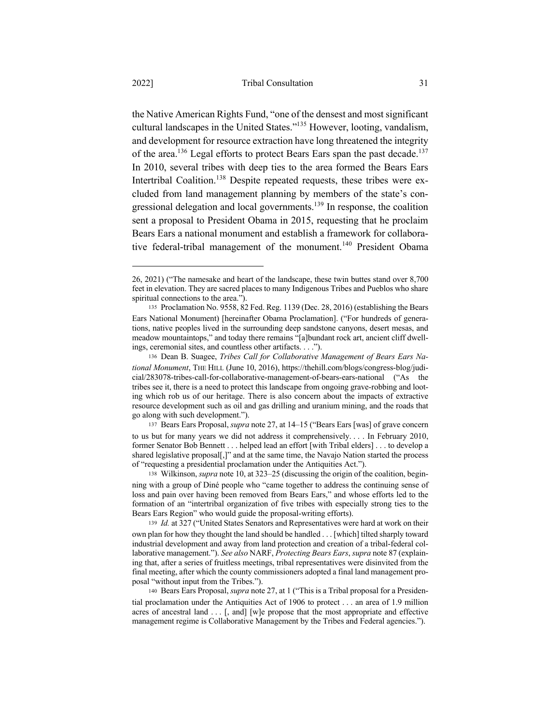the Native American Rights Fund, "one of the densest and most significant cultural landscapes in the United States."135 However, looting, vandalism, and development for resource extraction have long threatened the integrity of the area.<sup>136</sup> Legal efforts to protect Bears Ears span the past decade.<sup>137</sup> In 2010, several tribes with deep ties to the area formed the Bears Ears Intertribal Coalition.<sup>138</sup> Despite repeated requests, these tribes were excluded from land management planning by members of the state's congressional delegation and local governments.<sup>139</sup> In response, the coalition sent a proposal to President Obama in 2015, requesting that he proclaim Bears Ears a national monument and establish a framework for collaborative federal-tribal management of the monument.<sup>140</sup> President Obama

<sup>137</sup> Bears Ears Proposal, *supra* note 27, at 14–15 ("Bears Ears [was] of grave concern to us but for many years we did not address it comprehensively. . . . In February 2010, former Senator Bob Bennett . . . helped lead an effort [with Tribal elders] . . . to develop a shared legislative proposal[,]" and at the same time, the Navajo Nation started the process of "requesting a presidential proclamation under the Antiquities Act.").

<sup>26, 2021) (&</sup>quot;The namesake and heart of the landscape, these twin buttes stand over 8,700 feet in elevation. They are sacred places to many Indigenous Tribes and Pueblos who share spiritual connections to the area.").

<sup>135</sup> Proclamation No. 9558, 82 Fed. Reg. 1139 (Dec. 28, 2016) (establishing the Bears Ears National Monument) [hereinafter Obama Proclamation]. ("For hundreds of generations, native peoples lived in the surrounding deep sandstone canyons, desert mesas, and meadow mountaintops," and today there remains "[a]bundant rock art, ancient cliff dwellings, ceremonial sites, and countless other artifacts. . . .").

<sup>136</sup> Dean B. Suagee, *Tribes Call for Collaborative Management of Bears Ears National Monument*, THE HILL (June 10, 2016), https://thehill.com/blogs/congress-blog/judicial/283078-tribes-call-for-collaborative-management-of-bears-ears-national ("As the tribes see it, there is a need to protect this landscape from ongoing grave-robbing and looting which rob us of our heritage. There is also concern about the impacts of extractive resource development such as oil and gas drilling and uranium mining, and the roads that go along with such development.").

<sup>138</sup> Wilkinson, *supra* note 10, at 323–25 (discussing the origin of the coalition, beginning with a group of Diné people who "came together to address the continuing sense of loss and pain over having been removed from Bears Ears," and whose efforts led to the formation of an "intertribal organization of five tribes with especially strong ties to the Bears Ears Region" who would guide the proposal-writing efforts).

<sup>139</sup> *Id.* at 327 ("United States Senators and Representatives were hard at work on their own plan for how they thought the land should be handled . . . [which] tilted sharply toward industrial development and away from land protection and creation of a tribal-federal collaborative management."). *See also* NARF, *Protecting Bears Ears*, *supra* note 87 (explaining that, after a series of fruitless meetings, tribal representatives were disinvited from the final meeting, after which the county commissioners adopted a final land management proposal "without input from the Tribes.").

<sup>140</sup> Bears Ears Proposal, *supra* note 27, at 1 ("This is a Tribal proposal for a Presidential proclamation under the Antiquities Act of 1906 to protect . . . an area of 1.9 million acres of ancestral land  $\dots$  [, and] [w]e propose that the most appropriate and effective management regime is Collaborative Management by the Tribes and Federal agencies.").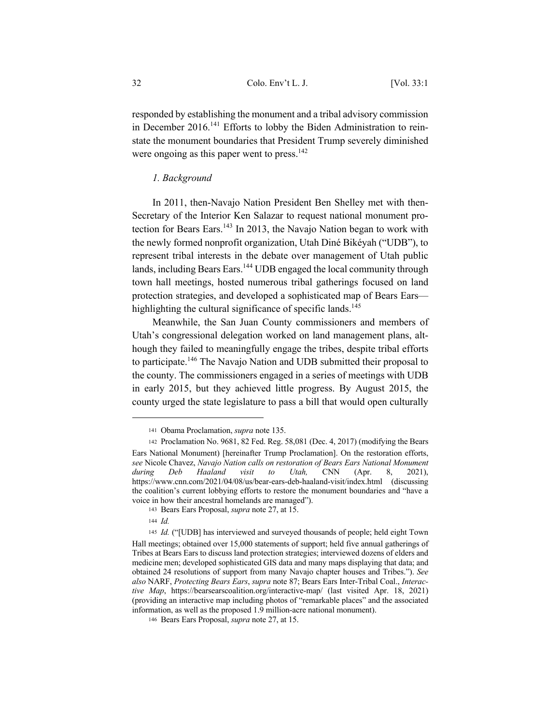responded by establishing the monument and a tribal advisory commission in December  $2016$ <sup> $141$ </sup> Efforts to lobby the Biden Administration to reinstate the monument boundaries that President Trump severely diminished were ongoing as this paper went to press.<sup>142</sup>

## *1. Background*

In 2011, then-Navajo Nation President Ben Shelley met with then-Secretary of the Interior Ken Salazar to request national monument protection for Bears Ears.<sup>143</sup> In 2013, the Navajo Nation began to work with the newly formed nonprofit organization, Utah Diné Bikéyah ("UDB"), to represent tribal interests in the debate over management of Utah public lands, including Bears Ears.<sup>144</sup> UDB engaged the local community through town hall meetings, hosted numerous tribal gatherings focused on land protection strategies, and developed a sophisticated map of Bears Ears highlighting the cultural significance of specific lands.<sup>145</sup>

Meanwhile, the San Juan County commissioners and members of Utah's congressional delegation worked on land management plans, although they failed to meaningfully engage the tribes, despite tribal efforts to participate.<sup>146</sup> The Navajo Nation and UDB submitted their proposal to the county. The commissioners engaged in a series of meetings with UDB in early 2015, but they achieved little progress. By August 2015, the county urged the state legislature to pass a bill that would open culturally

<sup>141</sup> Obama Proclamation, *supra* note 135.

<sup>142</sup> Proclamation No. 9681, 82 Fed. Reg. 58,081 (Dec. 4, 2017) (modifying the Bears Ears National Monument) [hereinafter Trump Proclamation]. On the restoration efforts, *see* Nicole Chavez, *Navajo Nation calls on restoration of Bears Ears National Monument during Deb Haaland visit to Utah,* CNN (Apr. 8, 2021), https://www.cnn.com/2021/04/08/us/bear-ears-deb-haaland-visit/index.html (discussing the coalition's current lobbying efforts to restore the monument boundaries and "have a voice in how their ancestral homelands are managed").

<sup>143</sup> Bears Ears Proposal, *supra* note 27, at 15.

<sup>144</sup> *Id.*

<sup>145</sup> *Id.* ("[UDB] has interviewed and surveyed thousands of people; held eight Town Hall meetings; obtained over 15,000 statements of support; held five annual gatherings of Tribes at Bears Ears to discuss land protection strategies; interviewed dozens of elders and medicine men; developed sophisticated GIS data and many maps displaying that data; and obtained 24 resolutions of support from many Navajo chapter houses and Tribes."). *See also* NARF, *Protecting Bears Ears*, *supra* note 87; Bears Ears Inter-Tribal Coal., *Interactive Map*, https://bearsearscoalition.org/interactive-map/ (last visited Apr. 18, 2021) (providing an interactive map including photos of "remarkable places" and the associated information, as well as the proposed 1.9 million-acre national monument).

<sup>146</sup> Bears Ears Proposal, *supra* note 27, at 15.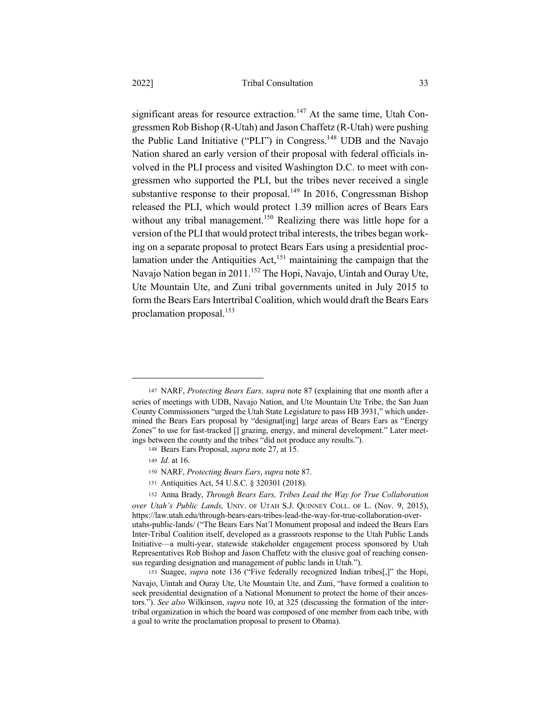significant areas for resource extraction.<sup>147</sup> At the same time, Utah Congressmen Rob Bishop (R-Utah) and Jason Chaffetz (R-Utah) were pushing the Public Land Initiative ("PLI") in Congress.148 UDB and the Navajo Nation shared an early version of their proposal with federal officials involved in the PLI process and visited Washington D.C. to meet with congressmen who supported the PLI, but the tribes never received a single substantive response to their proposal.<sup>149</sup> In 2016, Congressman Bishop released the PLI, which would protect 1.39 million acres of Bears Ears without any tribal management.<sup>150</sup> Realizing there was little hope for a version of the PLI that would protect tribal interests, the tribes began working on a separate proposal to protect Bears Ears using a presidential proclamation under the Antiquities  $Act$ <sup>151</sup> maintaining the campaign that the Navajo Nation began in 2011.<sup>152</sup> The Hopi, Navajo, Uintah and Ouray Ute, Ute Mountain Ute, and Zuni tribal governments united in July 2015 to form the Bears Ears Intertribal Coalition, which would draft the Bears Ears proclamation proposal. $153$ 

<sup>147</sup> NARF, *Protecting Bears Ears, supra* note 87 (explaining that one month after a series of meetings with UDB, Navajo Nation, and Ute Mountain Ute Tribe, the San Juan County Commissioners "urged the Utah State Legislature to pass HB 3931," which undermined the Bears Ears proposal by "designat[ing] large areas of Bears Ears as "Energy Zones" to use for fast-tracked [] grazing, energy, and mineral development." Later meetings between the county and the tribes "did not produce any results.").

<sup>148</sup> Bears Ears Proposal, *supra* note 27, at 15.

<sup>149</sup> *Id.* at 16.

<sup>150</sup> NARF, *Protecting Bears Ears*, *supra* note 87.

<sup>151</sup> Antiquities Act, 54 U.S.C. § 320301 (2018).

<sup>152</sup> Anna Brady, *Through Bears Ears, Tribes Lead the Way for True Collaboration* 

*over Utah's Public Lands,* UNIV. OF UTAH S.J. QUINNEY COLL. OF L. (Nov. 9, 2015), https://law.utah.edu/through-bears-ears-tribes-lead-the-way-for-true-collaboration-overutahs-public-lands/ ("The Bears Ears Nat'l Monument proposal and indeed the Bears Ears Inter-Tribal Coalition itself, developed as a grassroots response to the Utah Public Lands Initiative—a multi-year, statewide stakeholder engagement process sponsored by Utah Representatives Rob Bishop and Jason Chaffetz with the elusive goal of reaching consensus regarding designation and management of public lands in Utah.").

<sup>153</sup> Suagee, *supra* note 136 ("Five federally recognized Indian tribes[,]" the Hopi, Navajo, Uintah and Ouray Ute, Ute Mountain Ute, and Zuni, "have formed a coalition to seek presidential designation of a National Monument to protect the home of their ancestors."). *See also* Wilkinson, *supra* note 10, at 325 (discussing the formation of the intertribal organization in which the board was composed of one member from each tribe, with a goal to write the proclamation proposal to present to Obama).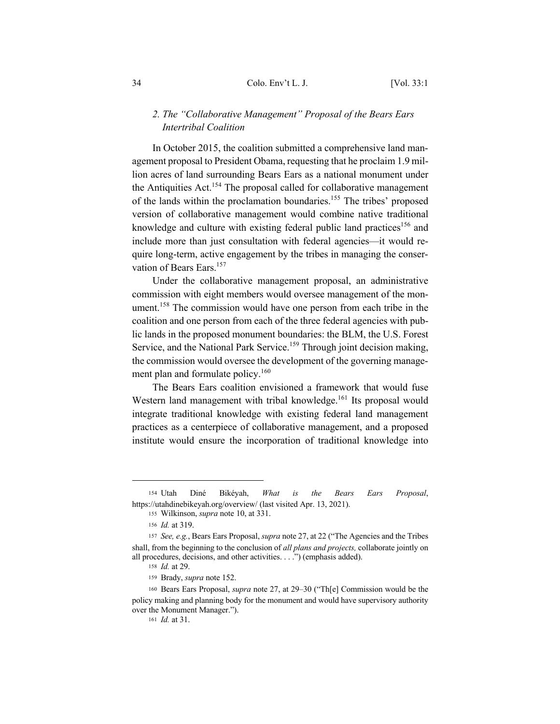## *2. The "Collaborative Management" Proposal of the Bears Ears Intertribal Coalition*

In October 2015, the coalition submitted a comprehensive land management proposal to President Obama, requesting that he proclaim 1.9 million acres of land surrounding Bears Ears as a national monument under the Antiquities Act.<sup>154</sup> The proposal called for collaborative management of the lands within the proclamation boundaries.155 The tribes' proposed version of collaborative management would combine native traditional knowledge and culture with existing federal public land practices<sup>156</sup> and include more than just consultation with federal agencies—it would require long-term, active engagement by the tribes in managing the conservation of Bears Ears.<sup>157</sup>

Under the collaborative management proposal, an administrative commission with eight members would oversee management of the monument.<sup>158</sup> The commission would have one person from each tribe in the coalition and one person from each of the three federal agencies with public lands in the proposed monument boundaries: the BLM, the U.S. Forest Service, and the National Park Service.<sup>159</sup> Through joint decision making, the commission would oversee the development of the governing management plan and formulate policy.<sup>160</sup>

The Bears Ears coalition envisioned a framework that would fuse Western land management with tribal knowledge.<sup>161</sup> Its proposal would integrate traditional knowledge with existing federal land management practices as a centerpiece of collaborative management, and a proposed institute would ensure the incorporation of traditional knowledge into

<sup>154</sup> Utah Diné Bikéyah, *What is the Bears Ears Proposal*, https://utahdinebikeyah.org/overview/ (last visited Apr. 13, 2021).

<sup>155</sup> Wilkinson, *supra* note 10, at 331.

<sup>156</sup> *Id.* at 319.

<sup>157</sup> *See, e.g.*, Bears Ears Proposal, *supra* note 27, at 22 ("The Agencies and the Tribes shall, from the beginning to the conclusion of *all plans and projects,* collaborate jointly on all procedures, decisions, and other activities. . . .") (emphasis added).

<sup>158</sup> *Id.* at 29.

<sup>159</sup> Brady, *supra* note 152.

<sup>160</sup> Bears Ears Proposal, *supra* note 27, at 29–30 ("Th[e] Commission would be the policy making and planning body for the monument and would have supervisory authority over the Monument Manager.").

<sup>161</sup> *Id.* at 31.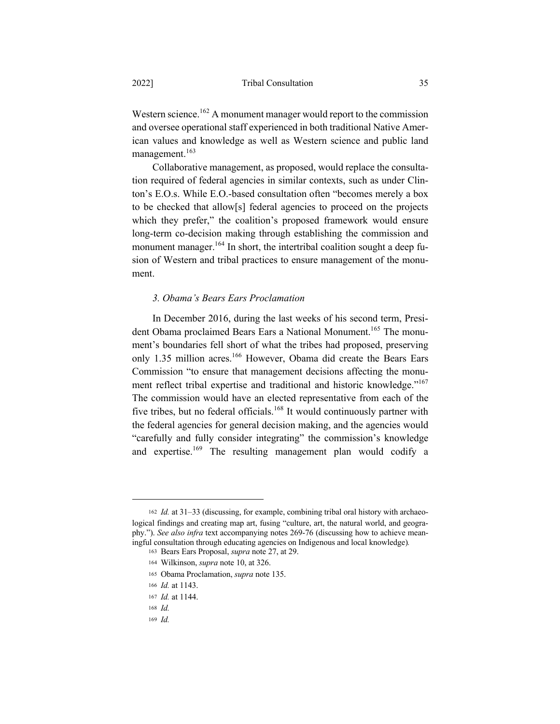Western science.<sup>162</sup> A monument manager would report to the commission and oversee operational staff experienced in both traditional Native American values and knowledge as well as Western science and public land management.<sup>163</sup>

Collaborative management, as proposed, would replace the consultation required of federal agencies in similar contexts, such as under Clinton's E.O.s. While E.O.-based consultation often "becomes merely a box to be checked that allow[s] federal agencies to proceed on the projects which they prefer," the coalition's proposed framework would ensure long-term co-decision making through establishing the commission and monument manager.<sup>164</sup> In short, the intertribal coalition sought a deep fusion of Western and tribal practices to ensure management of the monument.

## *3. Obama's Bears Ears Proclamation*

In December 2016, during the last weeks of his second term, President Obama proclaimed Bears Ears a National Monument.<sup>165</sup> The monument's boundaries fell short of what the tribes had proposed, preserving only 1.35 million acres.<sup>166</sup> However, Obama did create the Bears Ears Commission "to ensure that management decisions affecting the monument reflect tribal expertise and traditional and historic knowledge."<sup>167</sup> The commission would have an elected representative from each of the five tribes, but no federal officials.<sup>168</sup> It would continuously partner with the federal agencies for general decision making, and the agencies would "carefully and fully consider integrating" the commission's knowledge and expertise.<sup>169</sup> The resulting management plan would codify a

<sup>169</sup> *Id.*

<sup>162</sup> *Id.* at 31–33 (discussing, for example, combining tribal oral history with archaeological findings and creating map art, fusing "culture, art, the natural world, and geography."). *See also infra* text accompanying notes 269-76 (discussing how to achieve meaningful consultation through educating agencies on Indigenous and local knowledge)*.*

<sup>163</sup> Bears Ears Proposal, *supra* note 27, at 29.

<sup>164</sup> Wilkinson, *supra* note 10, at 326.

<sup>165</sup> Obama Proclamation, *supra* note 135.

<sup>166</sup> *Id.* at 1143.

<sup>167</sup> *Id.* at 1144.

<sup>168</sup> *Id.*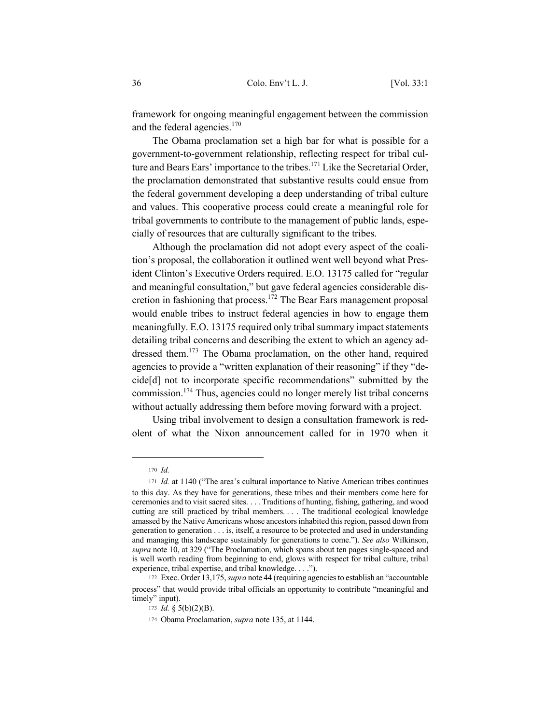framework for ongoing meaningful engagement between the commission and the federal agencies.<sup>170</sup>

The Obama proclamation set a high bar for what is possible for a government-to-government relationship, reflecting respect for tribal culture and Bears Ears' importance to the tribes.<sup>171</sup> Like the Secretarial Order, the proclamation demonstrated that substantive results could ensue from the federal government developing a deep understanding of tribal culture and values. This cooperative process could create a meaningful role for tribal governments to contribute to the management of public lands, especially of resources that are culturally significant to the tribes.

Although the proclamation did not adopt every aspect of the coalition's proposal, the collaboration it outlined went well beyond what President Clinton's Executive Orders required. E.O. 13175 called for "regular and meaningful consultation," but gave federal agencies considerable discretion in fashioning that process.172 The Bear Ears management proposal would enable tribes to instruct federal agencies in how to engage them meaningfully. E.O. 13175 required only tribal summary impact statements detailing tribal concerns and describing the extent to which an agency addressed them.<sup>173</sup> The Obama proclamation, on the other hand, required agencies to provide a "written explanation of their reasoning" if they "decide[d] not to incorporate specific recommendations" submitted by the commission.174 Thus, agencies could no longer merely list tribal concerns without actually addressing them before moving forward with a project.

Using tribal involvement to design a consultation framework is redolent of what the Nixon announcement called for in 1970 when it

<sup>170</sup> *Id.*

<sup>171</sup> *Id.* at 1140 ("The area's cultural importance to Native American tribes continues to this day. As they have for generations, these tribes and their members come here for ceremonies and to visit sacred sites. . . . Traditions of hunting, fishing, gathering, and wood cutting are still practiced by tribal members. . . . The traditional ecological knowledge amassed by the Native Americans whose ancestors inhabited this region, passed down from generation to generation . . . is, itself, a resource to be protected and used in understanding and managing this landscape sustainably for generations to come."). *See also* Wilkinson, *supra* note 10, at 329 ("The Proclamation, which spans about ten pages single-spaced and is well worth reading from beginning to end, glows with respect for tribal culture, tribal experience, tribal expertise, and tribal knowledge. . . .").

<sup>172</sup> Exec. Order 13,175, *supra* note 44 (requiring agencies to establish an "accountable process" that would provide tribal officials an opportunity to contribute "meaningful and timely" input).

<sup>173</sup> *Id.* § 5(b)(2)(B).

<sup>174</sup> Obama Proclamation, *supra* note 135, at 1144.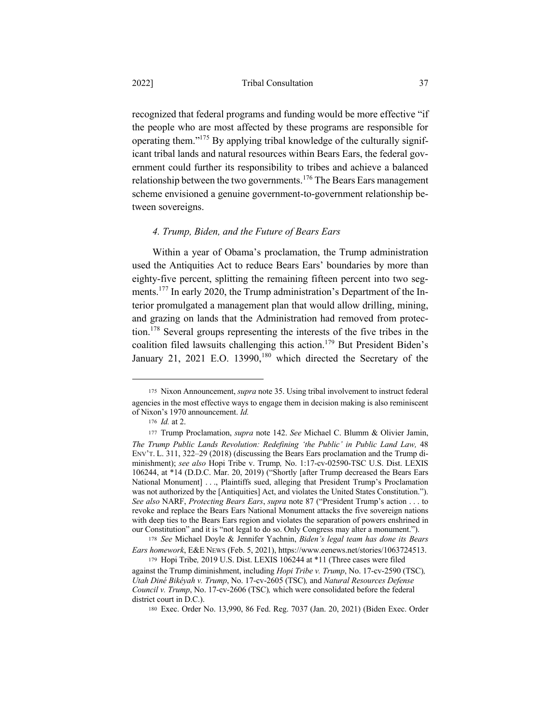recognized that federal programs and funding would be more effective "if the people who are most affected by these programs are responsible for operating them."175 By applying tribal knowledge of the culturally significant tribal lands and natural resources within Bears Ears, the federal government could further its responsibility to tribes and achieve a balanced relationship between the two governments.<sup>176</sup> The Bears Ears management scheme envisioned a genuine government-to-government relationship between sovereigns.

## *4. Trump, Biden, and the Future of Bears Ears*

Within a year of Obama's proclamation, the Trump administration used the Antiquities Act to reduce Bears Ears' boundaries by more than eighty-five percent, splitting the remaining fifteen percent into two segments.<sup>177</sup> In early 2020, the Trump administration's Department of the Interior promulgated a management plan that would allow drilling, mining, and grazing on lands that the Administration had removed from protection.<sup>178</sup> Several groups representing the interests of the five tribes in the coalition filed lawsuits challenging this action.<sup>179</sup> But President Biden's January 21, 2021 E.O. 13990,<sup>180</sup> which directed the Secretary of the

<sup>175</sup> Nixon Announcement, *supra* note 35. Using tribal involvement to instruct federal agencies in the most effective ways to engage them in decision making is also reminiscent of Nixon's 1970 announcement. *Id.* 

<sup>176</sup> *Id.* at 2.

<sup>177</sup> Trump Proclamation, *supra* note 142. *See* Michael C. Blumm & Olivier Jamin, *The Trump Public Lands Revolution: Redefining 'the Public' in Public Land Law,* 48 ENV'T. L. 311, 322–29 (2018) (discussing the Bears Ears proclamation and the Trump diminishment); *see also* Hopi Tribe v. Trump*,* No. 1:17-cv-02590-TSC U.S. Dist. LEXIS 106244, at \*14 (D.D.C. Mar. 20, 2019) ("Shortly [after Trump decreased the Bears Ears National Monument] . . ., Plaintiffs sued, alleging that President Trump's Proclamation was not authorized by the [Antiquities] Act, and violates the United States Constitution."). *See also* NARF, *Protecting Bears Ears*, *supra* note 87 ("President Trump's action . . . to revoke and replace the Bears Ears National Monument attacks the five sovereign nations with deep ties to the Bears Ears region and violates the separation of powers enshrined in our Constitution" and it is "not legal to do so. Only Congress may alter a monument.").

<sup>178</sup> *See* Michael Doyle & Jennifer Yachnin, *Biden's legal team has done its Bears Ears homework*, E&E NEWS (Feb. 5, 2021), https://www.eenews.net/stories/1063724513.

<sup>179</sup> Hopi Tribe*,* 2019 U.S. Dist. LEXIS 106244 at \*11 (Three cases were filed against the Trump diminishment, including *Hopi Tribe v. Trump*, No. 17-cv-2590 (TSC)*,*

*Utah Diné Bikéyah v. Trump*, No. 17-cv-2605 (TSC)*,* and *Natural Resources Defense Council v. Trump*, No. 17-cv-2606 (TSC)*,* which were consolidated before the federal district court in D.C.).

<sup>180</sup> Exec. Order No. 13,990, 86 Fed. Reg. 7037 (Jan. 20, 2021) (Biden Exec. Order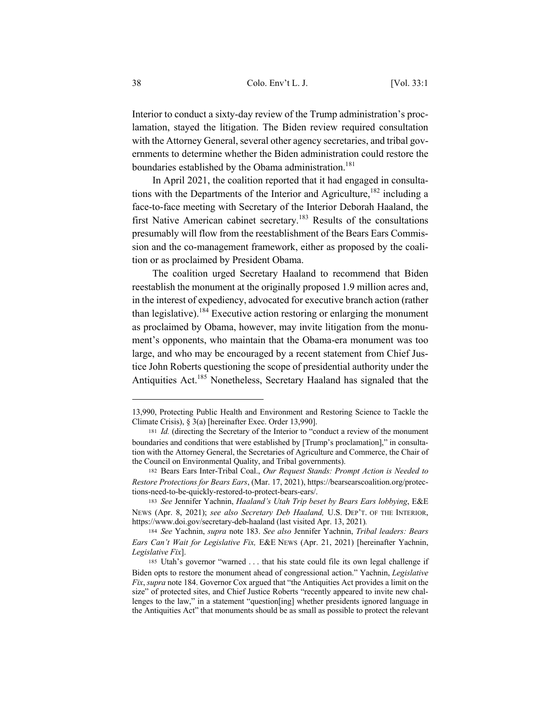Interior to conduct a sixty-day review of the Trump administration's proclamation, stayed the litigation. The Biden review required consultation with the Attorney General, several other agency secretaries, and tribal governments to determine whether the Biden administration could restore the boundaries established by the Obama administration.<sup>181</sup>

In April 2021, the coalition reported that it had engaged in consultations with the Departments of the Interior and Agriculture,  $182$  including a face-to-face meeting with Secretary of the Interior Deborah Haaland, the first Native American cabinet secretary.<sup>183</sup> Results of the consultations presumably will flow from the reestablishment of the Bears Ears Commission and the co-management framework, either as proposed by the coalition or as proclaimed by President Obama.

The coalition urged Secretary Haaland to recommend that Biden reestablish the monument at the originally proposed 1.9 million acres and, in the interest of expediency, advocated for executive branch action (rather than legislative).<sup>184</sup> Executive action restoring or enlarging the monument as proclaimed by Obama, however, may invite litigation from the monument's opponents, who maintain that the Obama-era monument was too large, and who may be encouraged by a recent statement from Chief Justice John Roberts questioning the scope of presidential authority under the Antiquities Act.<sup>185</sup> Nonetheless, Secretary Haaland has signaled that the

<sup>13,990,</sup> Protecting Public Health and Environment and Restoring Science to Tackle the Climate Crisis), § 3(a) [hereinafter Exec. Order 13,990].

<sup>181</sup> *Id.* (directing the Secretary of the Interior to "conduct a review of the monument boundaries and conditions that were established by [Trump's proclamation]," in consultation with the Attorney General, the Secretaries of Agriculture and Commerce, the Chair of the Council on Environmental Quality, and Tribal governments).

<sup>182</sup> Bears Ears Inter-Tribal Coal., *Our Request Stands: Prompt Action is Needed to Restore Protections for Bears Ears*, (Mar. 17, 2021), https://bearsearscoalition.org/protections-need-to-be-quickly-restored-to-protect-bears-ears/.

<sup>183</sup> *See* Jennifer Yachnin, *Haaland's Utah Trip beset by Bears Ears lobbying*, E&E NEWS (Apr. 8, 2021); *see also Secretary Deb Haaland,* U.S. DEP'T. OF THE INTERIOR, https://www.doi.gov/secretary-deb-haaland (last visited Apr. 13, 2021)*.*

<sup>184</sup> *See* Yachnin, *supra* note 183. *See also* Jennifer Yachnin, *Tribal leaders: Bears Ears Can't Wait for Legislative Fix,* E&E NEWS (Apr. 21, 2021) [hereinafter Yachnin, *Legislative Fix*].

<sup>185</sup> Utah's governor "warned . . . that his state could file its own legal challenge if Biden opts to restore the monument ahead of congressional action." Yachnin, *Legislative Fix*, *supra* note 184. Governor Cox argued that "the Antiquities Act provides a limit on the size" of protected sites, and Chief Justice Roberts "recently appeared to invite new challenges to the law," in a statement "question[ing] whether presidents ignored language in the Antiquities Act" that monuments should be as small as possible to protect the relevant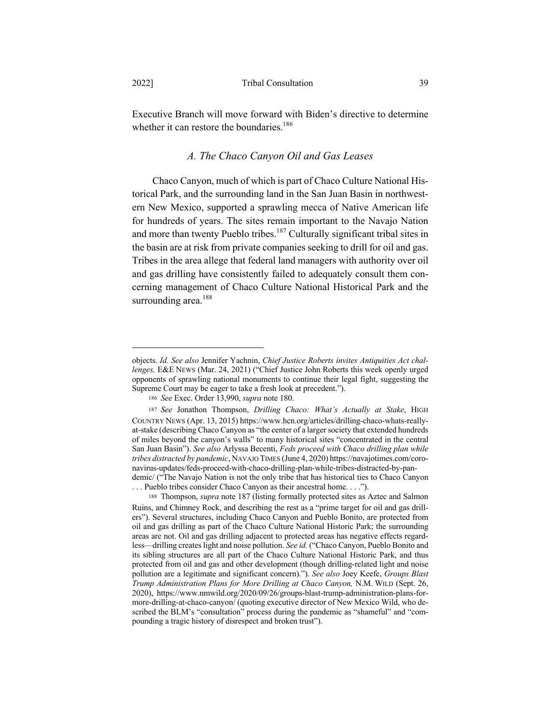Executive Branch will move forward with Biden's directive to determine whether it can restore the boundaries.<sup>186</sup>

## *A. The Chaco Canyon Oil and Gas Leases*

Chaco Canyon, much of which is part of Chaco Culture National Historical Park, and the surrounding land in the San Juan Basin in northwestern New Mexico, supported a sprawling mecca of Native American life for hundreds of years. The sites remain important to the Navajo Nation and more than twenty Pueblo tribes.<sup>187</sup> Culturally significant tribal sites in the basin are at risk from private companies seeking to drill for oil and gas. Tribes in the area allege that federal land managers with authority over oil and gas drilling have consistently failed to adequately consult them concerning management of Chaco Culture National Historical Park and the surrounding area.<sup>188</sup>

objects. *Id. See also* Jennifer Yachnin, *Chief Justice Roberts invites Antiquities Act challenges,* E&E NEWS (Mar. 24, 2021) ("Chief Justice John Roberts this week openly urged opponents of sprawling national monuments to continue their legal fight, suggesting the Supreme Court may be eager to take a fresh look at precedent.").

<sup>186</sup> *See* Exec. Order 13,990, *supra* note 180.

<sup>187</sup> *See* Jonathon Thompson, *Drilling Chaco: What's Actually at Stake*, HIGH COUNTRY NEWS (Apr. 13, 2015) https://www.hcn.org/articles/drilling-chaco-whats-reallyat-stake (describing Chaco Canyon as "the center of a larger society that extended hundreds of miles beyond the canyon's walls" to many historical sites "concentrated in the central San Juan Basin"). *See also* Arlyssa Becenti, *Feds proceed with Chaco drilling plan while tribes distracted by pandemic*, NAVAJO TIMES (June 4, 2020) https://navajotimes.com/coronavirus-updates/feds-proceed-with-chaco-drilling-plan-while-tribes-distracted-by-pandemic/ ("The Navajo Nation is not the only tribe that has historical ties to Chaco Canyon . . . Pueblo tribes consider Chaco Canyon as their ancestral home. . . .").

<sup>188</sup> Thompson, *supra* note 187 (listing formally protected sites as Aztec and Salmon Ruins, and Chimney Rock, and describing the rest as a "prime target for oil and gas drillers"). Several structures, including Chaco Canyon and Pueblo Bonito, are protected from oil and gas drilling as part of the Chaco Culture National Historic Park; the surrounding areas are not. Oil and gas drilling adjacent to protected areas has negative effects regardless—drilling creates light and noise pollution. *See id.* ("Chaco Canyon, Pueblo Bonito and its sibling structures are all part of the Chaco Culture National Historic Park, and thus protected from oil and gas and other development (though drilling-related light and noise pollution are a legitimate and significant concern)."). *See also* Joey Keefe, *Groups Blast Trump Administration Plans for More Drilling at Chaco Canyon,* N.M. WILD (Sept. 26, 2020), https://www.nmwild.org/2020/09/26/groups-blast-trump-administration-plans-formore-drilling-at-chaco-canyon/ (quoting executive director of New Mexico Wild, who described the BLM's "consultation" process during the pandemic as "shameful" and "compounding a tragic history of disrespect and broken trust").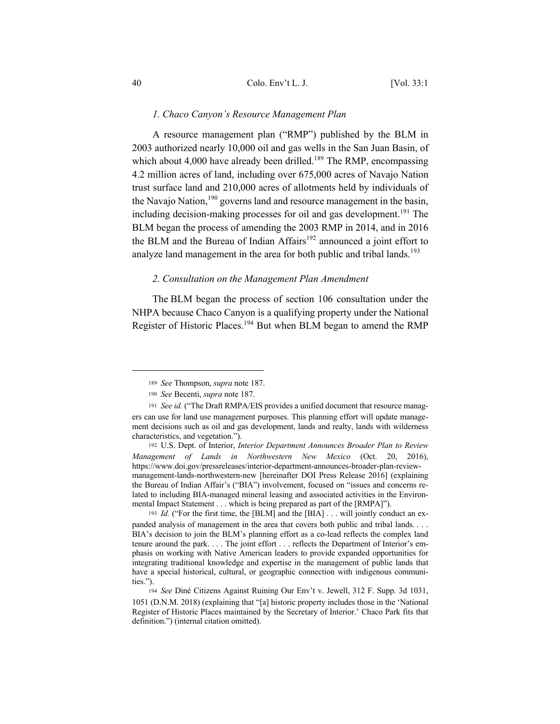#### *1. Chaco Canyon's Resource Management Plan*

A resource management plan ("RMP") published by the BLM in 2003 authorized nearly 10,000 oil and gas wells in the San Juan Basin, of which about 4,000 have already been drilled.<sup>189</sup> The RMP, encompassing 4.2 million acres of land, including over 675,000 acres of Navajo Nation trust surface land and 210,000 acres of allotments held by individuals of the Navajo Nation,<sup>190</sup> governs land and resource management in the basin, including decision-making processes for oil and gas development.<sup>191</sup> The BLM began the process of amending the 2003 RMP in 2014, and in 2016 the BLM and the Bureau of Indian  $Affairs^{192}$  announced a joint effort to analyze land management in the area for both public and tribal lands.<sup>193</sup>

## *2. Consultation on the Management Plan Amendment*

The BLM began the process of section 106 consultation under the NHPA because Chaco Canyon is a qualifying property under the National Register of Historic Places.<sup>194</sup> But when BLM began to amend the RMP

<sup>193</sup> *Id.* ("For the first time, the [BLM] and the [BIA] . . . will jointly conduct an expanded analysis of management in the area that covers both public and tribal lands. . . . BIA's decision to join the BLM's planning effort as a co-lead reflects the complex land tenure around the park. . . . The joint effort . . . reflects the Department of Interior's emphasis on working with Native American leaders to provide expanded opportunities for integrating traditional knowledge and expertise in the management of public lands that have a special historical, cultural, or geographic connection with indigenous communities.").

<sup>189</sup> *See* Thompson, *supra* note 187.

<sup>190</sup> *See* Becenti, *supra* note 187.

<sup>191</sup> *See id.* ("The Draft RMPA/EIS provides a unified document that resource managers can use for land use management purposes. This planning effort will update management decisions such as oil and gas development, lands and realty, lands with wilderness characteristics, and vegetation.").

<sup>192</sup> U.S. Dept. of Interior, *Interior Department Announces Broader Plan to Review Management of Lands in Northwestern New Mexico* (Oct. 20, 2016), https://www.doi.gov/pressreleases/interior-department-announces-broader-plan-reviewmanagement-lands-northwestern-new [hereinafter DOI Press Release 2016] (explaining the Bureau of Indian Affair's ("BIA") involvement, focused on "issues and concerns related to including BIA-managed mineral leasing and associated activities in the Environmental Impact Statement . . . which is being prepared as part of the [RMPA]").

<sup>194</sup> *See* Diné Citizens Against Ruining Our Env't v. Jewell, 312 F. Supp. 3d 1031, 1051 (D.N.M. 2018) (explaining that "[a] historic property includes those in the 'National Register of Historic Places maintained by the Secretary of Interior.' Chaco Park fits that definition.") (internal citation omitted).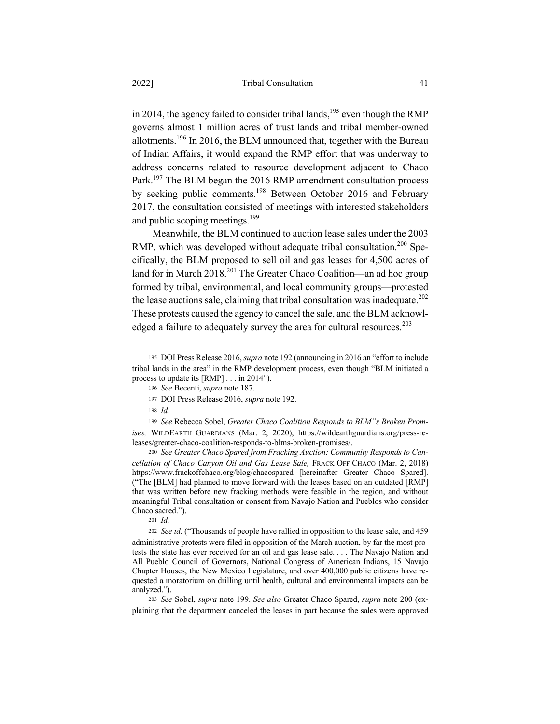in 2014, the agency failed to consider tribal lands,<sup>195</sup> even though the RMP governs almost 1 million acres of trust lands and tribal member-owned allotments.196 In 2016, the BLM announced that, together with the Bureau of Indian Affairs, it would expand the RMP effort that was underway to address concerns related to resource development adjacent to Chaco Park.<sup>197</sup> The BLM began the 2016 RMP amendment consultation process by seeking public comments.198 Between October 2016 and February 2017, the consultation consisted of meetings with interested stakeholders and public scoping meetings.<sup>199</sup>

Meanwhile, the BLM continued to auction lease sales under the 2003 RMP, which was developed without adequate tribal consultation.<sup>200</sup> Specifically, the BLM proposed to sell oil and gas leases for 4,500 acres of land for in March  $2018<sup>201</sup>$  The Greater Chaco Coalition—an ad hoc group formed by tribal, environmental, and local community groups—protested the lease auctions sale, claiming that tribal consultation was inadequate.<sup>202</sup> These protests caused the agency to cancel the sale, and the BLM acknowledged a failure to adequately survey the area for cultural resources.<sup>203</sup>

<sup>195</sup> DOI Press Release 2016, *supra* note 192 (announcing in 2016 an "effort to include tribal lands in the area" in the RMP development process, even though "BLM initiated a process to update its [RMP] . . . in 2014").

<sup>196</sup> *See* Becenti, *supra* note 187.

<sup>197</sup> DOI Press Release 2016, *supra* note 192.

<sup>198</sup> *Id.*

<sup>199</sup> *See* Rebecca Sobel, *Greater Chaco Coalition Responds to BLM"s Broken Promises,* WILDEARTH GUARDIANS (Mar. 2, 2020), https://wildearthguardians.org/press-releases/greater-chaco-coalition-responds-to-blms-broken-promises/.

<sup>200</sup> *See Greater Chaco Spared from Fracking Auction: Community Responds to Cancellation of Chaco Canyon Oil and Gas Lease Sale,* FRACK OFF CHACO (Mar. 2, 2018) https://www.frackoffchaco.org/blog/chacospared [hereinafter Greater Chaco Spared]. ("The [BLM] had planned to move forward with the leases based on an outdated [RMP] that was written before new fracking methods were feasible in the region, and without meaningful Tribal consultation or consent from Navajo Nation and Pueblos who consider Chaco sacred.").

<sup>201</sup> *Id.* 

<sup>202</sup> *See id.* ("Thousands of people have rallied in opposition to the lease sale, and 459 administrative protests were filed in opposition of the March auction, by far the most protests the state has ever received for an oil and gas lease sale. . . . The Navajo Nation and All Pueblo Council of Governors, National Congress of American Indians, 15 Navajo Chapter Houses, the New Mexico Legislature, and over 400,000 public citizens have requested a moratorium on drilling until health, cultural and environmental impacts can be analyzed.").

<sup>203</sup> *See* Sobel, *supra* note 199. *See also* Greater Chaco Spared, *supra* note 200 (explaining that the department canceled the leases in part because the sales were approved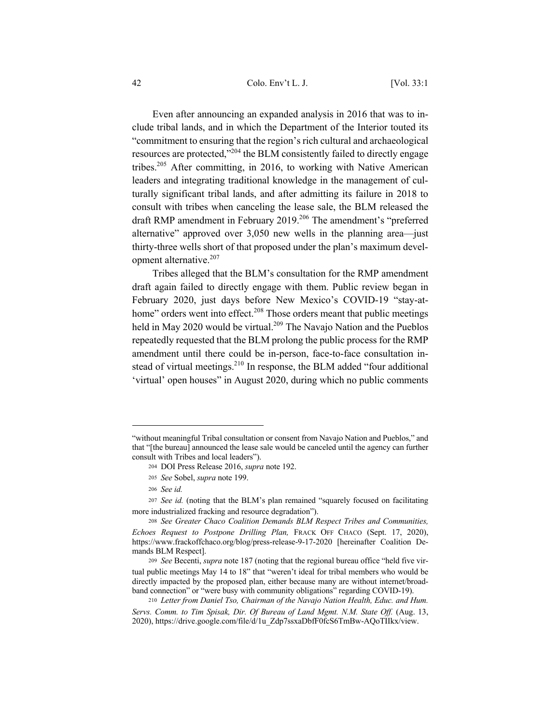42 Colo. Env't L. J. [Vol. 33:1

Even after announcing an expanded analysis in 2016 that was to include tribal lands, and in which the Department of the Interior touted its "commitment to ensuring that the region's rich cultural and archaeological resources are protected,"<sup>204</sup> the BLM consistently failed to directly engage tribes.205 After committing, in 2016, to working with Native American leaders and integrating traditional knowledge in the management of culturally significant tribal lands, and after admitting its failure in 2018 to consult with tribes when canceling the lease sale, the BLM released the draft RMP amendment in February 2019.<sup>206</sup> The amendment's "preferred alternative" approved over 3,050 new wells in the planning area—just thirty-three wells short of that proposed under the plan's maximum development alternative. $207$ 

Tribes alleged that the BLM's consultation for the RMP amendment draft again failed to directly engage with them. Public review began in February 2020, just days before New Mexico's COVID-19 "stay-athome" orders went into effect.<sup>208</sup> Those orders meant that public meetings held in May 2020 would be virtual.<sup>209</sup> The Navajo Nation and the Pueblos repeatedly requested that the BLM prolong the public process for the RMP amendment until there could be in-person, face-to-face consultation instead of virtual meetings.<sup>210</sup> In response, the BLM added "four additional 'virtual' open houses" in August 2020, during which no public comments

<sup>&</sup>quot;without meaningful Tribal consultation or consent from Navajo Nation and Pueblos," and that "[the bureau] announced the lease sale would be canceled until the agency can further consult with Tribes and local leaders").

<sup>204</sup> DOI Press Release 2016, *supra* note 192.

<sup>205</sup> *See* Sobel, *supra* note 199.

<sup>206</sup> *See id.*

<sup>207</sup> *See id.* (noting that the BLM's plan remained "squarely focused on facilitating more industrialized fracking and resource degradation").

<sup>208</sup> *See Greater Chaco Coalition Demands BLM Respect Tribes and Communities, Echoes Request to Postpone Drilling Plan,* FRACK OFF CHACO (Sept. 17, 2020), https://www.frackoffchaco.org/blog/press-release-9-17-2020 [hereinafter Coalition Demands BLM Respect].

<sup>209</sup> *See* Becenti, *supra* note 187 (noting that the regional bureau office "held five virtual public meetings May 14 to 18" that "weren't ideal for tribal members who would be directly impacted by the proposed plan, either because many are without internet/broadband connection" or "were busy with community obligations" regarding COVID-19).

<sup>210</sup> *Letter from Daniel Tso, Chairman of the Navajo Nation Health, Educ. and Hum. Servs. Comm. to Tim Spisak, Dir. Of Bureau of Land Mgmt. N.M. State Off.* (Aug. 13, 2020), https://drive.google.com/file/d/1u\_Zdp7ssxaDbfF0fcS6TmBw-AQoTIIkx/view.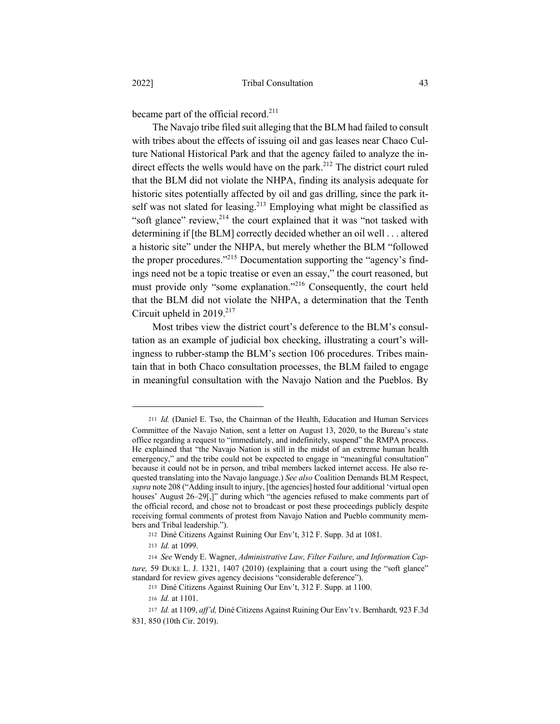became part of the official record.<sup>211</sup>

The Navajo tribe filed suit alleging that the BLM had failed to consult with tribes about the effects of issuing oil and gas leases near Chaco Culture National Historical Park and that the agency failed to analyze the indirect effects the wells would have on the park. $2^{12}$  The district court ruled that the BLM did not violate the NHPA, finding its analysis adequate for historic sites potentially affected by oil and gas drilling, since the park itself was not slated for leasing.<sup>213</sup> Employing what might be classified as "soft glance" review, $2^{14}$  the court explained that it was "not tasked with determining if [the BLM] correctly decided whether an oil well . . . altered a historic site" under the NHPA, but merely whether the BLM "followed the proper procedures."<sup>215</sup> Documentation supporting the "agency's findings need not be a topic treatise or even an essay," the court reasoned, but must provide only "some explanation."<sup>216</sup> Consequently, the court held that the BLM did not violate the NHPA, a determination that the Tenth Circuit upheld in 2019.<sup>217</sup>

Most tribes view the district court's deference to the BLM's consultation as an example of judicial box checking, illustrating a court's willingness to rubber-stamp the BLM's section 106 procedures. Tribes maintain that in both Chaco consultation processes, the BLM failed to engage in meaningful consultation with the Navajo Nation and the Pueblos. By

<sup>211</sup> *Id.* (Daniel E. Tso, the Chairman of the Health, Education and Human Services Committee of the Navajo Nation, sent a letter on August 13, 2020, to the Bureau's state office regarding a request to "immediately, and indefinitely, suspend" the RMPA process. He explained that "the Navajo Nation is still in the midst of an extreme human health emergency," and the tribe could not be expected to engage in "meaningful consultation" because it could not be in person, and tribal members lacked internet access. He also requested translating into the Navajo language.) *See also* Coalition Demands BLM Respect, *supra* note 208 ("Adding insult to injury, [the agencies] hosted four additional 'virtual open houses' August 26–29[,]" during which "the agencies refused to make comments part of the official record, and chose not to broadcast or post these proceedings publicly despite receiving formal comments of protest from Navajo Nation and Pueblo community members and Tribal leadership.").

<sup>212</sup> Diné Citizens Against Ruining Our Env't, 312 F. Supp. 3d at 1081.

<sup>213</sup> *Id.* at 1099.

<sup>214</sup> *See* Wendy E. Wagner, *Administrative Law, Filter Failure, and Information Capture,* 59 DUKE L. J. 1321, 1407 (2010) (explaining that a court using the "soft glance" standard for review gives agency decisions "considerable deference").

<sup>215</sup> Diné Citizens Against Ruining Our Env't, 312 F. Supp. at 1100.

<sup>216</sup> *Id.* at 1101.

<sup>217</sup> *Id.* at 1109, *aff'd,* Diné Citizens Against Ruining Our Env't v. Bernhardt*,* 923 F.3d 831*,* 850 (10th Cir. 2019).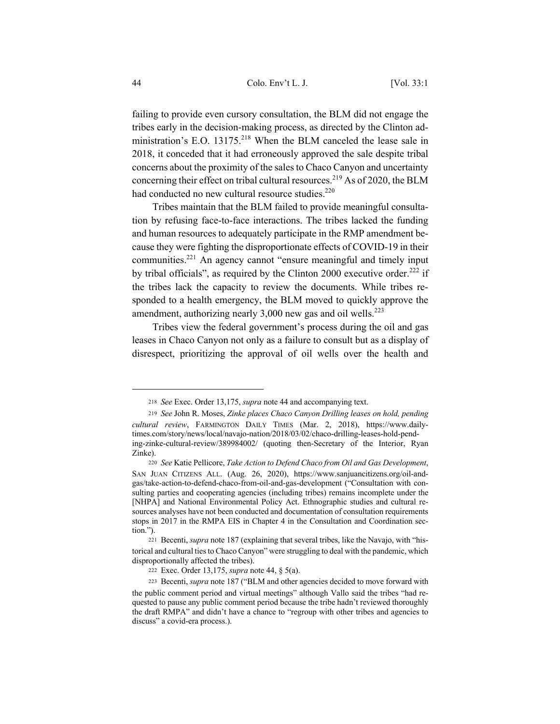failing to provide even cursory consultation, the BLM did not engage the tribes early in the decision-making process, as directed by the Clinton administration's E.O. 13175.<sup>218</sup> When the BLM canceled the lease sale in 2018, it conceded that it had erroneously approved the sale despite tribal concerns about the proximity of the sales to Chaco Canyon and uncertainty concerning their effect on tribal cultural resources.<sup>219</sup> As of 2020, the BLM had conducted no new cultural resource studies.<sup>220</sup>

Tribes maintain that the BLM failed to provide meaningful consultation by refusing face-to-face interactions. The tribes lacked the funding and human resources to adequately participate in the RMP amendment because they were fighting the disproportionate effects of COVID-19 in their communities.<sup>221</sup> An agency cannot "ensure meaningful and timely input by tribal officials", as required by the Clinton 2000 executive order.<sup>222</sup> if the tribes lack the capacity to review the documents. While tribes responded to a health emergency, the BLM moved to quickly approve the amendment, authorizing nearly  $3,000$  new gas and oil wells.<sup>223</sup>

Tribes view the federal government's process during the oil and gas leases in Chaco Canyon not only as a failure to consult but as a display of disrespect, prioritizing the approval of oil wells over the health and

<sup>218</sup> *See* Exec. Order 13,175, *supra* note 44 and accompanying text.

<sup>219</sup> *See* John R. Moses, *Zinke places Chaco Canyon Drilling leases on hold, pending cultural review*, FARMINGTON DAILY TIMES (Mar. 2, 2018), https://www.dailytimes.com/story/news/local/navajo-nation/2018/03/02/chaco-drilling-leases-hold-pending-zinke-cultural-review/389984002/ (quoting then-Secretary of the Interior, Ryan Zinke).

<sup>220</sup> *See* Katie Pellicore, *Take Action to Defend Chaco from Oil and Gas Development*, SAN JUAN CITIZENS ALL. (Aug. 26, 2020), https://www.sanjuancitizens.org/oil-andgas/take-action-to-defend-chaco-from-oil-and-gas-development ("Consultation with consulting parties and cooperating agencies (including tribes) remains incomplete under the [NHPA] and National Environmental Policy Act. Ethnographic studies and cultural resources analyses have not been conducted and documentation of consultation requirements stops in 2017 in the RMPA EIS in Chapter 4 in the Consultation and Coordination section.").

<sup>221</sup> Becenti, *supra* note 187 (explaining that several tribes, like the Navajo, with "historical and cultural ties to Chaco Canyon" were struggling to deal with the pandemic, which disproportionally affected the tribes).

<sup>222</sup> Exec. Order 13,175, *supra* note 44, § 5(a).

<sup>223</sup> Becenti, *supra* note 187 ("BLM and other agencies decided to move forward with the public comment period and virtual meetings" although Vallo said the tribes "had requested to pause any public comment period because the tribe hadn't reviewed thoroughly the draft RMPA" and didn't have a chance to "regroup with other tribes and agencies to discuss" a covid-era process.).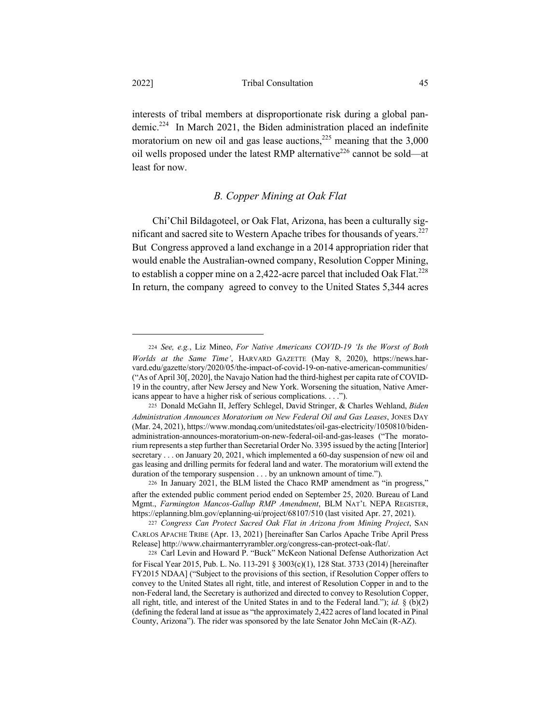interests of tribal members at disproportionate risk during a global pandemic.224 In March 2021, the Biden administration placed an indefinite moratorium on new oil and gas lease auctions,<sup>225</sup> meaning that the  $3,000$ oil wells proposed under the latest RMP alternative<sup>226</sup> cannot be sold—at least for now.

## *B. Copper Mining at Oak Flat*

Chí'Chil Bildagoteel, or Oak Flat, Arizona, has been a culturally significant and sacred site to Western Apache tribes for thousands of vears.<sup>227</sup> But Congress approved a land exchange in a 2014 appropriation rider that would enable the Australian-owned company, Resolution Copper Mining, to establish a copper mine on a 2,422-acre parcel that included Oak Flat.<sup>228</sup> In return, the company agreed to convey to the United States 5,344 acres

<sup>224</sup> *See, e.g.*, Liz Mineo, *For Native Americans COVID-19 'Is the Worst of Both Worlds at the Same Time'*, HARVARD GAZETTE (May 8, 2020), https://news.harvard.edu/gazette/story/2020/05/the-impact-of-covid-19-on-native-american-communities/ ("As of April 30[, 2020], the Navajo Nation had the third-highest per capita rate of COVID-19 in the country, after New Jersey and New York. Worsening the situation, Native Americans appear to have a higher risk of serious complications. . . .").

<sup>225</sup> Donald McGahn II, Jeffery Schlegel, David Stringer, & Charles Wehland, *Biden Administration Announces Moratorium on New Federal Oil and Gas Leases*, JONES DAY (Mar. 24, 2021), https://www.mondaq.com/unitedstates/oil-gas-electricity/1050810/bidenadministration-announces-moratorium-on-new-federal-oil-and-gas-leases ("The moratorium represents a step further than Secretarial Order No. 3395 issued by the acting [Interior] secretary . . . on January 20, 2021, which implemented a 60-day suspension of new oil and gas leasing and drilling permits for federal land and water. The moratorium will extend the duration of the temporary suspension . . . by an unknown amount of time.").

<sup>226</sup> In January 2021, the BLM listed the Chaco RMP amendment as "in progress," after the extended public comment period ended on September 25, 2020. Bureau of Land Mgmt., *Farmington Mancos-Gallup RMP Amendment*, BLM NAT'L NEPA REGISTER, https://eplanning.blm.gov/eplanning-ui/project/68107/510 (last visited Apr. 27, 2021).

<sup>227</sup> *Congress Can Protect Sacred Oak Flat in Arizona from Mining Project*, SAN CARLOS APACHE TRIBE (Apr. 13, 2021) [hereinafter San Carlos Apache Tribe April Press Release] http://www.chairmanterryrambler.org/congress-can-protect-oak-flat/.

<sup>228</sup> Carl Levin and Howard P. "Buck" McKeon National Defense Authorization Act for Fiscal Year 2015, Pub. L. No. 113-291 § 3003(c)(1), 128 Stat. 3733 (2014) [hereinafter FY2015 NDAA] ("Subject to the provisions of this section, if Resolution Copper offers to convey to the United States all right, title, and interest of Resolution Copper in and to the non-Federal land, the Secretary is authorized and directed to convey to Resolution Copper, all right, title, and interest of the United States in and to the Federal land."); *id.* § (b)(2) (defining the federal land at issue as "the approximately 2,422 acres of land located in Pinal County, Arizona"). The rider was sponsored by the late Senator John McCain (R-AZ).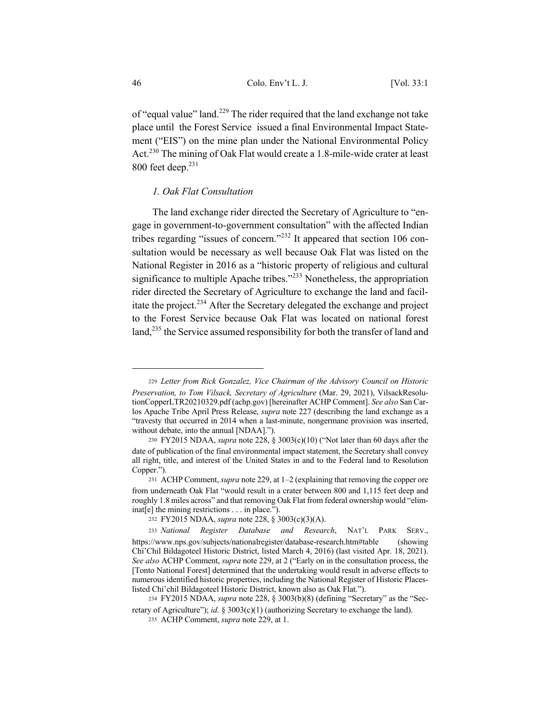of "equal value" land.<sup>229</sup> The rider required that the land exchange not take place until the Forest Service issued a final Environmental Impact Statement ("EIS") on the mine plan under the National Environmental Policy Act.<sup>230</sup> The mining of Oak Flat would create a 1.8-mile-wide crater at least  $800$  feet deep. $231$ 

## *1. Oak Flat Consultation*

The land exchange rider directed the Secretary of Agriculture to "engage in government-to-government consultation" with the affected Indian tribes regarding "issues of concern."<sup>232</sup> It appeared that section 106 consultation would be necessary as well because Oak Flat was listed on the National Register in 2016 as a "historic property of religious and cultural significance to multiple Apache tribes."<sup>233</sup> Nonetheless, the appropriation rider directed the Secretary of Agriculture to exchange the land and facilitate the project.<sup>234</sup> After the Secretary delegated the exchange and project to the Forest Service because Oak Flat was located on national forest land,<sup>235</sup> the Service assumed responsibility for both the transfer of land and

<sup>229</sup> *Letter from Rick Gonzalez, Vice Chairman of the Advisory Council on Historic Preservation, to Tom Vilsack, Secretary of Agriculture* (Mar. 29, 2021), VilsackResolutionCopperLTR20210329.pdf (achp.gov) [hereinafter ACHP Comment]. *See also* San Carlos Apache Tribe April Press Release, *supra* note 227 (describing the land exchange as a "travesty that occurred in 2014 when a last-minute, nongermane provision was inserted, without debate, into the annual [NDAA].").

<sup>230</sup> FY2015 NDAA, *supra* note 228, § 3003(c)(10) ("Not later than 60 days after the date of publication of the final environmental impact statement, the Secretary shall convey all right, title, and interest of the United States in and to the Federal land to Resolution Copper.").

<sup>231</sup> ACHP Comment, *supra* note 229, at 1–2 (explaining that removing the copper ore from underneath Oak Flat "would result in a crater between 800 and 1,115 feet deep and roughly 1.8 miles across" and that removing Oak Flat from federal ownership would "eliminat[e] the mining restrictions . . . in place.").

<sup>232</sup> FY2015 NDAA, *supra* note 228, § 3003(c)(3)(A).

<sup>233</sup> *National Register Database and Research*, NAT'L PARK SERV., https://www.nps.gov/subjects/nationalregister/database-research.htm#table (showing Chí'Chil Bildagoteel Historic District, listed March 4, 2016) (last visited Apr. 18, 2021). *See also* ACHP Comment, *supra* note 229, at 2 ("Early on in the consultation process, the [Tonto National Forest] determined that the undertaking would result in adverse effects to numerous identified historic properties, including the National Register of Historic Placeslisted Chí'chil Bildagoteel Historic District, known also as Oak Flat.").

<sup>234</sup> FY2015 NDAA, *supra* note 228, § 3003(b)(8) (defining "Secretary" as the "Secretary of Agriculture"); *id.* § 3003(c)(1) (authorizing Secretary to exchange the land).

<sup>235</sup> ACHP Comment, *supra* note 229, at 1.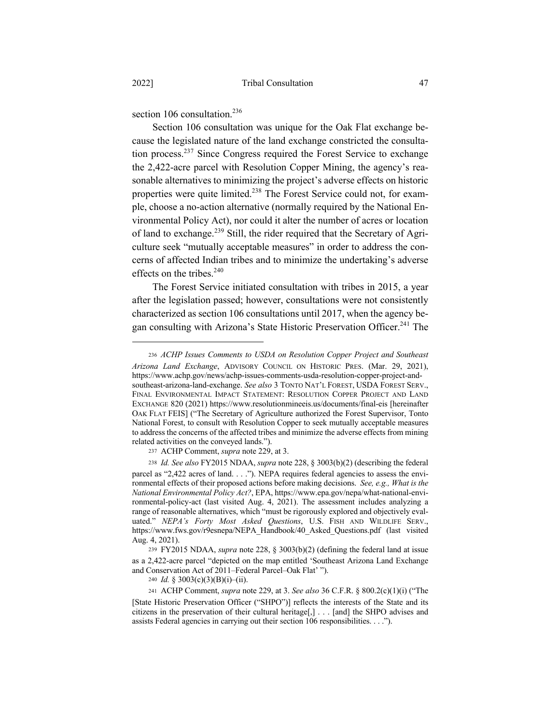section 106 consultation. $236$ 

Section 106 consultation was unique for the Oak Flat exchange because the legislated nature of the land exchange constricted the consultation process.237 Since Congress required the Forest Service to exchange the 2,422-acre parcel with Resolution Copper Mining, the agency's reasonable alternatives to minimizing the project's adverse effects on historic properties were quite limited.<sup>238</sup> The Forest Service could not, for example, choose a no-action alternative (normally required by the National Environmental Policy Act), nor could it alter the number of acres or location of land to exchange.<sup>239</sup> Still, the rider required that the Secretary of Agriculture seek "mutually acceptable measures" in order to address the concerns of affected Indian tribes and to minimize the undertaking's adverse effects on the tribes. $240$ 

The Forest Service initiated consultation with tribes in 2015, a year after the legislation passed; however, consultations were not consistently characterized as section 106 consultations until 2017, when the agency began consulting with Arizona's State Historic Preservation Officer.<sup>241</sup> The

<sup>237</sup> ACHP Comment, *supra* note 229, at 3.

<sup>236</sup> *ACHP Issues Comments to USDA on Resolution Copper Project and Southeast Arizona Land Exchange*, ADVISORY COUNCIL ON HISTORIC PRES. (Mar. 29, 2021), https://www.achp.gov/news/achp-issues-comments-usda-resolution-copper-project-andsoutheast-arizona-land-exchange. *See also* 3 TONTO NAT'L FOREST, USDA FOREST SERV., FINAL ENVIRONMENTAL IMPACT STATEMENT: RESOLUTION COPPER PROJECT AND LAND EXCHANGE 820 (2021) https://www.resolutionmineeis.us/documents/final-eis [hereinafter OAK FLAT FEIS] ("The Secretary of Agriculture authorized the Forest Supervisor, Tonto National Forest, to consult with Resolution Copper to seek mutually acceptable measures to address the concerns of the affected tribes and minimize the adverse effects from mining related activities on the conveyed lands.").

<sup>238</sup> *Id. See also* FY2015 NDAA, *supra* note 228, § 3003(b)(2) (describing the federal parcel as "2,422 acres of land. . . ."). NEPA requires federal agencies to assess the environmental effects of their proposed actions before making decisions. *See, e.g., What is the National Environmental Policy Act?*, EPA, https://www.epa.gov/nepa/what-national-environmental-policy-act (last visited Aug. 4, 2021). The assessment includes analyzing a range of reasonable alternatives, which "must be rigorously explored and objectively evaluated." *NEPA's Forty Most Asked Questions*, U.S. FISH AND WILDLIFE SERV., https://www.fws.gov/r9esnepa/NEPA\_Handbook/40\_Asked\_Questions.pdf (last visited Aug. 4, 2021).

<sup>239</sup> FY2015 NDAA, *supra* note 228, § 3003(b)(2) (defining the federal land at issue as a 2,422-acre parcel "depicted on the map entitled 'Southeast Arizona Land Exchange and Conservation Act of 2011–Federal Parcel–Oak Flat' ").

<sup>240</sup> *Id.* § 3003(c)(3)(B)(i)–(ii).

<sup>241</sup> ACHP Comment, *supra* note 229, at 3. *See also* 36 C.F.R. § 800.2(c)(1)(i) ("The

<sup>[</sup>State Historic Preservation Officer ("SHPO")] reflects the interests of the State and its citizens in the preservation of their cultural heritage $[, ] \dots ]$  [and] the SHPO advises and assists Federal agencies in carrying out their section 106 responsibilities. . . .").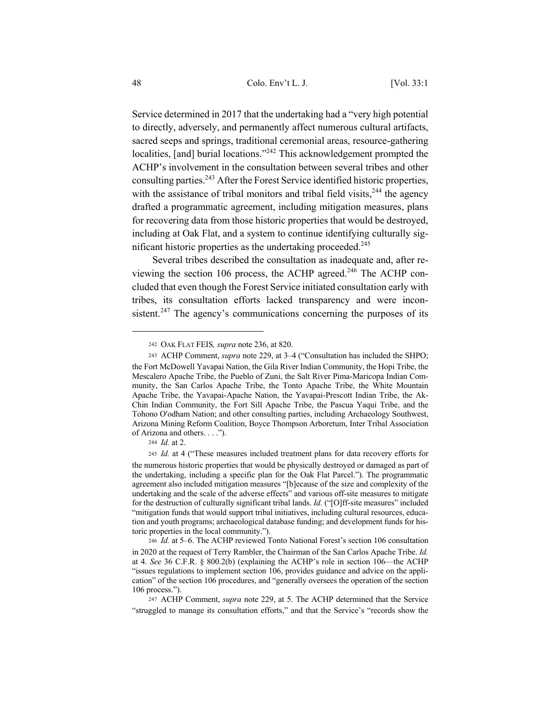Service determined in 2017 that the undertaking had a "very high potential to directly, adversely, and permanently affect numerous cultural artifacts, sacred seeps and springs, traditional ceremonial areas, resource-gathering localities, [and] burial locations."<sup>242</sup> This acknowledgement prompted the ACHP's involvement in the consultation between several tribes and other consulting parties.243 After the Forest Service identified historic properties, with the assistance of tribal monitors and tribal field visits,  $244$  the agency drafted a programmatic agreement, including mitigation measures, plans for recovering data from those historic properties that would be destroyed, including at Oak Flat, and a system to continue identifying culturally significant historic properties as the undertaking proceeded.<sup>245</sup>

Several tribes described the consultation as inadequate and, after reviewing the section 106 process, the ACHP agreed.<sup>246</sup> The ACHP concluded that even though the Forest Service initiated consultation early with tribes, its consultation efforts lacked transparency and were inconsistent.<sup>247</sup> The agency's communications concerning the purposes of its

<sup>242</sup> OAK FLAT FEIS*, supra* note 236, at 820.

<sup>243</sup> ACHP Comment, *supra* note 229, at 3–4 ("Consultation has included the SHPO; the Fort McDowell Yavapai Nation, the Gila River Indian Community, the Hopi Tribe, the Mescalero Apache Tribe, the Pueblo of Zuni, the Salt River Pima-Maricopa Indian Community, the San Carlos Apache Tribe, the Tonto Apache Tribe, the White Mountain Apache Tribe, the Yavapai-Apache Nation, the Yavapai-Prescott Indian Tribe, the Ak-Chin Indian Community, the Fort Sill Apache Tribe, the Pascua Yaqui Tribe, and the Tohono O′odham Nation; and other consulting parties, including Archaeology Southwest, Arizona Mining Reform Coalition, Boyce Thompson Arboretum, Inter Tribal Association of Arizona and others. . . .").

<sup>244</sup> *Id.* at 2.

<sup>245</sup> *Id.* at 4 ("These measures included treatment plans for data recovery efforts for the numerous historic properties that would be physically destroyed or damaged as part of the undertaking, including a specific plan for the Oak Flat Parcel."). The programmatic agreement also included mitigation measures "[b]ecause of the size and complexity of the undertaking and the scale of the adverse effects" and various off-site measures to mitigate for the destruction of culturally significant tribal lands. *Id.* ("[O]ff-site measures" included "mitigation funds that would support tribal initiatives, including cultural resources, education and youth programs; archaeological database funding; and development funds for historic properties in the local community.").

<sup>246</sup> *Id.* at 5–6. The ACHP reviewed Tonto National Forest's section 106 consultation in 2020 at the request of Terry Rambler, the Chairman of the San Carlos Apache Tribe. *Id.* at 4. *See* 36 C.F.R. § 800.2(b) (explaining the ACHP's role in section 106—the ACHP "issues regulations to implement section 106, provides guidance and advice on the application" of the section 106 procedures, and "generally oversees the operation of the section 106 process.").

<sup>247</sup> ACHP Comment, *supra* note 229, at 5. The ACHP determined that the Service "struggled to manage its consultation efforts," and that the Service's "records show the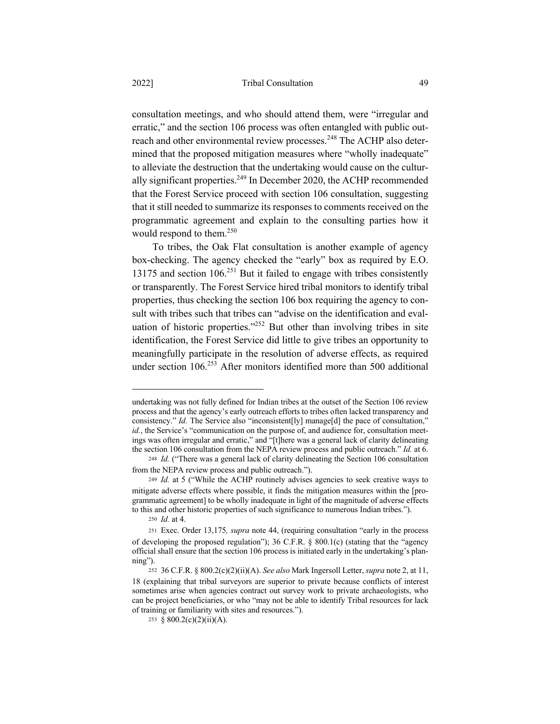consultation meetings, and who should attend them, were "irregular and erratic," and the section 106 process was often entangled with public outreach and other environmental review processes.<sup>248</sup> The ACHP also determined that the proposed mitigation measures where "wholly inadequate" to alleviate the destruction that the undertaking would cause on the culturally significant properties. $249$  In December 2020, the ACHP recommended that the Forest Service proceed with section 106 consultation, suggesting that it still needed to summarize its responses to comments received on the programmatic agreement and explain to the consulting parties how it would respond to them.<sup>250</sup>

To tribes, the Oak Flat consultation is another example of agency box-checking. The agency checked the "early" box as required by E.O. 13175 and section 106.<sup>251</sup> But it failed to engage with tribes consistently or transparently. The Forest Service hired tribal monitors to identify tribal properties, thus checking the section 106 box requiring the agency to consult with tribes such that tribes can "advise on the identification and evaluation of historic properties." $252$  But other than involving tribes in site identification, the Forest Service did little to give tribes an opportunity to meaningfully participate in the resolution of adverse effects, as required under section 106.<sup>253</sup> After monitors identified more than 500 additional

undertaking was not fully defined for Indian tribes at the outset of the Section 106 review process and that the agency's early outreach efforts to tribes often lacked transparency and consistency." *Id.* The Service also "inconsistent[ly] manage[d] the pace of consultation," id., the Service's "communication on the purpose of, and audience for, consultation meetings was often irregular and erratic," and "[t]here was a general lack of clarity delineating the section 106 consultation from the NEPA review process and public outreach." *Id.* at 6.

<sup>248</sup> *Id.* ("There was a general lack of clarity delineating the Section 106 consultation from the NEPA review process and public outreach.").

<sup>249</sup> *Id.* at 5 ("While the ACHP routinely advises agencies to seek creative ways to mitigate adverse effects where possible, it finds the mitigation measures within the [programmatic agreement] to be wholly inadequate in light of the magnitude of adverse effects to this and other historic properties of such significance to numerous Indian tribes.").

<sup>250</sup> *Id.* at 4.

<sup>251</sup> Exec. Order 13,175*, supra* note 44, (requiring consultation "early in the process of developing the proposed regulation"); 36 C.F.R. § 800.1(c) (stating that the "agency official shall ensure that the section 106 process is initiated early in the undertaking's planning").

<sup>252</sup> 36 C.F.R. § 800.2(c)(2)(ii)(A). *See also* Mark Ingersoll Letter, *supra* note 2, at 11, 18 (explaining that tribal surveyors are superior to private because conflicts of interest sometimes arise when agencies contract out survey work to private archaeologists, who can be project beneficiaries, or who "may not be able to identify Tribal resources for lack of training or familiarity with sites and resources.").

<sup>253 § 800.2(</sup>c)(2)(ii)(A).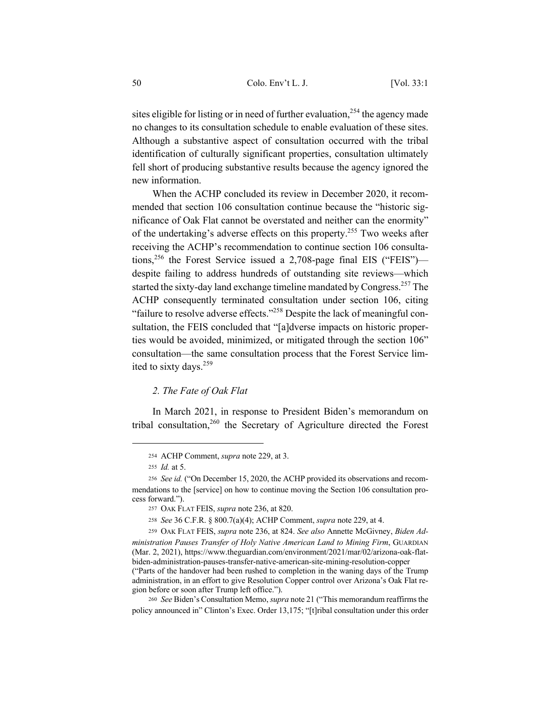sites eligible for listing or in need of further evaluation,<sup>254</sup> the agency made no changes to its consultation schedule to enable evaluation of these sites. Although a substantive aspect of consultation occurred with the tribal identification of culturally significant properties, consultation ultimately fell short of producing substantive results because the agency ignored the new information.

When the ACHP concluded its review in December 2020, it recommended that section 106 consultation continue because the "historic significance of Oak Flat cannot be overstated and neither can the enormity" of the undertaking's adverse effects on this property.<sup>255</sup> Two weeks after receiving the ACHP's recommendation to continue section 106 consultations,<sup>256</sup> the Forest Service issued a 2,708-page final EIS ("FEIS") despite failing to address hundreds of outstanding site reviews—which started the sixty-day land exchange timeline mandated by Congress.<sup>257</sup> The ACHP consequently terminated consultation under section 106, citing "failure to resolve adverse effects."<sup>258</sup> Despite the lack of meaningful consultation, the FEIS concluded that "[a]dverse impacts on historic properties would be avoided, minimized, or mitigated through the section 106" consultation—the same consultation process that the Forest Service limited to sixty days.<sup>259</sup>

## *2. The Fate of Oak Flat*

In March 2021, in response to President Biden's memorandum on tribal consultation,<sup>260</sup> the Secretary of Agriculture directed the Forest

<sup>254</sup> ACHP Comment, *supra* note 229, at 3.

<sup>255</sup> *Id.* at 5.

<sup>256</sup> *See id.* ("On December 15, 2020, the ACHP provided its observations and recommendations to the [service] on how to continue moving the Section 106 consultation process forward.").

<sup>257</sup> OAK FLAT FEIS, *supra* note 236, at 820.

<sup>258</sup> *See* 36 C.F.R. § 800.7(a)(4); ACHP Comment, *supra* note 229, at 4.

<sup>259</sup> OAK FLAT FEIS, *supra* note 236, at 824. *See also* Annette McGivney, *Biden Administration Pauses Transfer of Holy Native American Land to Mining Firm*, GUARDIAN (Mar. 2, 2021), https://www.theguardian.com/environment/2021/mar/02/arizona-oak-flatbiden-administration-pauses-transfer-native-american-site-mining-resolution-copper ("Parts of the handover had been rushed to completion in the waning days of the Trump administration, in an effort to give Resolution Copper control over Arizona's Oak Flat region before or soon after Trump left office.").

<sup>260</sup> *See* Biden's Consultation Memo, *supra* note 21 ("This memorandum reaffirms the policy announced in" Clinton's Exec. Order 13,175; "[t]ribal consultation under this order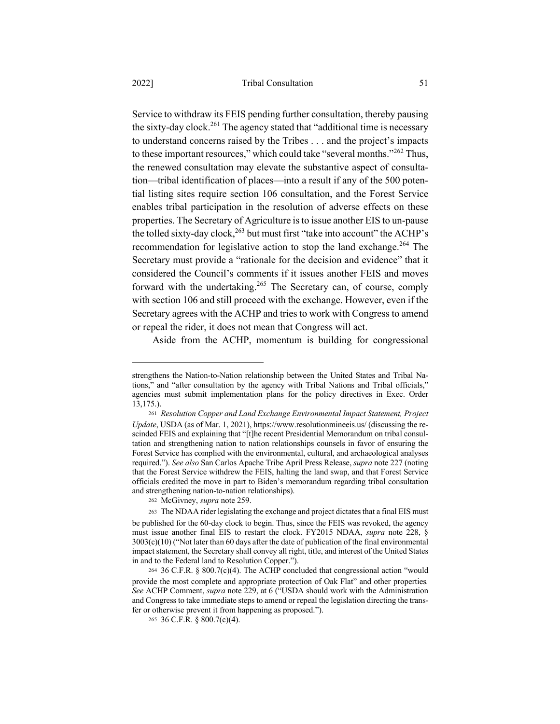Service to withdraw its FEIS pending further consultation, thereby pausing the sixty-day clock.<sup>261</sup> The agency stated that "additional time is necessary to understand concerns raised by the Tribes . . . and the project's impacts to these important resources," which could take "several months."<sup>262</sup> Thus, the renewed consultation may elevate the substantive aspect of consultation—tribal identification of places—into a result if any of the 500 potential listing sites require section 106 consultation, and the Forest Service enables tribal participation in the resolution of adverse effects on these properties. The Secretary of Agriculture is to issue another EIS to un-pause the tolled sixty-day clock,<sup>263</sup> but must first "take into account" the ACHP's recommendation for legislative action to stop the land exchange.<sup>264</sup> The Secretary must provide a "rationale for the decision and evidence" that it considered the Council's comments if it issues another FEIS and moves forward with the undertaking.<sup>265</sup> The Secretary can, of course, comply with section 106 and still proceed with the exchange. However, even if the Secretary agrees with the ACHP and tries to work with Congress to amend or repeal the rider, it does not mean that Congress will act.

Aside from the ACHP, momentum is building for congressional

strengthens the Nation-to-Nation relationship between the United States and Tribal Nations," and "after consultation by the agency with Tribal Nations and Tribal officials," agencies must submit implementation plans for the policy directives in Exec. Order 13,175.).

<sup>261</sup> *Resolution Copper and Land Exchange Environmental Impact Statement, Project Update*, USDA (as of Mar. 1, 2021), https://www.resolutionmineeis.us/ (discussing the rescinded FEIS and explaining that "[t]he recent Presidential Memorandum on tribal consultation and strengthening nation to nation relationships counsels in favor of ensuring the Forest Service has complied with the environmental, cultural, and archaeological analyses required."). *See also* San Carlos Apache Tribe April Press Release, *supra* note 227 (noting that the Forest Service withdrew the FEIS, halting the land swap, and that Forest Service officials credited the move in part to Biden's memorandum regarding tribal consultation and strengthening nation-to-nation relationships).

<sup>262</sup> McGivney, *supra* note 259.

<sup>263</sup> The NDAA rider legislating the exchange and project dictates that a final EIS must be published for the 60-day clock to begin. Thus, since the FEIS was revoked, the agency must issue another final EIS to restart the clock. FY2015 NDAA, *supra* note 228, § 3003(c)(10) ("Not later than 60 days after the date of publication of the final environmental impact statement, the Secretary shall convey all right, title, and interest of the United States in and to the Federal land to Resolution Copper.").

<sup>264</sup> 36 C.F.R. § 800.7(c)(4). The ACHP concluded that congressional action "would provide the most complete and appropriate protection of Oak Flat" and other properties*. See* ACHP Comment, *supra* note 229, at 6 ("USDA should work with the Administration and Congress to take immediate steps to amend or repeal the legislation directing the transfer or otherwise prevent it from happening as proposed.").

<sup>265</sup> 36 C.F.R. § 800.7(c)(4).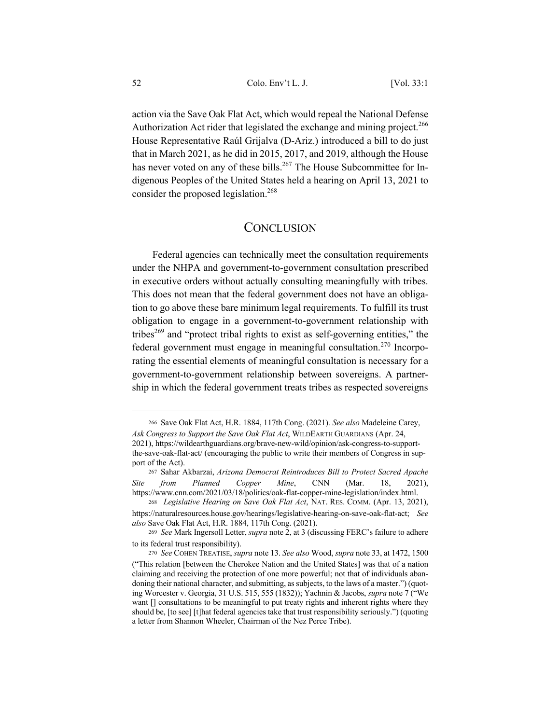action via the Save Oak Flat Act, which would repeal the National Defense Authorization Act rider that legislated the exchange and mining project.<sup>266</sup> House Representative Raúl Grijalva (D-Ariz.) introduced a bill to do just that in March 2021, as he did in 2015, 2017, and 2019, although the House has never voted on any of these bills.<sup>267</sup> The House Subcommittee for Indigenous Peoples of the United States held a hearing on April 13, 2021 to consider the proposed legislation.<sup>268</sup>

## **CONCLUSION**

Federal agencies can technically meet the consultation requirements under the NHPA and government-to-government consultation prescribed in executive orders without actually consulting meaningfully with tribes. This does not mean that the federal government does not have an obligation to go above these bare minimum legal requirements. To fulfill its trust obligation to engage in a government-to-government relationship with tribes<sup>269</sup> and "protect tribal rights to exist as self-governing entities," the federal government must engage in meaningful consultation.<sup>270</sup> Incorporating the essential elements of meaningful consultation is necessary for a government-to-government relationship between sovereigns. A partnership in which the federal government treats tribes as respected sovereigns

<sup>266</sup> Save Oak Flat Act, H.R. 1884, 117th Cong. (2021). *See also* Madeleine Carey, *Ask Congress to Support the Save Oak Flat Act*, WILDEARTH GUARDIANS (Apr. 24,

<sup>2021),</sup> https://wildearthguardians.org/brave-new-wild/opinion/ask-congress-to-supportthe-save-oak-flat-act/ (encouraging the public to write their members of Congress in support of the Act).

<sup>267</sup> Sahar Akbarzai, *Arizona Democrat Reintroduces Bill to Protect Sacred Apache Site from Planned Copper Mine*, CNN (Mar. 18, 2021), https://www.cnn.com/2021/03/18/politics/oak-flat-copper-mine-legislation/index.html.

<sup>268</sup> *Legislative Hearing on Save Oak Flat Act*, NAT. RES. COMM. (Apr. 13, 2021),

https://naturalresources.house.gov/hearings/legislative-hearing-on-save-oak-flat-act; *See also* Save Oak Flat Act, H.R. 1884, 117th Cong. (2021).

<sup>269</sup> *See* Mark Ingersoll Letter, *supra* note 2, at 3 (discussing FERC's failure to adhere to its federal trust responsibility).

<sup>270</sup> *See* COHEN TREATISE, *supra* note 13. *See also* Wood, *supra* note 33, at 1472, 1500 ("This relation [between the Cherokee Nation and the United States] was that of a nation claiming and receiving the protection of one more powerful; not that of individuals abandoning their national character, and submitting, as subjects, to the laws of a master.") (quoting Worcester v. Georgia, 31 U.S. 515, 555 (1832)); Yachnin & Jacobs, *supra* note 7 ("We want [] consultations to be meaningful to put treaty rights and inherent rights where they should be, [to see] [t]hat federal agencies take that trust responsibility seriously.") (quoting a letter from Shannon Wheeler, Chairman of the Nez Perce Tribe).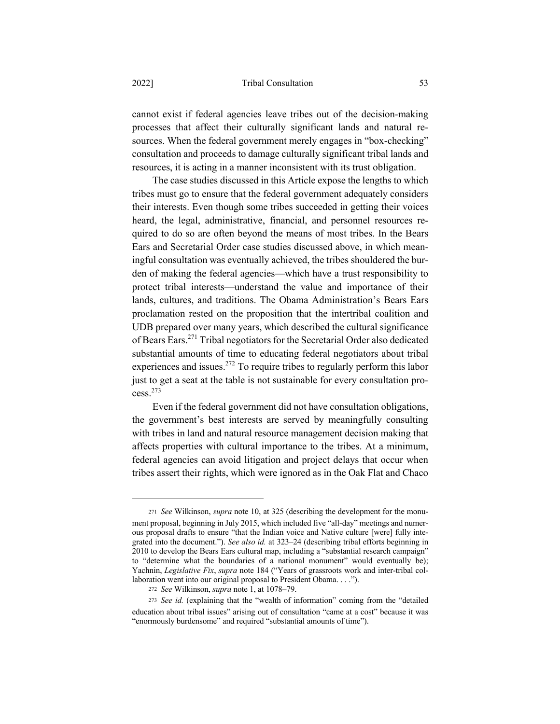## 2022] Tribal Consultation 53

cannot exist if federal agencies leave tribes out of the decision-making processes that affect their culturally significant lands and natural resources. When the federal government merely engages in "box-checking" consultation and proceeds to damage culturally significant tribal lands and resources, it is acting in a manner inconsistent with its trust obligation.

The case studies discussed in this Article expose the lengths to which tribes must go to ensure that the federal government adequately considers their interests. Even though some tribes succeeded in getting their voices heard, the legal, administrative, financial, and personnel resources required to do so are often beyond the means of most tribes. In the Bears Ears and Secretarial Order case studies discussed above, in which meaningful consultation was eventually achieved, the tribes shouldered the burden of making the federal agencies—which have a trust responsibility to protect tribal interests—understand the value and importance of their lands, cultures, and traditions. The Obama Administration's Bears Ears proclamation rested on the proposition that the intertribal coalition and UDB prepared over many years, which described the cultural significance of Bears Ears.<sup>271</sup> Tribal negotiators for the Secretarial Order also dedicated substantial amounts of time to educating federal negotiators about tribal experiences and issues.<sup>272</sup> To require tribes to regularly perform this labor just to get a seat at the table is not sustainable for every consultation process.<sup>273</sup>

Even if the federal government did not have consultation obligations, the government's best interests are served by meaningfully consulting with tribes in land and natural resource management decision making that affects properties with cultural importance to the tribes. At a minimum, federal agencies can avoid litigation and project delays that occur when tribes assert their rights, which were ignored as in the Oak Flat and Chaco

<sup>271</sup> *See* Wilkinson, *supra* note 10, at 325 (describing the development for the monument proposal, beginning in July 2015, which included five "all-day" meetings and numerous proposal drafts to ensure "that the Indian voice and Native culture [were] fully integrated into the document."). *See also id.* at 323–24 (describing tribal efforts beginning in 2010 to develop the Bears Ears cultural map, including a "substantial research campaign" to "determine what the boundaries of a national monument" would eventually be); Yachnin, *Legislative Fix*, *supra* note 184 ("Years of grassroots work and inter-tribal collaboration went into our original proposal to President Obama. . . .").

<sup>272</sup> *See* Wilkinson, *supra* note 1, at 1078–79.

<sup>273</sup> *See id.* (explaining that the "wealth of information" coming from the "detailed education about tribal issues" arising out of consultation "came at a cost" because it was "enormously burdensome" and required "substantial amounts of time").